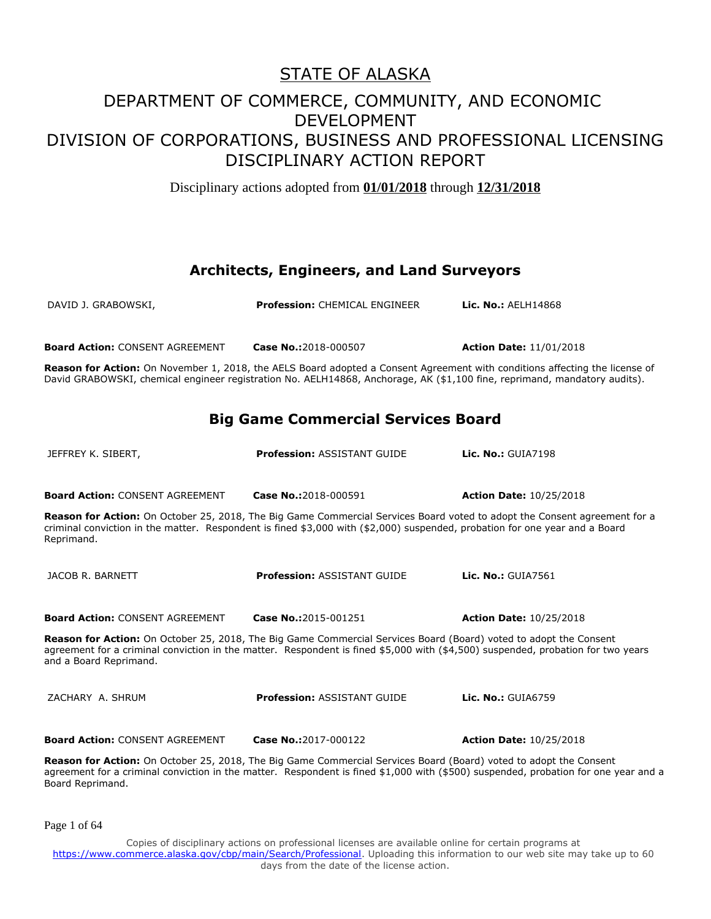Disciplinary actions adopted from **01/01/2018** through **12/31/2018**

#### **Architects, Engineers, and Land Surveyors**

| DAVID J. GRABOWSKI,                                                                                                                                                                                                                                                             | <b>Profession: CHEMICAL ENGINEER</b>      | <b>Lic. No.: AELH14868</b>                                                                                                          |
|---------------------------------------------------------------------------------------------------------------------------------------------------------------------------------------------------------------------------------------------------------------------------------|-------------------------------------------|-------------------------------------------------------------------------------------------------------------------------------------|
| <b>Board Action: CONSENT AGREEMENT</b>                                                                                                                                                                                                                                          | Case No.:2018-000507                      | <b>Action Date: 11/01/2018</b>                                                                                                      |
| David GRABOWSKI, chemical engineer registration No. AELH14868, Anchorage, AK (\$1,100 fine, reprimand, mandatory audits).                                                                                                                                                       |                                           | Reason for Action: On November 1, 2018, the AELS Board adopted a Consent Agreement with conditions affecting the license of         |
|                                                                                                                                                                                                                                                                                 | <b>Big Game Commercial Services Board</b> |                                                                                                                                     |
| JEFFREY K. SIBERT,                                                                                                                                                                                                                                                              | <b>Profession: ASSISTANT GUIDE</b>        | <b>Lic. No.: GUIA7198</b>                                                                                                           |
| <b>Board Action: CONSENT AGREEMENT</b>                                                                                                                                                                                                                                          | Case No.:2018-000591                      | <b>Action Date: 10/25/2018</b>                                                                                                      |
| Reason for Action: On October 25, 2018, The Big Game Commercial Services Board voted to adopt the Consent agreement for a<br>criminal conviction in the matter. Respondent is fined \$3,000 with (\$2,000) suspended, probation for one year and a Board<br>Reprimand.          |                                           |                                                                                                                                     |
| JACOB R. BARNETT                                                                                                                                                                                                                                                                | <b>Profession: ASSISTANT GUIDE</b>        | <b>Lic. No.: GUIA7561</b>                                                                                                           |
| <b>Board Action: CONSENT AGREEMENT</b>                                                                                                                                                                                                                                          | Case No.:2015-001251                      | <b>Action Date: 10/25/2018</b>                                                                                                      |
| Reason for Action: On October 25, 2018, The Big Game Commercial Services Board (Board) voted to adopt the Consent<br>agreement for a criminal conviction in the matter. Respondent is fined \$5,000 with (\$4,500) suspended, probation for two years<br>and a Board Reprimand. |                                           |                                                                                                                                     |
| ZACHARY A. SHRUM                                                                                                                                                                                                                                                                | <b>Profession: ASSISTANT GUIDE</b>        | <b>Lic. No.: GUIA6759</b>                                                                                                           |
| <b>Board Action: CONSENT AGREEMENT</b>                                                                                                                                                                                                                                          | Case No.:2017-000122                      | <b>Action Date: 10/25/2018</b>                                                                                                      |
| Reason for Action: On October 25, 2018, The Big Game Commercial Services Board (Board) voted to adopt the Consent<br>Board Reprimand.                                                                                                                                           |                                           | agreement for a criminal conviction in the matter. Respondent is fined \$1,000 with (\$500) suspended, probation for one year and a |

Page 1 of 64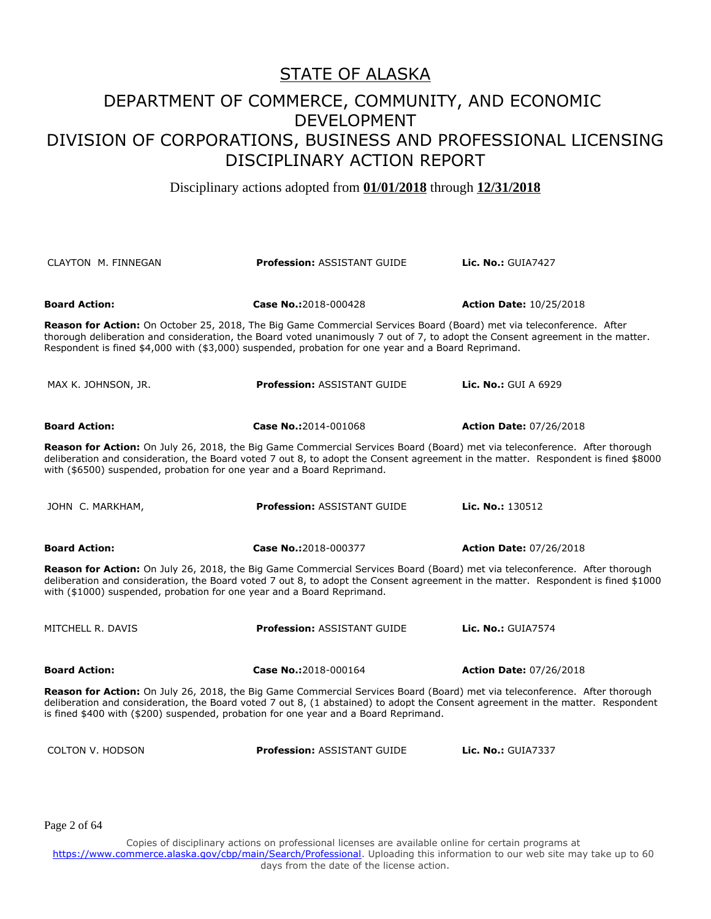Disciplinary actions adopted from **01/01/2018** through **12/31/2018**

| <b>CLAYTON M. FINNEGAN</b>                                                                                                                                                                                                                                                                                                                            | <b>Profession: ASSISTANT GUIDE</b>                                                                                                                                                                                                                                                                                                                            | <b>Lic. No.: GUIA7427</b>      |  |
|-------------------------------------------------------------------------------------------------------------------------------------------------------------------------------------------------------------------------------------------------------------------------------------------------------------------------------------------------------|---------------------------------------------------------------------------------------------------------------------------------------------------------------------------------------------------------------------------------------------------------------------------------------------------------------------------------------------------------------|--------------------------------|--|
| <b>Board Action:</b>                                                                                                                                                                                                                                                                                                                                  | Case No.:2018-000428                                                                                                                                                                                                                                                                                                                                          | <b>Action Date: 10/25/2018</b> |  |
|                                                                                                                                                                                                                                                                                                                                                       | Reason for Action: On October 25, 2018, The Big Game Commercial Services Board (Board) met via teleconference. After<br>thorough deliberation and consideration, the Board voted unanimously 7 out of 7, to adopt the Consent agreement in the matter.<br>Respondent is fined \$4,000 with (\$3,000) suspended, probation for one year and a Board Reprimand. |                                |  |
| MAX K. JOHNSON, JR.                                                                                                                                                                                                                                                                                                                                   | <b>Profession: ASSISTANT GUIDE</b>                                                                                                                                                                                                                                                                                                                            | <b>Lic. No.: GUI A 6929</b>    |  |
| <b>Board Action:</b>                                                                                                                                                                                                                                                                                                                                  | Case No.:2014-001068                                                                                                                                                                                                                                                                                                                                          | <b>Action Date: 07/26/2018</b> |  |
| Reason for Action: On July 26, 2018, the Big Game Commercial Services Board (Board) met via teleconference. After thorough<br>deliberation and consideration, the Board voted 7 out 8, to adopt the Consent agreement in the matter. Respondent is fined \$8000<br>with (\$6500) suspended, probation for one year and a Board Reprimand.             |                                                                                                                                                                                                                                                                                                                                                               |                                |  |
| JOHN C. MARKHAM,                                                                                                                                                                                                                                                                                                                                      | <b>Profession: ASSISTANT GUIDE</b>                                                                                                                                                                                                                                                                                                                            | Lic. No.: 130512               |  |
| <b>Board Action:</b>                                                                                                                                                                                                                                                                                                                                  | Case No.:2018-000377                                                                                                                                                                                                                                                                                                                                          | <b>Action Date: 07/26/2018</b> |  |
| Reason for Action: On July 26, 2018, the Big Game Commercial Services Board (Board) met via teleconference. After thorough<br>deliberation and consideration, the Board voted 7 out 8, to adopt the Consent agreement in the matter. Respondent is fined \$1000<br>with (\$1000) suspended, probation for one year and a Board Reprimand.             |                                                                                                                                                                                                                                                                                                                                                               |                                |  |
| MITCHELL R. DAVIS                                                                                                                                                                                                                                                                                                                                     | <b>Profession: ASSISTANT GUIDE</b>                                                                                                                                                                                                                                                                                                                            | <b>Lic. No.: GUIA7574</b>      |  |
| <b>Board Action:</b>                                                                                                                                                                                                                                                                                                                                  | Case No.:2018-000164                                                                                                                                                                                                                                                                                                                                          | <b>Action Date: 07/26/2018</b> |  |
| Reason for Action: On July 26, 2018, the Big Game Commercial Services Board (Board) met via teleconference. After thorough<br>deliberation and consideration, the Board voted 7 out 8, (1 abstained) to adopt the Consent agreement in the matter. Respondent<br>is fined \$400 with (\$200) suspended, probation for one year and a Board Reprimand. |                                                                                                                                                                                                                                                                                                                                                               |                                |  |
| <b>COLTON V. HODSON</b>                                                                                                                                                                                                                                                                                                                               | <b>Profession: ASSISTANT GUIDE</b>                                                                                                                                                                                                                                                                                                                            | <b>Lic. No.: GUIA7337</b>      |  |

Page 2 of 64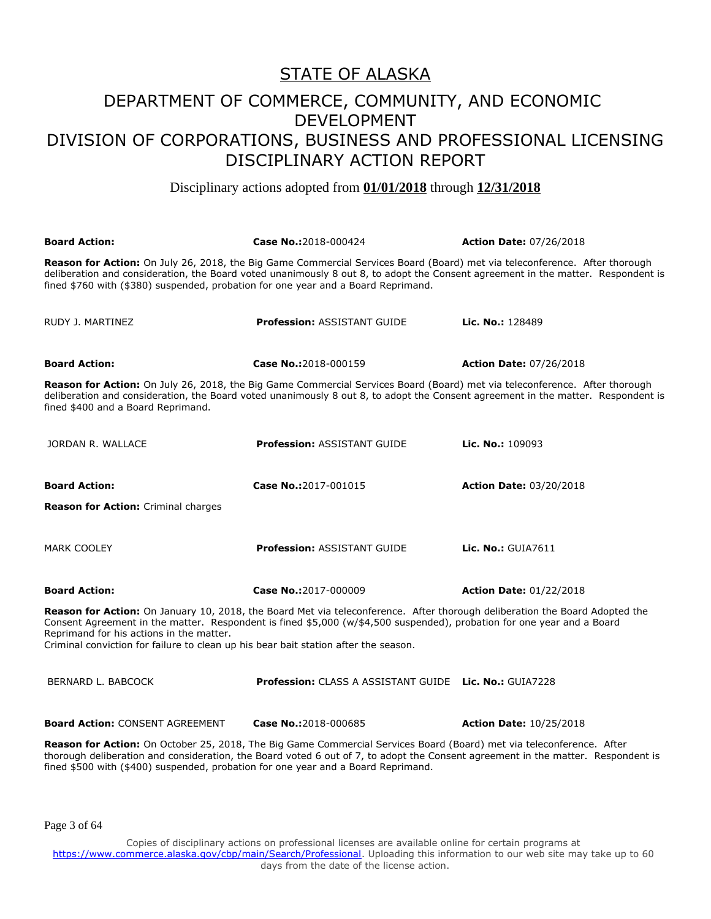Disciplinary actions adopted from **01/01/2018** through **12/31/2018**

| <b>Board Action:</b>                                                                                                            | Case No.:2018-000424                                                                                                                                                                                                                                     | <b>Action Date: 07/26/2018</b>                                                                                                   |
|---------------------------------------------------------------------------------------------------------------------------------|----------------------------------------------------------------------------------------------------------------------------------------------------------------------------------------------------------------------------------------------------------|----------------------------------------------------------------------------------------------------------------------------------|
| fined \$760 with (\$380) suspended, probation for one year and a Board Reprimand.                                               | Reason for Action: On July 26, 2018, the Big Game Commercial Services Board (Board) met via teleconference. After thorough                                                                                                                               | deliberation and consideration, the Board voted unanimously 8 out 8, to adopt the Consent agreement in the matter. Respondent is |
| RUDY J. MARTINEZ                                                                                                                | <b>Profession: ASSISTANT GUIDE</b>                                                                                                                                                                                                                       | Lic. No.: 128489                                                                                                                 |
| <b>Board Action:</b>                                                                                                            | Case No.:2018-000159                                                                                                                                                                                                                                     | <b>Action Date: 07/26/2018</b>                                                                                                   |
| fined \$400 and a Board Reprimand.                                                                                              | Reason for Action: On July 26, 2018, the Big Game Commercial Services Board (Board) met via teleconference. After thorough                                                                                                                               | deliberation and consideration, the Board voted unanimously 8 out 8, to adopt the Consent agreement in the matter. Respondent is |
| JORDAN R. WALLACE                                                                                                               | <b>Profession: ASSISTANT GUIDE</b>                                                                                                                                                                                                                       | Lic. No.: 109093                                                                                                                 |
| <b>Board Action:</b>                                                                                                            | Case No.:2017-001015                                                                                                                                                                                                                                     | <b>Action Date: 03/20/2018</b>                                                                                                   |
| Reason for Action: Criminal charges                                                                                             |                                                                                                                                                                                                                                                          |                                                                                                                                  |
| <b>MARK COOLEY</b>                                                                                                              | <b>Profession: ASSISTANT GUIDE</b>                                                                                                                                                                                                                       | <b>Lic. No.: GUIA7611</b>                                                                                                        |
| <b>Board Action:</b>                                                                                                            | Case No.:2017-000009                                                                                                                                                                                                                                     | <b>Action Date: 01/22/2018</b>                                                                                                   |
| Reprimand for his actions in the matter.<br>Criminal conviction for failure to clean up his bear bait station after the season. | Reason for Action: On January 10, 2018, the Board Met via teleconference. After thorough deliberation the Board Adopted the<br>Consent Agreement in the matter. Respondent is fined \$5,000 (w/\$4,500 suspended), probation for one year and a Board    |                                                                                                                                  |
| BERNARD L. BABCOCK                                                                                                              | <b>Profession:</b> CLASS A ASSISTANT GUIDE Lic. No.: GUIA7228                                                                                                                                                                                            |                                                                                                                                  |
| <b>Board Action: CONSENT AGREEMENT</b>                                                                                          | Case No.:2018-000685                                                                                                                                                                                                                                     | <b>Action Date: 10/25/2018</b>                                                                                                   |
|                                                                                                                                 | Reason for Action: On October 25, 2018, The Big Game Commercial Services Board (Board) met via teleconference. After<br>thorough deliberation and consideration, the Board voted 6 out of 7, to adopt the Consent agreement in the matter. Respondent is |                                                                                                                                  |

Page 3 of 64

Copies of disciplinary actions on professional licenses are available online for certain programs at https://www.commerce.alaska.gov/cbp/main/Search/Professional</u>. Uploading this information to our web site may take up to 60 days from the date of the license action.

fined \$500 with (\$400) suspended, probation for one year and a Board Reprimand.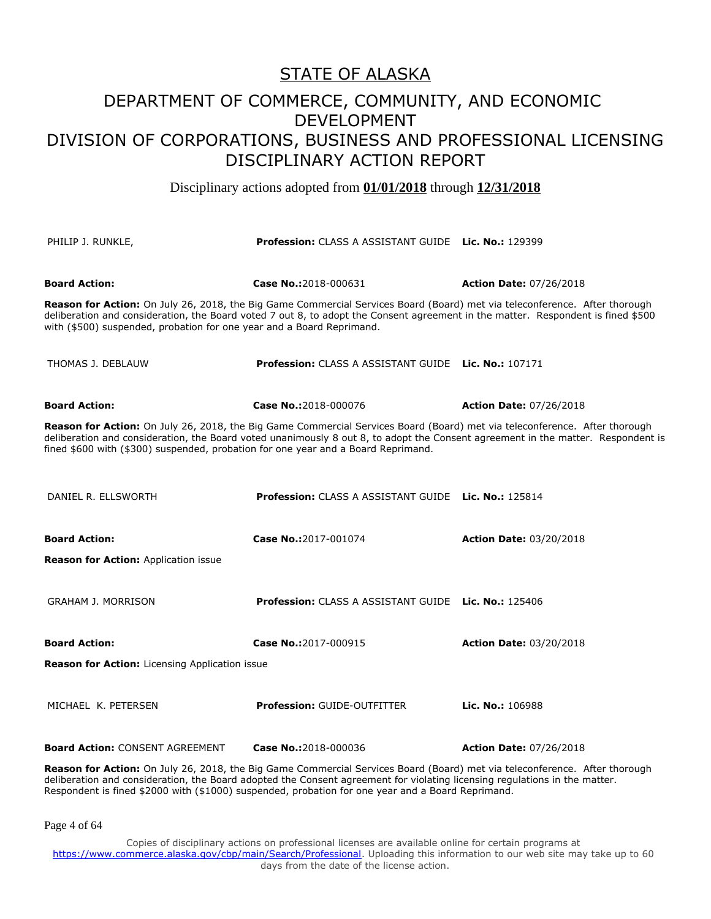Disciplinary actions adopted from **01/01/2018** through **12/31/2018**

| PHILIP J. RUNKLE,                                                                 | Profession: CLASS A ASSISTANT GUIDE Lic. No.: 129399                                                                                                                                                                                                           |                                |
|-----------------------------------------------------------------------------------|----------------------------------------------------------------------------------------------------------------------------------------------------------------------------------------------------------------------------------------------------------------|--------------------------------|
| <b>Board Action:</b>                                                              | Case No.:2018-000631                                                                                                                                                                                                                                           | <b>Action Date: 07/26/2018</b> |
| with (\$500) suspended, probation for one year and a Board Reprimand.             | Reason for Action: On July 26, 2018, the Big Game Commercial Services Board (Board) met via teleconference. After thorough<br>deliberation and consideration, the Board voted 7 out 8, to adopt the Consent agreement in the matter. Respondent is fined \$500 |                                |
| THOMAS J. DEBLAUW                                                                 | <b>Profession:</b> CLASS A ASSISTANT GUIDE Lic. No.: 107171                                                                                                                                                                                                    |                                |
| <b>Board Action:</b>                                                              | Case No.:2018-000076                                                                                                                                                                                                                                           | <b>Action Date: 07/26/2018</b> |
| fined \$600 with (\$300) suspended, probation for one year and a Board Reprimand. | Reason for Action: On July 26, 2018, the Big Game Commercial Services Board (Board) met via teleconference. After thorough<br>deliberation and consideration, the Board voted unanimously 8 out 8, to adopt the Consent agreement in the matter. Respondent is |                                |
| DANIEL R. ELLSWORTH                                                               | <b>Profession:</b> CLASS A ASSISTANT GUIDE Lic. No.: 125814                                                                                                                                                                                                    |                                |
| <b>Board Action:</b><br>Reason for Action: Application issue                      | Case No.:2017-001074                                                                                                                                                                                                                                           | <b>Action Date: 03/20/2018</b> |
|                                                                                   |                                                                                                                                                                                                                                                                |                                |
| <b>GRAHAM J. MORRISON</b>                                                         | <b>Profession: CLASS A ASSISTANT GUIDE Lic. No.: 125406</b>                                                                                                                                                                                                    |                                |
| <b>Board Action:</b>                                                              | Case No.:2017-000915                                                                                                                                                                                                                                           | <b>Action Date: 03/20/2018</b> |
| Reason for Action: Licensing Application issue                                    |                                                                                                                                                                                                                                                                |                                |
| MICHAEL K. PETERSEN                                                               | <b>Profession: GUIDE-OUTFITTER</b>                                                                                                                                                                                                                             | Lic. No.: 106988               |
| <b>Board Action: CONSENT AGREEMENT</b>                                            | Case No.:2018-000036                                                                                                                                                                                                                                           | <b>Action Date: 07/26/2018</b> |
|                                                                                   | Reason for Action: On July 26, 2018, the Big Game Commercial Services Board (Board) met via teleconference. After thorough                                                                                                                                     |                                |

deliberation and consideration, the Board adopted the Consent agreement for violating licensing regulations in the matter. Respondent is fined \$2000 with (\$1000) suspended, probation for one year and a Board Reprimand.

Page 4 of 64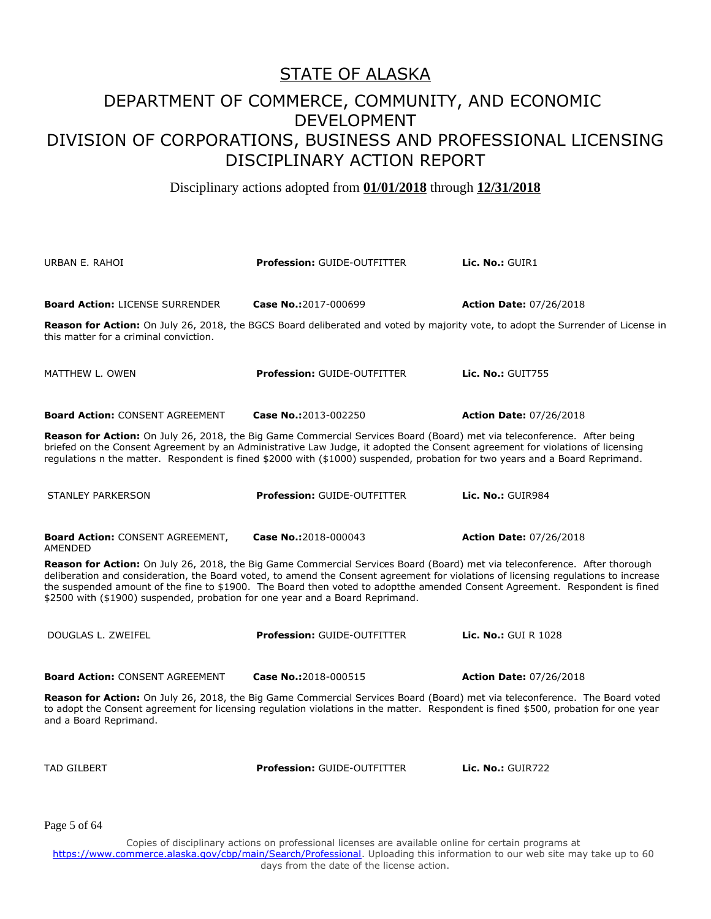Disciplinary actions adopted from **01/01/2018** through **12/31/2018**

URBAN E. RAHOI **Profession:** GUIDE-OUTFITTER **Lic. No.:** GUIR1 **Board Action:** LICENSE SURRENDER **Case No.:**2017-000699 **Action Date:** 07/26/2018 **Reason for Action:** On July 26, 2018, the BGCS Board deliberated and voted by majority vote, to adopt the Surrender of License in this matter for a criminal conviction. MATTHEW L. OWEN **Profession:** GUIDE-OUTFITTER **Lic. No.:** GUIT755 **Board Action:** CONSENT AGREEMENT **Case No.:**2013-002250 **Action Date:** 07/26/2018 **Reason for Action:** On July 26, 2018, the Big Game Commercial Services Board (Board) met via teleconference. After being briefed on the Consent Agreement by an Administrative Law Judge, it adopted the Consent agreement for violations of licensing regulations n the matter. Respondent is fined \$2000 with (\$1000) suspended, probation for two years and a Board Reprimand. STANLEY PARKERSON **Profession:** GUIDE-OUTFITTER **Lic. No.:** GUIR984 **Board Action:** CONSENT AGREEMENT, AMENDED **Case No.:**2018-000043 **Action Date:** 07/26/2018 **Reason for Action:** On July 26, 2018, the Big Game Commercial Services Board (Board) met via teleconference. After thorough deliberation and consideration, the Board voted, to amend the Consent agreement for violations of licensing regulations to increase the suspended amount of the fine to \$1900. The Board then voted to adoptthe amended Consent Agreement. Respondent is fined \$2500 with (\$1900) suspended, probation for one year and a Board Reprimand. DOUGLAS L. ZWEIFEL **Profession:** GUIDE-OUTFITTER **Lic. No.:** GUI R 1028 **Board Action:** CONSENT AGREEMENT **Case No.:**2018-000515 **Action Date:** 07/26/2018 **Reason for Action:** On July 26, 2018, the Big Game Commercial Services Board (Board) met via teleconference. The Board voted to adopt the Consent agreement for licensing regulation violations in the matter. Respondent is fined \$500, probation for one year and a Board Reprimand. TAD GILBERT **Profession:** GUIDE-OUTFITTER **Lic. No.:** GUIR722

Page 5 of 64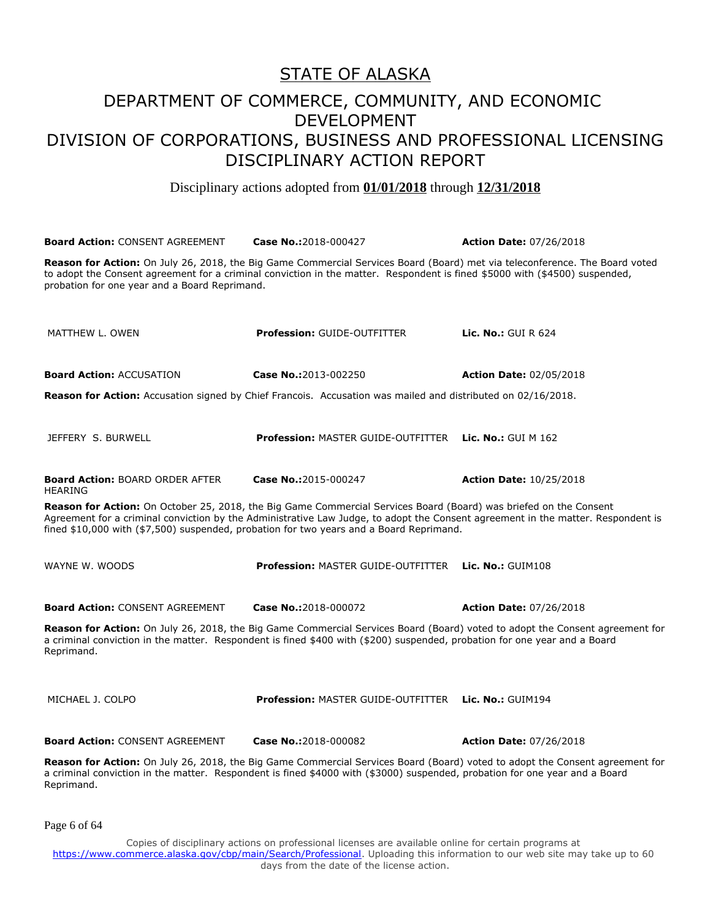Disciplinary actions adopted from **01/01/2018** through **12/31/2018**

**Board Action:** CONSENT AGREEMENT **Case No.:**2018-000427 **Action Date:** 07/26/2018 **Reason for Action:** On July 26, 2018, the Big Game Commercial Services Board (Board) met via teleconference. The Board voted to adopt the Consent agreement for a criminal conviction in the matter. Respondent is fined \$5000 with (\$4500) suspended, probation for one year and a Board Reprimand. MATTHEW L. OWEN **Profession:** GUIDE-OUTFITTER **Lic. No.:** GUI R 624 **Board Action:** ACCUSATION **Case No.:**2013-002250 **Action Date:** 02/05/2018 **Reason for Action:** Accusation signed by Chief Francois. Accusation was mailed and distributed on 02/16/2018. JEFFERY S. BURWELL **Profession:** MASTER GUIDE-OUTFITTER **Lic. No.:** GUI M 162 **Board Action:** BOARD ORDER AFTER HEARING **Case No.:**2015-000247 **Action Date:** 10/25/2018 **Reason for Action:** On October 25, 2018, the Big Game Commercial Services Board (Board) was briefed on the Consent Agreement for a criminal conviction by the Administrative Law Judge, to adopt the Consent agreement in the matter. Respondent is fined \$10,000 with (\$7,500) suspended, probation for two years and a Board Reprimand. WAYNE W. WOODS **Profession:** MASTER GUIDE-OUTFITTER **Lic. No.:** GUIM108 **Board Action:** CONSENT AGREEMENT **Case No.:**2018-000072 **Action Date:** 07/26/2018 **Reason for Action:** On July 26, 2018, the Big Game Commercial Services Board (Board) voted to adopt the Consent agreement for a criminal conviction in the matter. Respondent is fined \$400 with (\$200) suspended, probation for one year and a Board Reprimand. MICHAEL J. COLPO **Profession:** MASTER GUIDE-OUTFITTER **Lic. No.:** GUIM194 **Board Action:** CONSENT AGREEMENT **Case No.:**2018-000082 **Action Date:** 07/26/2018 **Reason for Action:** On July 26, 2018, the Big Game Commercial Services Board (Board) voted to adopt the Consent agreement for a criminal conviction in the matter. Respondent is fined \$4000 with (\$3000) suspended, probation for one year and a Board Reprimand.

Page 6 of 64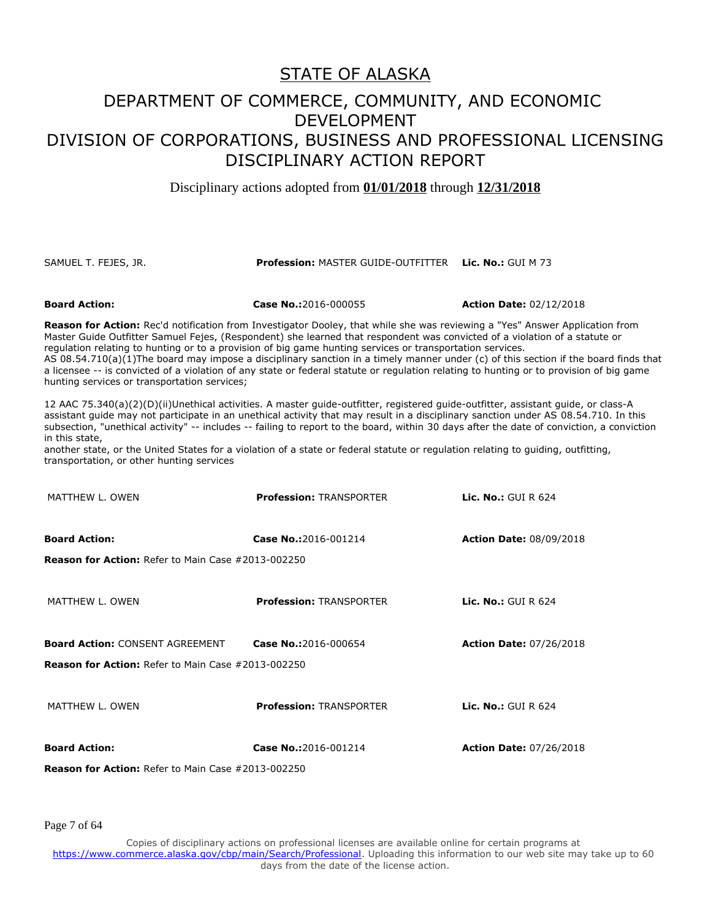#### DEPARTMENT OF COMMERCE, COMMUNITY, AND ECONOMIC DEVELOPMENT DIVISION OF CORPORATIONS, BUSINESS AND PROFESSIONAL LICENSING DISCIPLINARY ACTION REPORT

Disciplinary actions adopted from **01/01/2018** through **12/31/2018**

#### SAMUEL T. FEJES, JR. **Profession:** MASTER GUIDE-OUTFITTER **Lic. No.:** GUI M 73

**Board Action: Case No.:**2016-000055 **Action Date:** 02/12/2018

**Reason for Action:** Rec'd notification from Investigator Dooley, that while she was reviewing a "Yes" Answer Application from Master Guide Outfitter Samuel Fejes, (Respondent) she learned that respondent was convicted of a violation of a statute or regulation relating to hunting or to a provision of big game hunting services or transportation services.

AS 08.54.710(a)(1)The board may impose a disciplinary sanction in a timely manner under (c) of this section if the board finds that a licensee -- is convicted of a violation of any state or federal statute or regulation relating to hunting or to provision of big game hunting services or transportation services;

12 AAC 75.340(a)(2)(D)(ii)Unethical activities. A master guide-outfitter, registered guide-outfitter, assistant guide, or class-A assistant guide may not participate in an unethical activity that may result in a disciplinary sanction under AS 08.54.710. In this subsection, "unethical activity" -- includes -- failing to report to the board, within 30 days after the date of conviction, a conviction in this state,

another state, or the United States for a violation of a state or federal statute or regulation relating to guiding, outfitting, transportation, or other hunting services

| <b>Reason for Action:</b> Refer to Main Case #2013-002250 |                                |                                |
|-----------------------------------------------------------|--------------------------------|--------------------------------|
| <b>Board Action:</b>                                      | Case No.:2016-001214           | <b>Action Date: 07/26/2018</b> |
| MATTHEW L. OWEN                                           | <b>Profession: TRANSPORTER</b> | Lic. No.: $GUI R 624$          |
| <b>Reason for Action:</b> Refer to Main Case #2013-002250 |                                |                                |
| <b>Board Action: CONSENT AGREEMENT</b>                    | Case No.:2016-000654           | <b>Action Date: 07/26/2018</b> |
| MATTHEW L. OWEN                                           | <b>Profession: TRANSPORTER</b> | Lic. No.: $GUI R 624$          |
| <b>Reason for Action:</b> Refer to Main Case #2013-002250 |                                |                                |
| <b>Board Action:</b>                                      | Case No.:2016-001214           | <b>Action Date: 08/09/2018</b> |
| MATTHEW L. OWEN                                           | <b>Profession: TRANSPORTER</b> | <b>Lic. No.: GUI R 624</b>     |

Page 7 of 64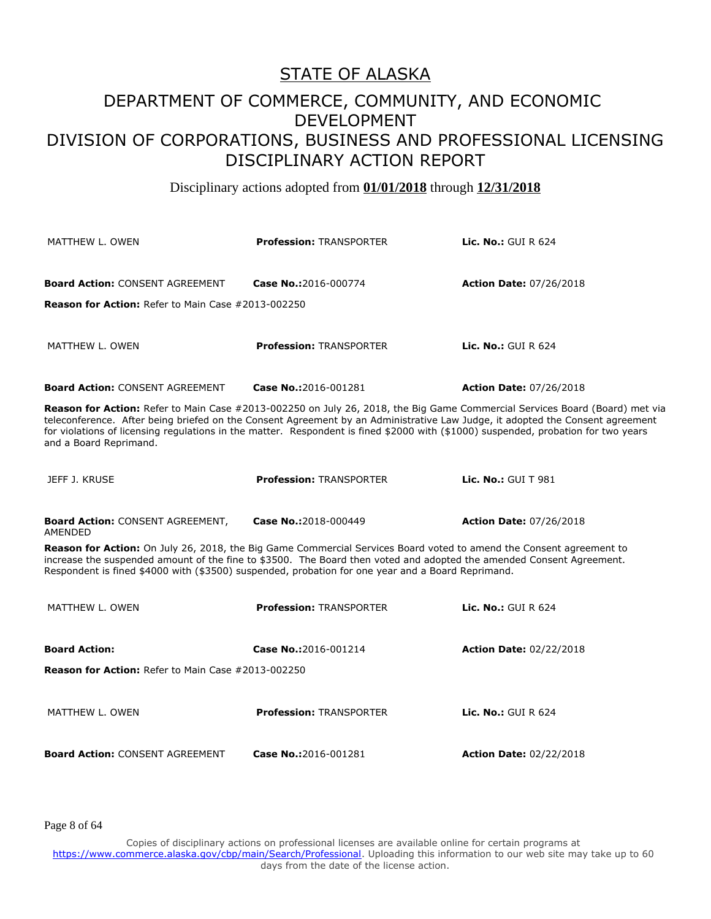Disciplinary actions adopted from **01/01/2018** through **12/31/2018**

| MATTHEW L. OWEN                                                                                                                                                                                                                                                                                                                                  | <b>Profession: TRANSPORTER</b> | <b>Lic. No.:</b> GUI R $624$                                                                                                |  |
|--------------------------------------------------------------------------------------------------------------------------------------------------------------------------------------------------------------------------------------------------------------------------------------------------------------------------------------------------|--------------------------------|-----------------------------------------------------------------------------------------------------------------------------|--|
| <b>Board Action: CONSENT AGREEMENT</b><br><b>Reason for Action: Refer to Main Case #2013-002250</b>                                                                                                                                                                                                                                              | Case No.:2016-000774           | <b>Action Date: 07/26/2018</b>                                                                                              |  |
| MATTHEW L. OWEN                                                                                                                                                                                                                                                                                                                                  | <b>Profession: TRANSPORTER</b> | <b>Lic. No.: GUI R 624</b>                                                                                                  |  |
| <b>Board Action: CONSENT AGREEMENT</b>                                                                                                                                                                                                                                                                                                           | Case No.:2016-001281           | <b>Action Date: 07/26/2018</b>                                                                                              |  |
| teleconference. After being briefed on the Consent Agreement by an Administrative Law Judge, it adopted the Consent agreement<br>for violations of licensing regulations in the matter. Respondent is fined \$2000 with (\$1000) suspended, probation for two years<br>and a Board Reprimand.                                                    |                                | Reason for Action: Refer to Main Case #2013-002250 on July 26, 2018, the Big Game Commercial Services Board (Board) met via |  |
| JEFF J. KRUSE                                                                                                                                                                                                                                                                                                                                    | <b>Profession: TRANSPORTER</b> | <b>Lic. No.: GUI T 981</b>                                                                                                  |  |
| <b>Board Action: CONSENT AGREEMENT,</b><br>AMENDED                                                                                                                                                                                                                                                                                               | Case No.:2018-000449           | <b>Action Date: 07/26/2018</b>                                                                                              |  |
| Reason for Action: On July 26, 2018, the Big Game Commercial Services Board voted to amend the Consent agreement to<br>increase the suspended amount of the fine to \$3500. The Board then voted and adopted the amended Consent Agreement.<br>Respondent is fined \$4000 with (\$3500) suspended, probation for one year and a Board Reprimand. |                                |                                                                                                                             |  |
| MATTHEW L. OWEN                                                                                                                                                                                                                                                                                                                                  | <b>Profession: TRANSPORTER</b> | <b>Lic. No.: GUI R 624</b>                                                                                                  |  |
| <b>Board Action:</b><br><b>Reason for Action: Refer to Main Case #2013-002250</b>                                                                                                                                                                                                                                                                | Case No.:2016-001214           | <b>Action Date: 02/22/2018</b>                                                                                              |  |
| MATTHEW L. OWEN                                                                                                                                                                                                                                                                                                                                  | <b>Profession: TRANSPORTER</b> | <b>Lic. No.: GUI R 624</b>                                                                                                  |  |
| <b>Board Action: CONSENT AGREEMENT</b>                                                                                                                                                                                                                                                                                                           | Case No.:2016-001281           | <b>Action Date: 02/22/2018</b>                                                                                              |  |

Page 8 of 64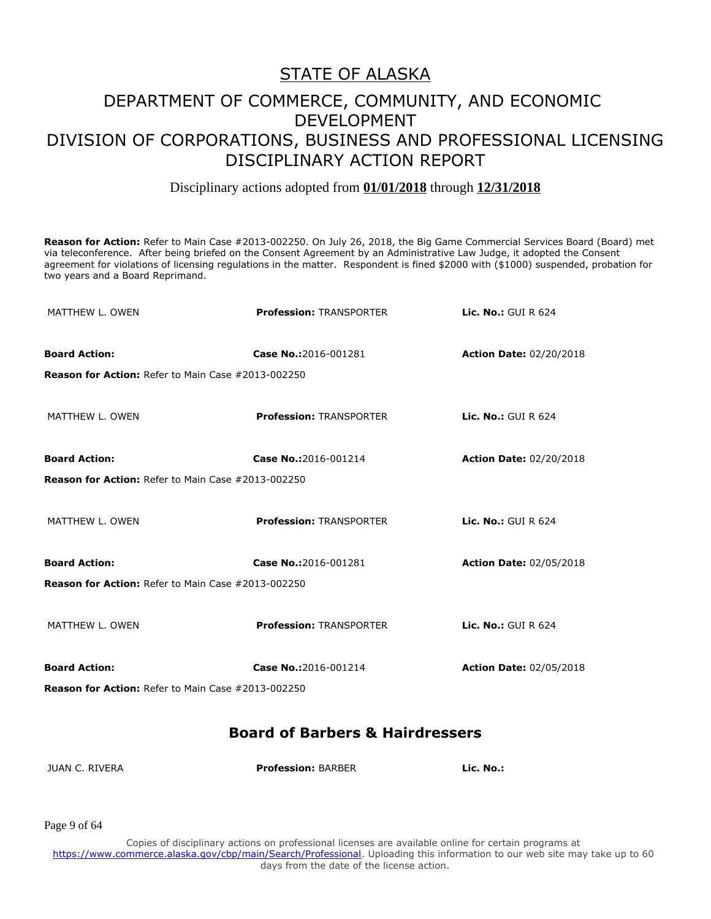#### Disciplinary actions adopted from **01/01/2018** through **12/31/2018**

**Reason for Action:** Refer to Main Case #2013-002250. On July 26, 2018, the Big Game Commercial Services Board (Board) met via teleconference. After being briefed on the Consent Agreement by an Administrative Law Judge, it adopted the Consent agreement for violations of licensing regulations in the matter. Respondent is fined \$2000 with (\$1000) suspended, probation for two years and a Board Reprimand.

| MATTHEW L. OWEN                                           | <b>Profession: TRANSPORTER</b> | <b>Lic. No.: GUI R 624</b>     |
|-----------------------------------------------------------|--------------------------------|--------------------------------|
| <b>Board Action:</b>                                      | Case No.:2016-001281           | <b>Action Date: 02/20/2018</b> |
| <b>Reason for Action: Refer to Main Case #2013-002250</b> |                                |                                |
| MATTHEW L. OWEN                                           | <b>Profession: TRANSPORTER</b> | Lic. No.: GUI R $624$          |
| <b>Board Action:</b>                                      | Case No.:2016-001214           | <b>Action Date: 02/20/2018</b> |
| Reason for Action: Refer to Main Case #2013-002250        |                                |                                |
| MATTHEW L. OWEN                                           | <b>Profession: TRANSPORTER</b> | Lic. No.: GUI R 624            |
| <b>Board Action:</b>                                      | Case No.:2016-001281           | <b>Action Date: 02/05/2018</b> |
| <b>Reason for Action: Refer to Main Case #2013-002250</b> |                                |                                |
| MATTHEW L. OWEN                                           | <b>Profession: TRANSPORTER</b> | <b>Lic. No.: GUI R 624</b>     |
| <b>Board Action:</b>                                      | Case No.:2016-001214           | <b>Action Date: 02/05/2018</b> |
| <b>Reason for Action: Refer to Main Case #2013-002250</b> |                                |                                |

#### **Board of Barbers & Hairdressers**

| <b>JUAN C. RIVERA</b> | <b>Profession: BARBER</b> | Lic. No.: |
|-----------------------|---------------------------|-----------|
|-----------------------|---------------------------|-----------|

Page 9 of 64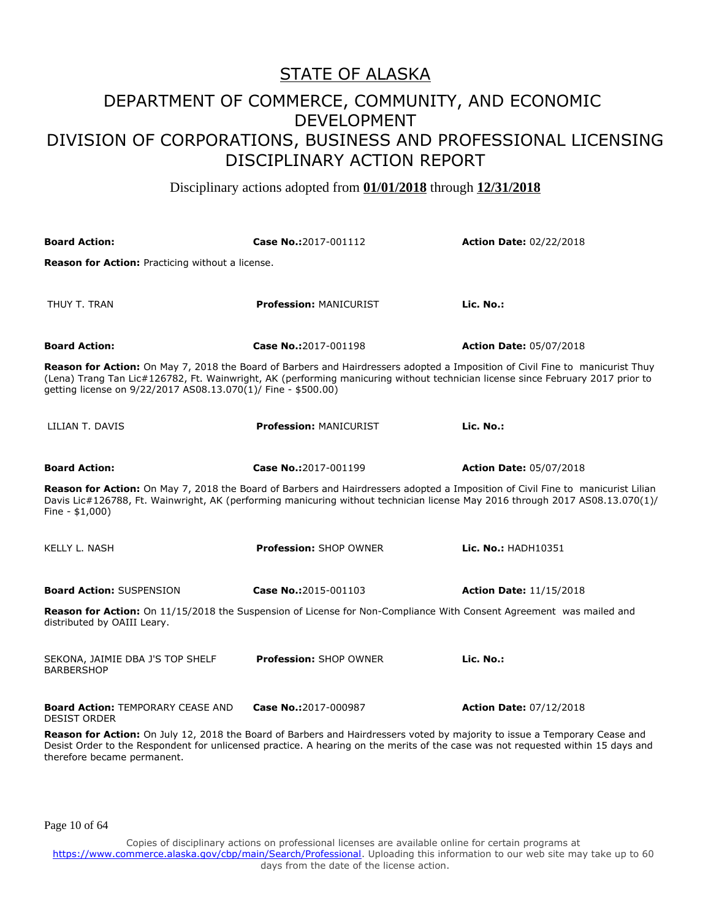Disciplinary actions adopted from **01/01/2018** through **12/31/2018**

| <b>Board Action:</b>                                                                                                                                                                                                                                                                                                             | Case No.:2017-001112                                                                                                                               | <b>Action Date: 02/22/2018</b> |
|----------------------------------------------------------------------------------------------------------------------------------------------------------------------------------------------------------------------------------------------------------------------------------------------------------------------------------|----------------------------------------------------------------------------------------------------------------------------------------------------|--------------------------------|
| Reason for Action: Practicing without a license.                                                                                                                                                                                                                                                                                 |                                                                                                                                                    |                                |
| THUY T. TRAN                                                                                                                                                                                                                                                                                                                     | <b>Profession: MANICURIST</b>                                                                                                                      | Lic. No.:                      |
| <b>Board Action:</b>                                                                                                                                                                                                                                                                                                             | Case No.:2017-001198                                                                                                                               | <b>Action Date: 05/07/2018</b> |
| Reason for Action: On May 7, 2018 the Board of Barbers and Hairdressers adopted a Imposition of Civil Fine to manicurist Thuy<br>(Lena) Trang Tan Lic#126782, Ft. Wainwright, AK (performing manicuring without technician license since February 2017 prior to<br>qetting license on 9/22/2017 AS08.13.070(1)/ Fine - \$500.00) |                                                                                                                                                    |                                |
| LILIAN T. DAVIS                                                                                                                                                                                                                                                                                                                  | <b>Profession: MANICURIST</b>                                                                                                                      | Lic. No.:                      |
| <b>Board Action:</b>                                                                                                                                                                                                                                                                                                             | Case No.:2017-001199                                                                                                                               | <b>Action Date: 05/07/2018</b> |
| Reason for Action: On May 7, 2018 the Board of Barbers and Hairdressers adopted a Imposition of Civil Fine to manicurist Lilian<br>Davis Lic#126788, Ft. Wainwright, AK (performing manicuring without technician license May 2016 through 2017 AS08.13.070(1)/<br>Fine - $$1,000$ )                                             |                                                                                                                                                    |                                |
| <b>KELLY L. NASH</b>                                                                                                                                                                                                                                                                                                             | <b>Profession: SHOP OWNER</b>                                                                                                                      | Lic. No.: HADH10351            |
| <b>Board Action: SUSPENSION</b>                                                                                                                                                                                                                                                                                                  | Case No.:2015-001103                                                                                                                               | <b>Action Date: 11/15/2018</b> |
| Reason for Action: On 11/15/2018 the Suspension of License for Non-Compliance With Consent Agreement was mailed and<br>distributed by OAIII Leary.                                                                                                                                                                               |                                                                                                                                                    |                                |
| SEKONA, JAIMIE DBA J'S TOP SHELF<br><b>BARBERSHOP</b>                                                                                                                                                                                                                                                                            | <b>Profession: SHOP OWNER</b>                                                                                                                      | Lic. No.:                      |
| <b>Board Action: TEMPORARY CEASE AND</b><br><b>DESIST ORDER</b>                                                                                                                                                                                                                                                                  | Case No.:2017-000987<br>Bezeen fer Action: On July 12, 2019 the Beard of Barbers and Hairdressers veted by majority to issue a Temperary Cease and | <b>Action Date: 07/12/2018</b> |

**Reason for Action:** On July 12, 2018 the Board of Barbers and Hairdressers voted by majority to issue a Temporary Cease and Desist Order to the Respondent for unlicensed practice. A hearing on the merits of the case was not requested within 15 days and therefore became permanent.

Page 10 of 64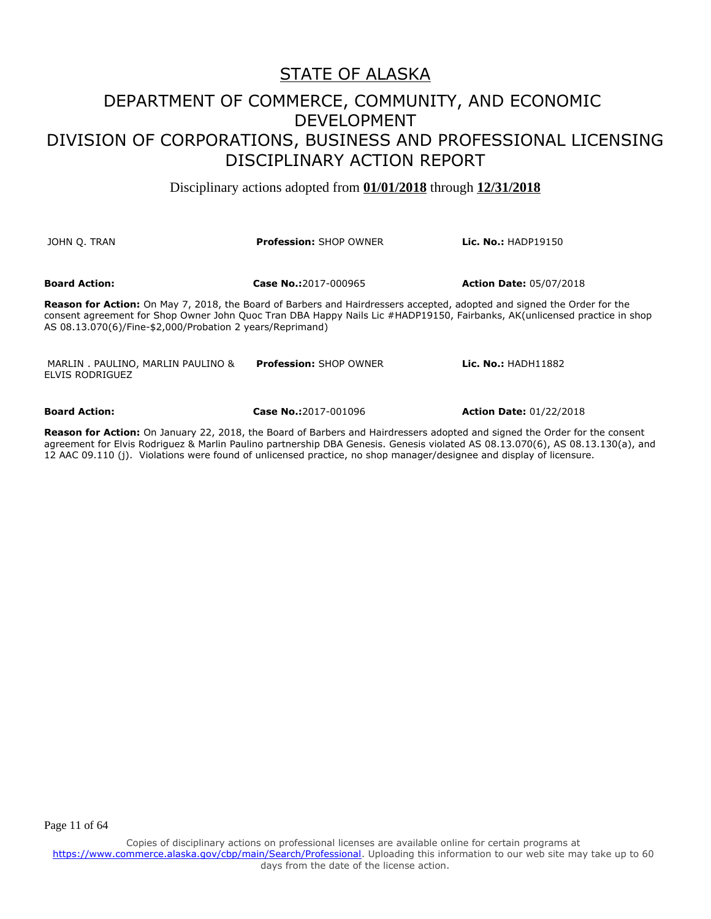Disciplinary actions adopted from **01/01/2018** through **12/31/2018**

| JOHN O. TRAN                                                                                                                                                                                                                                                                                                             | <b>Profession: SHOP OWNER</b> | <b>Lic. No.: HADP19150</b>     |
|--------------------------------------------------------------------------------------------------------------------------------------------------------------------------------------------------------------------------------------------------------------------------------------------------------------------------|-------------------------------|--------------------------------|
| <b>Board Action:</b>                                                                                                                                                                                                                                                                                                     | Case No.:2017-000965          | <b>Action Date: 05/07/2018</b> |
| <b>Reason for Action:</b> On May 7, 2018, the Board of Barbers and Hairdressers accepted, adopted and signed the Order for the<br>consent agreement for Shop Owner John Quoc Tran DBA Happy Nails Lic #HADP19150, Fairbanks, AK(unlicensed practice in shop<br>AS 08.13.070(6)/Fine-\$2,000/Probation 2 years/Reprimand) |                               |                                |
| MARLIN . PAULINO, MARLIN PAULINO &<br>ELVIS RODRIGUEZ                                                                                                                                                                                                                                                                    | <b>Profession: SHOP OWNER</b> | <b>Lic. No.: HADH11882</b>     |
| <b>Board Action:</b>                                                                                                                                                                                                                                                                                                     | Case No.:2017-001096          | <b>Action Date: 01/22/2018</b> |

**Reason for Action:** On January 22, 2018, the Board of Barbers and Hairdressers adopted and signed the Order for the consent agreement for Elvis Rodriguez & Marlin Paulino partnership DBA Genesis. Genesis violated AS 08.13.070(6), AS 08.13.130(a), and 12 AAC 09.110 (j). Violations were found of unlicensed practice, no shop manager/designee and display of licensure.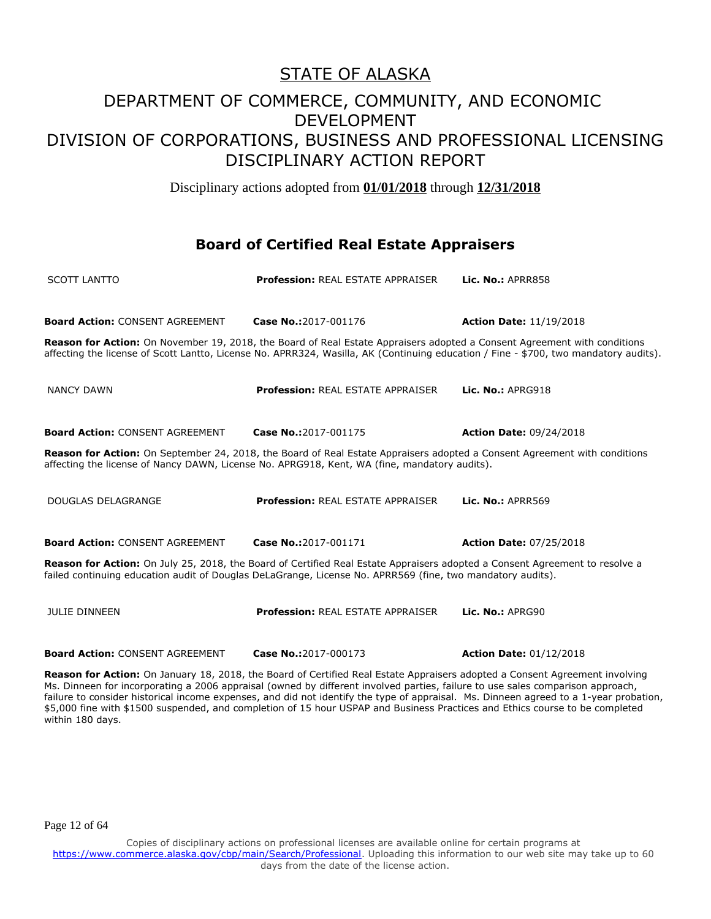Disciplinary actions adopted from **01/01/2018** through **12/31/2018**

#### **Board of Certified Real Estate Appraisers**

| <b>SCOTT LANTTO</b>                    | Profession: REAL ESTATE APPRAISER                                                                                                                                                                                                         | Lic. No.: APRR858                                                                                                                    |
|----------------------------------------|-------------------------------------------------------------------------------------------------------------------------------------------------------------------------------------------------------------------------------------------|--------------------------------------------------------------------------------------------------------------------------------------|
| <b>Board Action: CONSENT AGREEMENT</b> | Case No.:2017-001176                                                                                                                                                                                                                      | <b>Action Date: 11/19/2018</b>                                                                                                       |
|                                        | <b>Reason for Action:</b> On November 19, 2018, the Board of Real Estate Appraisers adopted a Consent Agreement with conditions                                                                                                           | affecting the license of Scott Lantto, License No. APRR324, Wasilla, AK (Continuing education / Fine - \$700, two mandatory audits). |
| <b>NANCY DAWN</b>                      | <b>Profession: REAL ESTATE APPRAISER</b>                                                                                                                                                                                                  | Lic. $No.:$ APRG918                                                                                                                  |
| <b>Board Action: CONSENT AGREEMENT</b> | Case No.:2017-001175                                                                                                                                                                                                                      | <b>Action Date: 09/24/2018</b>                                                                                                       |
|                                        | Reason for Action: On September 24, 2018, the Board of Real Estate Appraisers adopted a Consent Agreement with conditions<br>affecting the license of Nancy DAWN, License No. APRG918, Kent, WA (fine, mandatory audits).                 |                                                                                                                                      |
| DOUGLAS DELAGRANGE                     | <b>Profession: REAL ESTATE APPRAISER</b>                                                                                                                                                                                                  | Lic. No.: APRR569                                                                                                                    |
| <b>Board Action: CONSENT AGREEMENT</b> | Case No.:2017-001171                                                                                                                                                                                                                      | <b>Action Date: 07/25/2018</b>                                                                                                       |
|                                        | Reason for Action: On July 25, 2018, the Board of Certified Real Estate Appraisers adopted a Consent Agreement to resolve a<br>failed continuing education audit of Douglas DeLaGrange, License No. APRR569 (fine, two mandatory audits). |                                                                                                                                      |
| <b>JULIE DINNEEN</b>                   | <b>Profession: REAL ESTATE APPRAISER</b>                                                                                                                                                                                                  | Lic. No.: APRG90                                                                                                                     |
| <b>Board Action: CONSENT AGREEMENT</b> | Case No.:2017-000173                                                                                                                                                                                                                      | <b>Action Date: 01/12/2018</b>                                                                                                       |

Reason for Action: On January 18, 2018, the Board of Certified Real Estate Appraisers adopted a Consent Agreement involving Ms. Dinneen for incorporating a 2006 appraisal (owned by different involved parties, failure to use sales comparison approach, failure to consider historical income expenses, and did not identify the type of appraisal. Ms. Dinneen agreed to a 1-year probation, \$5,000 fine with \$1500 suspended, and completion of 15 hour USPAP and Business Practices and Ethics course to be completed within 180 days.

Page 12 of 64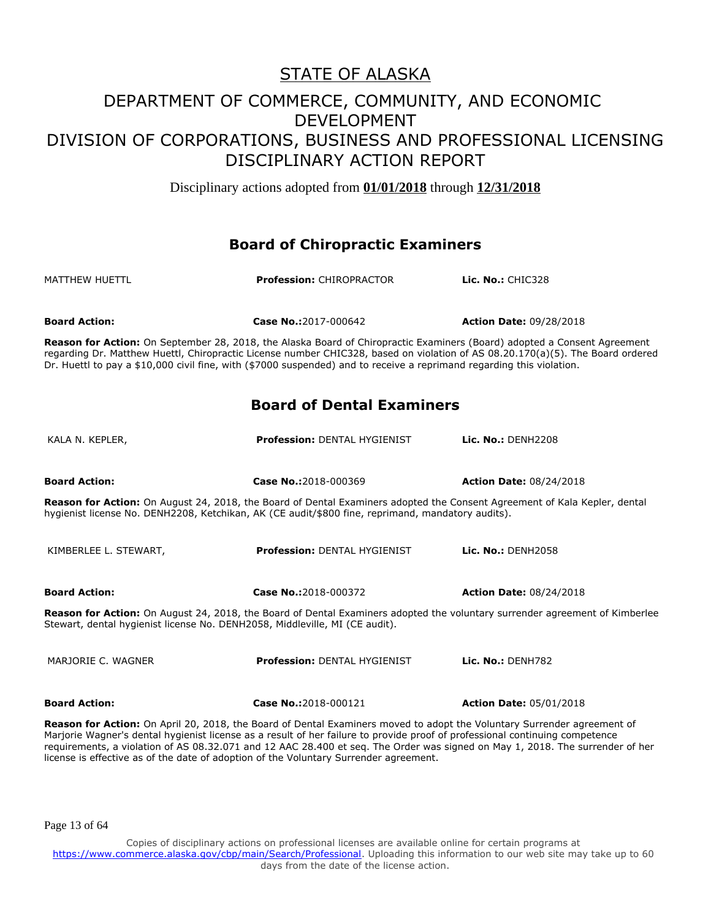Disciplinary actions adopted from **01/01/2018** through **12/31/2018**

#### **Board of Chiropractic Examiners**

| MATTHEW HUETTL       | <b>Profession: CHIROPRACTOR</b> | Lic. No.: $CHIC328$            |
|----------------------|---------------------------------|--------------------------------|
| <b>Board Action:</b> | Case No.:2017-000642            | <b>Action Date: 09/28/2018</b> |

**Reason for Action:** On September 28, 2018, the Alaska Board of Chiropractic Examiners (Board) adopted a Consent Agreement regarding Dr. Matthew Huettl, Chiropractic License number CHIC328, based on violation of AS 08.20.170(a)(5). The Board ordered Dr. Huettl to pay a \$10,000 civil fine, with (\$7000 suspended) and to receive a reprimand regarding this violation.

#### **Board of Dental Examiners**

| KALA N. KEPLER,                                                                                                                                                                                                                | <b>Profession: DENTAL HYGIENIST</b>                                                                                            | Lic. $No.:$ DFNH $2208$        |
|--------------------------------------------------------------------------------------------------------------------------------------------------------------------------------------------------------------------------------|--------------------------------------------------------------------------------------------------------------------------------|--------------------------------|
| <b>Board Action:</b>                                                                                                                                                                                                           | Case No.:2018-000369                                                                                                           | <b>Action Date: 08/24/2018</b> |
| Reason for Action: On August 24, 2018, the Board of Dental Examiners adopted the Consent Agreement of Kala Kepler, dental<br>hygienist license No. DENH2208, Ketchikan, AK (CE audit/\$800 fine, reprimand, mandatory audits). |                                                                                                                                |                                |
| KIMBERLEE L. STEWART,                                                                                                                                                                                                          | <b>Profession: DENTAL HYGIENIST</b>                                                                                            | <b>Lic. No.: DENH2058</b>      |
| <b>Board Action:</b>                                                                                                                                                                                                           | Case No.:2018-000372                                                                                                           | <b>Action Date: 08/24/2018</b> |
| Reason for Action: On August 24, 2018, the Board of Dental Examiners adopted the voluntary surrender agreement of Kimberlee<br>Stewart, dental hygienist license No. DENH2058, Middleville, MI (CE audit).                     |                                                                                                                                |                                |
| MARJORIE C. WAGNER                                                                                                                                                                                                             | <b>Profession: DENTAL HYGIENIST</b>                                                                                            | Lic. $No.:$ DENH782            |
| <b>Board Action:</b>                                                                                                                                                                                                           | Case No.:2018-000121                                                                                                           | <b>Action Date: 05/01/2018</b> |
|                                                                                                                                                                                                                                | <b>Bozcon for Action:</b> On April 20, 2019, the Board of Dontal Evaminers moved to adont the Voluntary Surrender agreement of |                                |

**Reason for Action:** On April 20, 2018, the Board of Dental Examiners moved to adopt the Voluntary Surrender agreement of Marjorie Wagner's dental hygienist license as a result of her failure to provide proof of professional continuing competence requirements, a violation of AS 08.32.071 and 12 AAC 28.400 et seq. The Order was signed on May 1, 2018. The surrender of her license is effective as of the date of adoption of the Voluntary Surrender agreement.

Page 13 of 64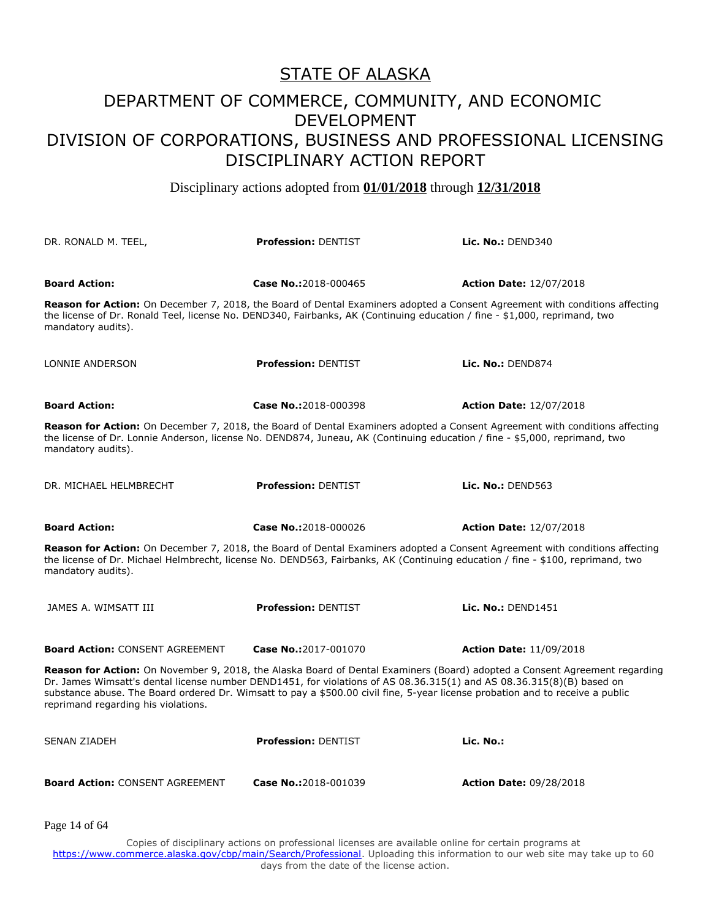Disciplinary actions adopted from **01/01/2018** through **12/31/2018**

| DR. RONALD M. TEEL,                                                                                                                                                                                                                                                                                                                                                                                                                | <b>Profession: DENTIST</b>                                                                                                                                                                                                                                           | Lic. $No.:$ DEND340            |
|------------------------------------------------------------------------------------------------------------------------------------------------------------------------------------------------------------------------------------------------------------------------------------------------------------------------------------------------------------------------------------------------------------------------------------|----------------------------------------------------------------------------------------------------------------------------------------------------------------------------------------------------------------------------------------------------------------------|--------------------------------|
| <b>Board Action:</b>                                                                                                                                                                                                                                                                                                                                                                                                               | Case No.:2018-000465                                                                                                                                                                                                                                                 | <b>Action Date: 12/07/2018</b> |
| the license of Dr. Ronald Teel, license No. DEND340, Fairbanks, AK (Continuing education / fine - \$1,000, reprimand, two<br>mandatory audits).                                                                                                                                                                                                                                                                                    | Reason for Action: On December 7, 2018, the Board of Dental Examiners adopted a Consent Agreement with conditions affecting                                                                                                                                          |                                |
| LONNIE ANDERSON                                                                                                                                                                                                                                                                                                                                                                                                                    | <b>Profession: DENTIST</b>                                                                                                                                                                                                                                           | Lic. $No.:$ DEND874            |
| <b>Board Action:</b>                                                                                                                                                                                                                                                                                                                                                                                                               | Case No.:2018-000398                                                                                                                                                                                                                                                 | <b>Action Date: 12/07/2018</b> |
| Reason for Action: On December 7, 2018, the Board of Dental Examiners adopted a Consent Agreement with conditions affecting<br>mandatory audits).                                                                                                                                                                                                                                                                                  | the license of Dr. Lonnie Anderson, license No. DEND874, Juneau, AK (Continuing education / fine - \$5,000, reprimand, two                                                                                                                                           |                                |
| DR. MICHAEL HELMBRECHT                                                                                                                                                                                                                                                                                                                                                                                                             | <b>Profession: DENTIST</b>                                                                                                                                                                                                                                           | Lic. $No.:$ DEND563            |
| <b>Board Action:</b>                                                                                                                                                                                                                                                                                                                                                                                                               | Case No.:2018-000026                                                                                                                                                                                                                                                 | <b>Action Date: 12/07/2018</b> |
| mandatory audits).                                                                                                                                                                                                                                                                                                                                                                                                                 | <b>Reason for Action:</b> On December 7, 2018, the Board of Dental Examiners adopted a Consent Agreement with conditions affecting<br>the license of Dr. Michael Helmbrecht, license No. DEND563, Fairbanks, AK (Continuing education / fine - \$100, reprimand, two |                                |
| JAMES A. WIMSATT III                                                                                                                                                                                                                                                                                                                                                                                                               | <b>Profession: DENTIST</b>                                                                                                                                                                                                                                           | Lic. No.: $DEND1451$           |
| <b>Board Action: CONSENT AGREEMENT</b>                                                                                                                                                                                                                                                                                                                                                                                             | Case No.:2017-001070                                                                                                                                                                                                                                                 | <b>Action Date: 11/09/2018</b> |
| <b>Reason for Action:</b> On November 9, 2018, the Alaska Board of Dental Examiners (Board) adopted a Consent Agreement regarding<br>Dr. James Wimsatt's dental license number DEND1451, for violations of AS 08.36.315(1) and AS 08.36.315(8)(B) based on<br>substance abuse. The Board ordered Dr. Wimsatt to pay a \$500.00 civil fine, 5-year license probation and to receive a public<br>reprimand regarding his violations. |                                                                                                                                                                                                                                                                      |                                |
| <b>SENAN ZIADEH</b>                                                                                                                                                                                                                                                                                                                                                                                                                | <b>Profession: DENTIST</b>                                                                                                                                                                                                                                           | Lic. No.:                      |
| <b>Board Action: CONSENT AGREEMENT</b>                                                                                                                                                                                                                                                                                                                                                                                             | Case No.:2018-001039                                                                                                                                                                                                                                                 | <b>Action Date: 09/28/2018</b> |

Page 14 of 64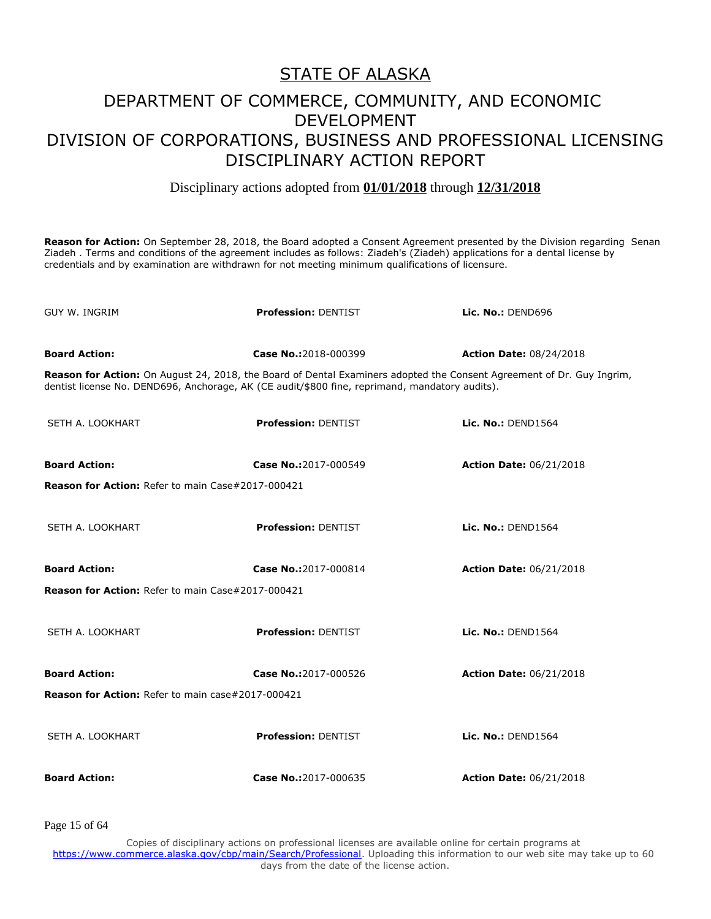#### Disciplinary actions adopted from **01/01/2018** through **12/31/2018**

**Reason for Action:** On September 28, 2018, the Board adopted a Consent Agreement presented by the Division regarding Senan Ziadeh . Terms and conditions of the agreement includes as follows: Ziadeh's (Ziadeh) applications for a dental license by credentials and by examination are withdrawn for not meeting minimum qualifications of licensure.

| GUY W. INGRIM                                            | <b>Profession: DENTIST</b>                                                                                                                                                                                              | Lic. No.: DEND696              |
|----------------------------------------------------------|-------------------------------------------------------------------------------------------------------------------------------------------------------------------------------------------------------------------------|--------------------------------|
| <b>Board Action:</b>                                     | Case No.:2018-000399                                                                                                                                                                                                    | <b>Action Date: 08/24/2018</b> |
|                                                          | Reason for Action: On August 24, 2018, the Board of Dental Examiners adopted the Consent Agreement of Dr. Guy Ingrim,<br>dentist license No. DEND696, Anchorage, AK (CE audit/\$800 fine, reprimand, mandatory audits). |                                |
| SETH A. LOOKHART                                         | <b>Profession: DENTIST</b>                                                                                                                                                                                              | Lic. No.: DEND1564             |
| <b>Board Action:</b>                                     | Case No.:2017-000549                                                                                                                                                                                                    | <b>Action Date: 06/21/2018</b> |
| <b>Reason for Action: Refer to main Case#2017-000421</b> |                                                                                                                                                                                                                         |                                |
| SETH A. LOOKHART                                         | <b>Profession: DENTIST</b>                                                                                                                                                                                              | Lic. No.: DEND1564             |
| <b>Board Action:</b>                                     | Case No.:2017-000814                                                                                                                                                                                                    | <b>Action Date: 06/21/2018</b> |
| <b>Reason for Action: Refer to main Case#2017-000421</b> |                                                                                                                                                                                                                         |                                |
| SETH A. LOOKHART                                         | <b>Profession: DENTIST</b>                                                                                                                                                                                              | Lic. No.: DEND1564             |
| <b>Board Action:</b>                                     | Case No.:2017-000526                                                                                                                                                                                                    | <b>Action Date: 06/21/2018</b> |
| Reason for Action: Refer to main case#2017-000421        |                                                                                                                                                                                                                         |                                |
| SETH A. LOOKHART                                         | <b>Profession: DENTIST</b>                                                                                                                                                                                              | Lic. No.: DEND1564             |
| <b>Board Action:</b>                                     | Case No.:2017-000635                                                                                                                                                                                                    | <b>Action Date: 06/21/2018</b> |

Page 15 of 64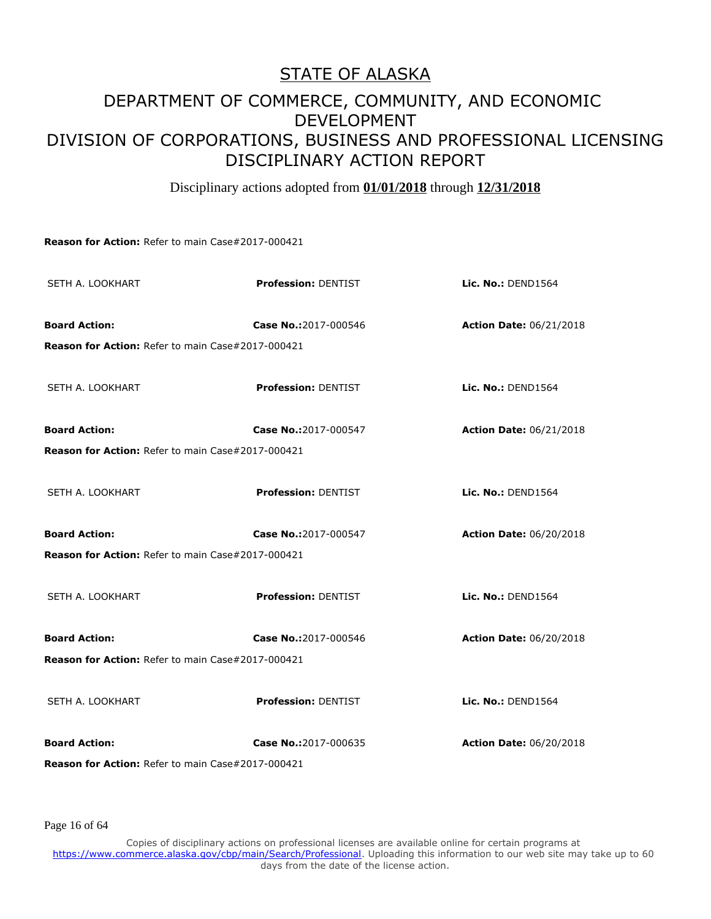Disciplinary actions adopted from **01/01/2018** through **12/31/2018**

**Reason for Action:** Refer to main Case#2017-000421

| SETH A. LOOKHART                                  | <b>Profession: DENTIST</b> | Lic. No.: DEND1564             |
|---------------------------------------------------|----------------------------|--------------------------------|
| <b>Board Action:</b>                              | Case No.:2017-000546       | <b>Action Date: 06/21/2018</b> |
| Reason for Action: Refer to main Case#2017-000421 |                            |                                |
| SETH A. LOOKHART                                  | <b>Profession: DENTIST</b> | Lic. No.: DEND1564             |
| <b>Board Action:</b>                              | Case No.:2017-000547       | <b>Action Date: 06/21/2018</b> |
| Reason for Action: Refer to main Case#2017-000421 |                            |                                |
| SETH A. LOOKHART                                  | <b>Profession: DENTIST</b> | Lic. No.: DEND1564             |
| <b>Board Action:</b>                              | Case No.:2017-000547       | <b>Action Date: 06/20/2018</b> |
| Reason for Action: Refer to main Case#2017-000421 |                            |                                |
| SETH A. LOOKHART                                  | <b>Profession: DENTIST</b> | Lic. No.: DEND1564             |
| <b>Board Action:</b>                              | Case No.:2017-000546       | <b>Action Date: 06/20/2018</b> |
| Reason for Action: Refer to main Case#2017-000421 |                            |                                |
| SETH A. LOOKHART                                  | <b>Profession: DENTIST</b> | Lic. No.: DEND1564             |
| <b>Board Action:</b>                              | Case No.:2017-000635       | <b>Action Date: 06/20/2018</b> |
| Reason for Action: Refer to main Case#2017-000421 |                            |                                |

Page 16 of 64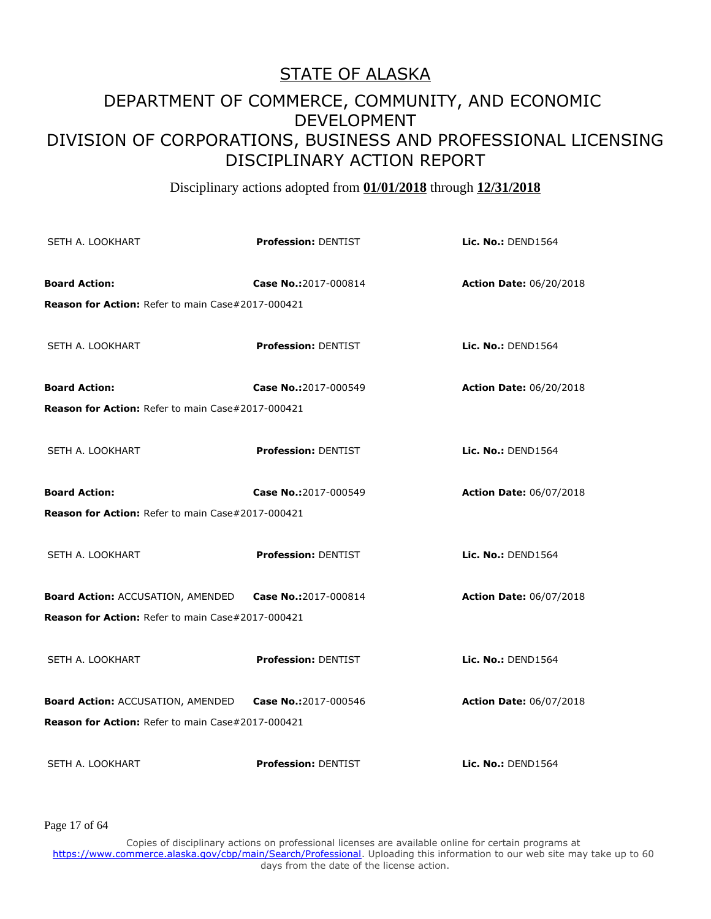Disciplinary actions adopted from **01/01/2018** through **12/31/2018**

| SETH A. LOOKHART                                              | <b>Profession: DENTIST</b> | Lic. No.: DEND1564             |
|---------------------------------------------------------------|----------------------------|--------------------------------|
| <b>Board Action:</b>                                          | Case No.:2017-000814       | <b>Action Date: 06/20/2018</b> |
| <b>Reason for Action: Refer to main Case#2017-000421</b>      |                            |                                |
| SETH A. LOOKHART                                              | <b>Profession: DENTIST</b> | <b>Lic. No.: DEND1564</b>      |
| <b>Board Action:</b>                                          | Case No.:2017-000549       | <b>Action Date: 06/20/2018</b> |
| <b>Reason for Action: Refer to main Case#2017-000421</b>      |                            |                                |
| SETH A. LOOKHART                                              | <b>Profession: DENTIST</b> | <b>Lic. No.: DEND1564</b>      |
| <b>Board Action:</b>                                          | Case No.:2017-000549       | <b>Action Date: 06/07/2018</b> |
| <b>Reason for Action: Refer to main Case#2017-000421</b>      |                            |                                |
| SETH A. LOOKHART                                              | <b>Profession: DENTIST</b> | Lic. No.: $DEND1564$           |
| Board Action: ACCUSATION, AMENDED Case No.:2017-000814        |                            | <b>Action Date: 06/07/2018</b> |
| <b>Reason for Action: Refer to main Case#2017-000421</b>      |                            |                                |
| SETH A. LOOKHART                                              | <b>Profession: DENTIST</b> | Lic. No.: DEND1564             |
| <b>Board Action: ACCUSATION, AMENDED</b> Case No.:2017-000546 |                            | <b>Action Date: 06/07/2018</b> |
| Reason for Action: Refer to main Case#2017-000421             |                            |                                |
| SETH A. LOOKHART                                              | <b>Profession: DENTIST</b> | Lic. No.: $DEND1564$           |

Page 17 of 64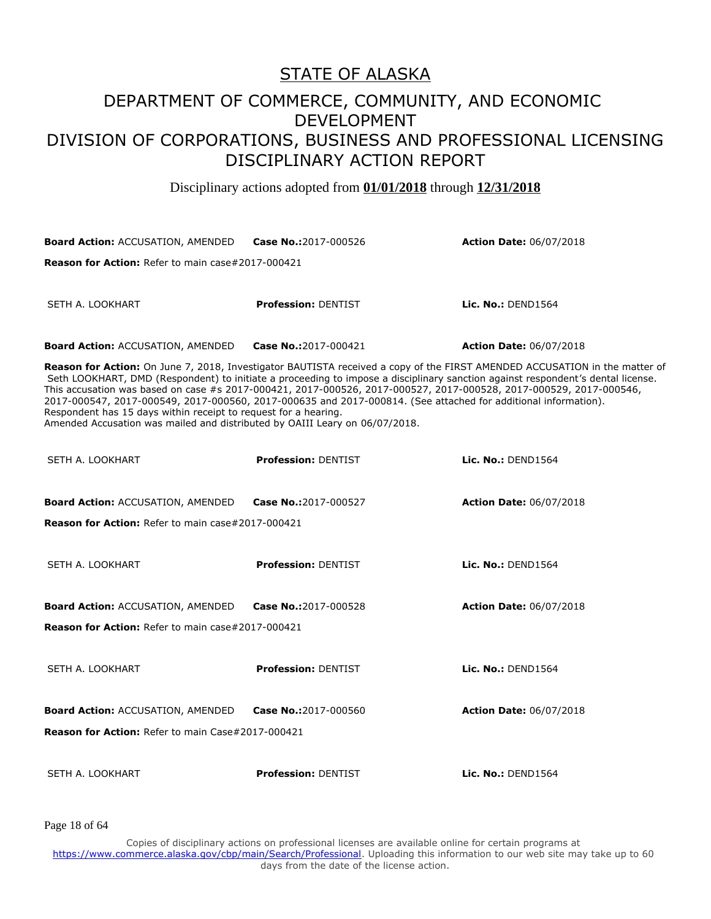#### DEPARTMENT OF COMMERCE, COMMUNITY, AND ECONOMIC DEVELOPMENT DIVISION OF CORPORATIONS, BUSINESS AND PROFESSIONAL LICENSING DISCIPLINARY ACTION REPORT

Disciplinary actions adopted from **01/01/2018** through **12/31/2018**

| <b>Board Action: ACCUSATION, AMENDED</b>                                                                                                                                                                                                                                                                                                                                                                                                                                                                                                                                                                                                                | Case No.:2017-000526       | <b>Action Date: 06/07/2018</b> |  |
|---------------------------------------------------------------------------------------------------------------------------------------------------------------------------------------------------------------------------------------------------------------------------------------------------------------------------------------------------------------------------------------------------------------------------------------------------------------------------------------------------------------------------------------------------------------------------------------------------------------------------------------------------------|----------------------------|--------------------------------|--|
| Reason for Action: Refer to main case#2017-000421                                                                                                                                                                                                                                                                                                                                                                                                                                                                                                                                                                                                       |                            |                                |  |
| SETH A. LOOKHART                                                                                                                                                                                                                                                                                                                                                                                                                                                                                                                                                                                                                                        | <b>Profession: DENTIST</b> | Lic. No.: $DEND1564$           |  |
| <b>Board Action: ACCUSATION, AMENDED</b>                                                                                                                                                                                                                                                                                                                                                                                                                                                                                                                                                                                                                | Case No.:2017-000421       | <b>Action Date: 06/07/2018</b> |  |
| Reason for Action: On June 7, 2018, Investigator BAUTISTA received a copy of the FIRST AMENDED ACCUSATION in the matter of<br>Seth LOOKHART, DMD (Respondent) to initiate a proceeding to impose a disciplinary sanction against respondent's dental license.<br>This accusation was based on case #s 2017-000421, 2017-000526, 2017-000527, 2017-000528, 2017-000529, 2017-000546,<br>2017-000547, 2017-000549, 2017-000560, 2017-000635 and 2017-000814. (See attached for additional information).<br>Respondent has 15 days within receipt to request for a hearing.<br>Amended Accusation was mailed and distributed by OAIII Leary on 06/07/2018. |                            |                                |  |
| SETH A. LOOKHART                                                                                                                                                                                                                                                                                                                                                                                                                                                                                                                                                                                                                                        | <b>Profession: DENTIST</b> | Lic. No.: DEND1564             |  |
| <b>Board Action: ACCUSATION, AMENDED</b>                                                                                                                                                                                                                                                                                                                                                                                                                                                                                                                                                                                                                | Case No.:2017-000527       | <b>Action Date: 06/07/2018</b> |  |
| <b>Reason for Action:</b> Refer to main case#2017-000421                                                                                                                                                                                                                                                                                                                                                                                                                                                                                                                                                                                                |                            |                                |  |
| SETH A. LOOKHART                                                                                                                                                                                                                                                                                                                                                                                                                                                                                                                                                                                                                                        | <b>Profession: DENTIST</b> | Lic. No.: DEND1564             |  |
| <b>Board Action: ACCUSATION, AMENDED</b>                                                                                                                                                                                                                                                                                                                                                                                                                                                                                                                                                                                                                | Case No.:2017-000528       | <b>Action Date: 06/07/2018</b> |  |
| <b>Reason for Action:</b> Refer to main case#2017-000421                                                                                                                                                                                                                                                                                                                                                                                                                                                                                                                                                                                                |                            |                                |  |
| SETH A. LOOKHART                                                                                                                                                                                                                                                                                                                                                                                                                                                                                                                                                                                                                                        | <b>Profession: DENTIST</b> | Lic. No.: DEND1564             |  |
| <b>Board Action: ACCUSATION, AMENDED</b>                                                                                                                                                                                                                                                                                                                                                                                                                                                                                                                                                                                                                | Case No.:2017-000560       | <b>Action Date: 06/07/2018</b> |  |
| <b>Reason for Action: Refer to main Case#2017-000421</b>                                                                                                                                                                                                                                                                                                                                                                                                                                                                                                                                                                                                |                            |                                |  |
| SETH A. LOOKHART                                                                                                                                                                                                                                                                                                                                                                                                                                                                                                                                                                                                                                        | <b>Profession: DENTIST</b> | Lic. No.: DEND1564             |  |

Page 18 of 64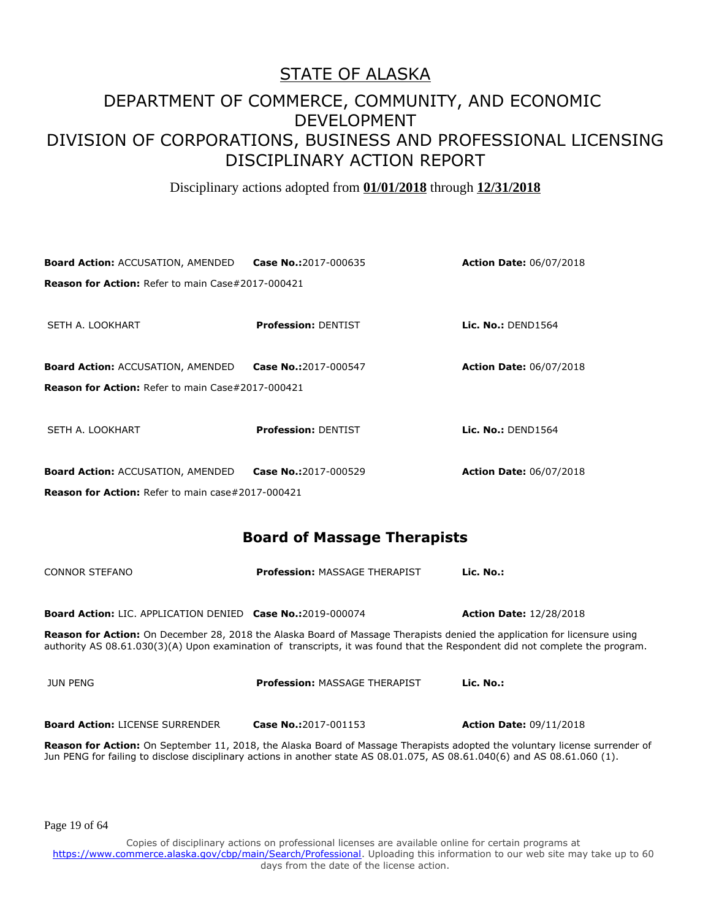Disciplinary actions adopted from **01/01/2018** through **12/31/2018**

| Case No.:2017-000635                                     | <b>Action Date: 06/07/2018</b> |
|----------------------------------------------------------|--------------------------------|
| <b>Reason for Action:</b> Refer to main Case#2017-000421 |                                |
|                                                          |                                |
| <b>Profession: DENTIST</b>                               | Lic. No.: $DEND1564$           |
|                                                          |                                |
| Case No.:2017-000547                                     | <b>Action Date: 06/07/2018</b> |
| <b>Reason for Action: Refer to main Case#2017-000421</b> |                                |
|                                                          |                                |
| <b>Profession: DENTIST</b>                               | Lic. No.: DEND1564             |
|                                                          |                                |
| Case No.:2017-000529                                     | <b>Action Date: 06/07/2018</b> |
| <b>Reason for Action:</b> Refer to main case#2017-000421 |                                |
|                                                          |                                |

#### **Board of Massage Therapists**

| CONNOR STEFANO                                                    | <b>Profession: MASSAGE THERAPIST</b>                                                                                                                                                                                                                             | Lic. No.:                      |
|-------------------------------------------------------------------|------------------------------------------------------------------------------------------------------------------------------------------------------------------------------------------------------------------------------------------------------------------|--------------------------------|
| <b>Board Action: LIC. APPLICATION DENIED Case No.:2019-000074</b> |                                                                                                                                                                                                                                                                  | <b>Action Date: 12/28/2018</b> |
|                                                                   | <b>Reason for Action:</b> On December 28, 2018 the Alaska Board of Massage Therapists denied the application for licensure using<br>authority AS 08.61.030(3)(A) Upon examination of transcripts, it was found that the Respondent did not complete the program. |                                |
| JUN PENG                                                          | <b>Profession: MASSAGE THERAPIST</b>                                                                                                                                                                                                                             | Lic. No.:                      |
| <b>Board Action: LICENSE SURRENDER</b>                            | Case No.:2017-001153                                                                                                                                                                                                                                             | <b>Action Date: 09/11/2018</b> |
|                                                                   | <b>Depens for Astien:</b> On Contember 11, 2010, the Algelia Beard of Macenzo Thoroniste adopted the veluptary licence currendor of                                                                                                                              |                                |

**Reason for Action:** On September 11, 2018, the Alaska Board of Massage Therapists adopted the voluntary license surrender of Jun PENG for failing to disclose disciplinary actions in another state AS 08.01.075, AS 08.61.040(6) and AS 08.61.060 (1).

Page 19 of 64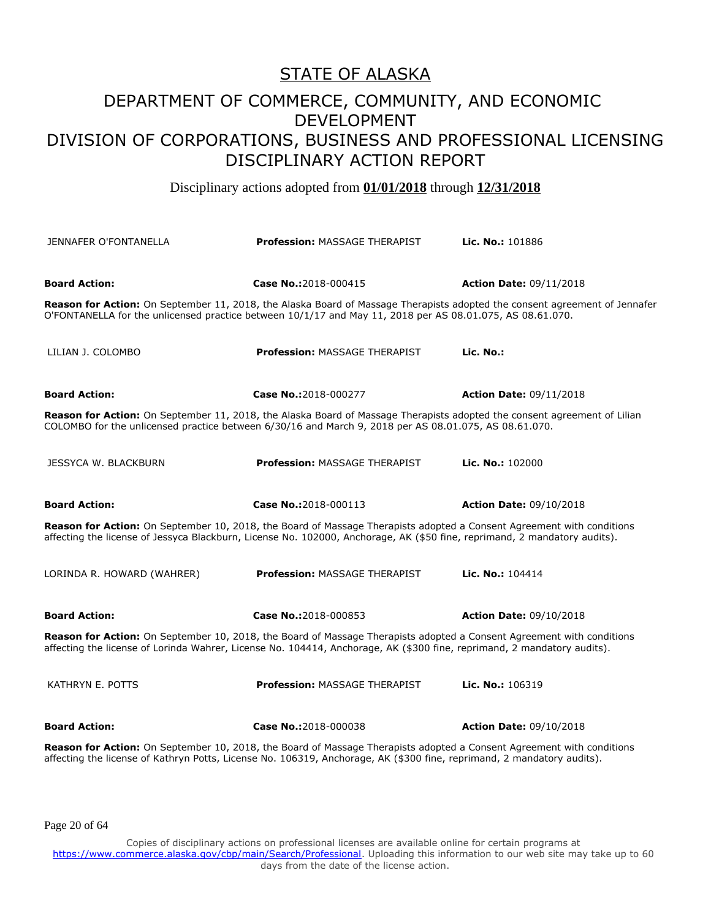Disciplinary actions adopted from **01/01/2018** through **12/31/2018**

| <b>JENNAFER O'FONTANELLA</b>                                                                                                                                                                                                                       | <b>Profession: MASSAGE THERAPIST</b> | Lic. No.: 101886               |
|----------------------------------------------------------------------------------------------------------------------------------------------------------------------------------------------------------------------------------------------------|--------------------------------------|--------------------------------|
|                                                                                                                                                                                                                                                    |                                      |                                |
| <b>Board Action:</b>                                                                                                                                                                                                                               | Case No.:2018-000415                 | <b>Action Date: 09/11/2018</b> |
| Reason for Action: On September 11, 2018, the Alaska Board of Massage Therapists adopted the consent agreement of Jennafer<br>O'FONTANELLA for the unlicensed practice between 10/1/17 and May 11, 2018 per AS 08.01.075, AS 08.61.070.            |                                      |                                |
| LILIAN J. COLOMBO                                                                                                                                                                                                                                  | <b>Profession: MASSAGE THERAPIST</b> | Lic. No.:                      |
| <b>Board Action:</b>                                                                                                                                                                                                                               | Case No.:2018-000277                 | <b>Action Date: 09/11/2018</b> |
| Reason for Action: On September 11, 2018, the Alaska Board of Massage Therapists adopted the consent agreement of Lilian<br>COLOMBO for the unlicensed practice between 6/30/16 and March 9, 2018 per AS 08.01.075, AS 08.61.070.                  |                                      |                                |
| JESSYCA W. BLACKBURN                                                                                                                                                                                                                               | <b>Profession: MASSAGE THERAPIST</b> | Lic. No.: $102000$             |
| <b>Board Action:</b>                                                                                                                                                                                                                               | Case No.:2018-000113                 | <b>Action Date: 09/10/2018</b> |
| Reason for Action: On September 10, 2018, the Board of Massage Therapists adopted a Consent Agreement with conditions<br>affecting the license of Jessyca Blackburn, License No. 102000, Anchorage, AK (\$50 fine, reprimand, 2 mandatory audits). |                                      |                                |
| LORINDA R. HOWARD (WAHRER)                                                                                                                                                                                                                         | <b>Profession: MASSAGE THERAPIST</b> | Lic. No.: 104414               |
| <b>Board Action:</b>                                                                                                                                                                                                                               | Case No.:2018-000853                 | <b>Action Date: 09/10/2018</b> |
| Reason for Action: On September 10, 2018, the Board of Massage Therapists adopted a Consent Agreement with conditions<br>affecting the license of Lorinda Wahrer, License No. 104414, Anchorage, AK (\$300 fine, reprimand, 2 mandatory audits).   |                                      |                                |
| KATHRYN E. POTTS                                                                                                                                                                                                                                   | <b>Profession: MASSAGE THERAPIST</b> | Lic. No.: 106319               |
| <b>Board Action:</b>                                                                                                                                                                                                                               | Case No.:2018-000038                 | <b>Action Date: 09/10/2018</b> |
| Reason for Action: On September 10, 2018, the Board of Massage Therapists adopted a Consent Agreement with conditions<br>affecting the license of Kathryn Potts, License No. 106319, Anchorage, AK (\$300 fine, reprimand, 2 mandatory audits).    |                                      |                                |

Page 20 of 64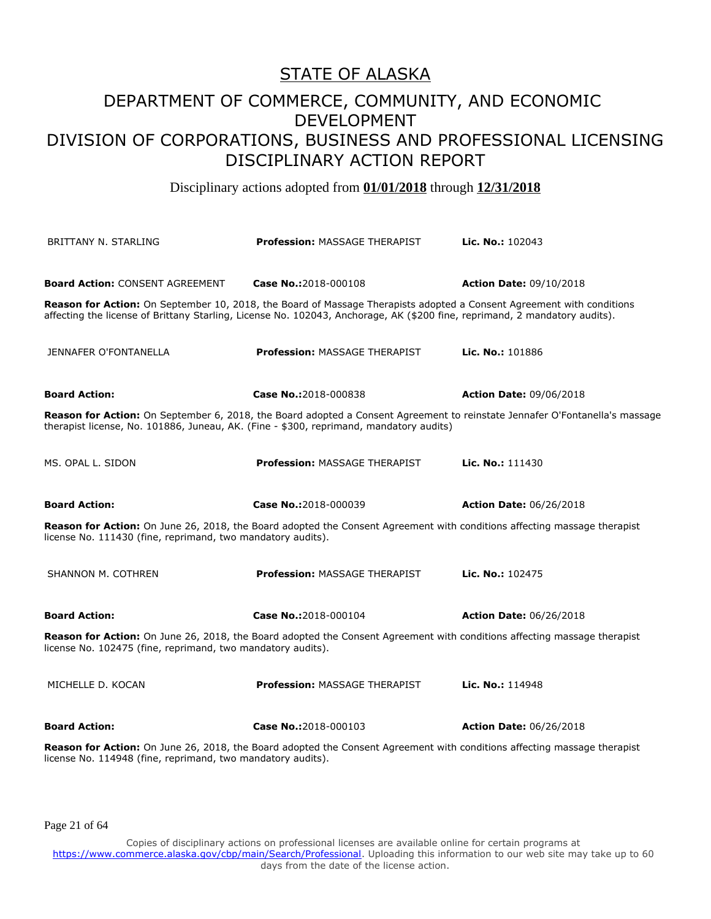Disciplinary actions adopted from **01/01/2018** through **12/31/2018**

| BRITTANY N. STARLING                                        | <b>Profession: MASSAGE THERAPIST</b>                                                                                                                                                                                                                | <b>Lic. No.: 102043</b>        |
|-------------------------------------------------------------|-----------------------------------------------------------------------------------------------------------------------------------------------------------------------------------------------------------------------------------------------------|--------------------------------|
| <b>Board Action: CONSENT AGREEMENT</b>                      | Case No.:2018-000108                                                                                                                                                                                                                                | <b>Action Date: 09/10/2018</b> |
|                                                             | Reason for Action: On September 10, 2018, the Board of Massage Therapists adopted a Consent Agreement with conditions<br>affecting the license of Brittany Starling, License No. 102043, Anchorage, AK (\$200 fine, reprimand, 2 mandatory audits). |                                |
| JENNAFER O'FONTANELLA                                       | <b>Profession: MASSAGE THERAPIST</b>                                                                                                                                                                                                                | Lic. No.: 101886               |
| <b>Board Action:</b>                                        | Case No.:2018-000838                                                                                                                                                                                                                                | <b>Action Date: 09/06/2018</b> |
|                                                             | Reason for Action: On September 6, 2018, the Board adopted a Consent Agreement to reinstate Jennafer O'Fontanella's massage<br>therapist license, No. 101886, Juneau, AK. (Fine - \$300, reprimand, mandatory audits)                               |                                |
| MS. OPAL L. SIDON                                           | <b>Profession: MASSAGE THERAPIST</b>                                                                                                                                                                                                                | Lic. No.: 111430               |
| <b>Board Action:</b>                                        | Case No.:2018-000039                                                                                                                                                                                                                                | <b>Action Date: 06/26/2018</b> |
| license No. 111430 (fine, reprimand, two mandatory audits). | Reason for Action: On June 26, 2018, the Board adopted the Consent Agreement with conditions affecting massage therapist                                                                                                                            |                                |
| SHANNON M. COTHREN                                          | <b>Profession: MASSAGE THERAPIST</b>                                                                                                                                                                                                                | Lic. No.: 102475               |
| <b>Board Action:</b>                                        | Case No.:2018-000104                                                                                                                                                                                                                                | <b>Action Date: 06/26/2018</b> |
| license No. 102475 (fine, reprimand, two mandatory audits). | Reason for Action: On June 26, 2018, the Board adopted the Consent Agreement with conditions affecting massage therapist                                                                                                                            |                                |
| MICHELLE D. KOCAN                                           | <b>Profession: MASSAGE THERAPIST</b>                                                                                                                                                                                                                | Lic. No.: 114948               |
| <b>Board Action:</b>                                        | Case No.:2018-000103                                                                                                                                                                                                                                | <b>Action Date: 06/26/2018</b> |
| license No. 114948 (fine, reprimand, two mandatory audits). | Reason for Action: On June 26, 2018, the Board adopted the Consent Agreement with conditions affecting massage therapist                                                                                                                            |                                |

Page 21 of 64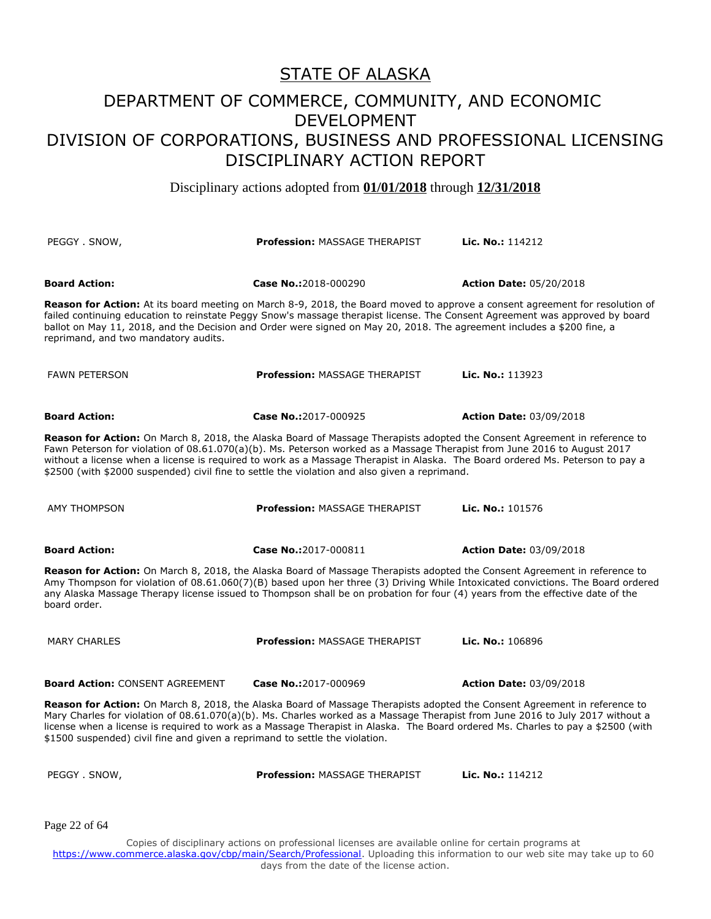Disciplinary actions adopted from **01/01/2018** through **12/31/2018**

| PEGGY SNOW,                                                                                                                                                                                                                                                                                                                                                                                                                                                                              | <b>Profession: MASSAGE THERAPIST</b> | Lic. No.: 114212               |
|------------------------------------------------------------------------------------------------------------------------------------------------------------------------------------------------------------------------------------------------------------------------------------------------------------------------------------------------------------------------------------------------------------------------------------------------------------------------------------------|--------------------------------------|--------------------------------|
| <b>Board Action:</b>                                                                                                                                                                                                                                                                                                                                                                                                                                                                     | Case No.:2018-000290                 | <b>Action Date: 05/20/2018</b> |
| <b>Reason for Action:</b> At its board meeting on March 8-9, 2018, the Board moved to approve a consent agreement for resolution of<br>failed continuing education to reinstate Peggy Snow's massage therapist license. The Consent Agreement was approved by board<br>ballot on May 11, 2018, and the Decision and Order were signed on May 20, 2018. The agreement includes a \$200 fine, a<br>reprimand, and two mandatory audits.                                                    |                                      |                                |
| <b>FAWN PETERSON</b>                                                                                                                                                                                                                                                                                                                                                                                                                                                                     | <b>Profession: MASSAGE THERAPIST</b> | Lic. No.: 113923               |
| <b>Board Action:</b>                                                                                                                                                                                                                                                                                                                                                                                                                                                                     | Case No.:2017-000925                 | <b>Action Date: 03/09/2018</b> |
| Reason for Action: On March 8, 2018, the Alaska Board of Massage Therapists adopted the Consent Agreement in reference to<br>Fawn Peterson for violation of 08.61.070(a)(b). Ms. Peterson worked as a Massage Therapist from June 2016 to August 2017<br>without a license when a license is reguired to work as a Massage Therapist in Alaska. The Board ordered Ms. Peterson to pay a<br>\$2500 (with \$2000 suspended) civil fine to settle the violation and also given a reprimand. |                                      |                                |
| <b>AMY THOMPSON</b>                                                                                                                                                                                                                                                                                                                                                                                                                                                                      | <b>Profession: MASSAGE THERAPIST</b> | Lic. No.: 101576               |
| <b>Board Action:</b>                                                                                                                                                                                                                                                                                                                                                                                                                                                                     | Case No.:2017-000811                 | <b>Action Date: 03/09/2018</b> |
| Reason for Action: On March 8, 2018, the Alaska Board of Massage Therapists adopted the Consent Agreement in reference to<br>Amy Thompson for violation of 08.61.060(7)(B) based upon her three (3) Driving While Intoxicated convictions. The Board ordered<br>any Alaska Massage Therapy license issued to Thompson shall be on probation for four (4) years from the effective date of the<br>board order.                                                                            |                                      |                                |
| <b>MARY CHARLES</b>                                                                                                                                                                                                                                                                                                                                                                                                                                                                      | <b>Profession: MASSAGE THERAPIST</b> | Lic. No.: 106896               |
| <b>Board Action: CONSENT AGREEMENT</b>                                                                                                                                                                                                                                                                                                                                                                                                                                                   | Case No.:2017-000969                 | <b>Action Date: 03/09/2018</b> |
| Reason for Action: On March 8, 2018, the Alaska Board of Massage Therapists adopted the Consent Agreement in reference to<br>Mary Charles for violation of 08.61.070(a)(b). Ms. Charles worked as a Massage Therapist from June 2016 to July 2017 without a<br>license when a license is required to work as a Massage Therapist in Alaska. The Board ordered Ms. Charles to pay a \$2500 (with<br>\$1500 suspended) civil fine and given a reprimand to settle the violation.           |                                      |                                |
| PEGGY . SNOW,                                                                                                                                                                                                                                                                                                                                                                                                                                                                            | <b>Profession: MASSAGE THERAPIST</b> | Lic. No.: 114212               |
| Page 22 of 64                                                                                                                                                                                                                                                                                                                                                                                                                                                                            |                                      |                                |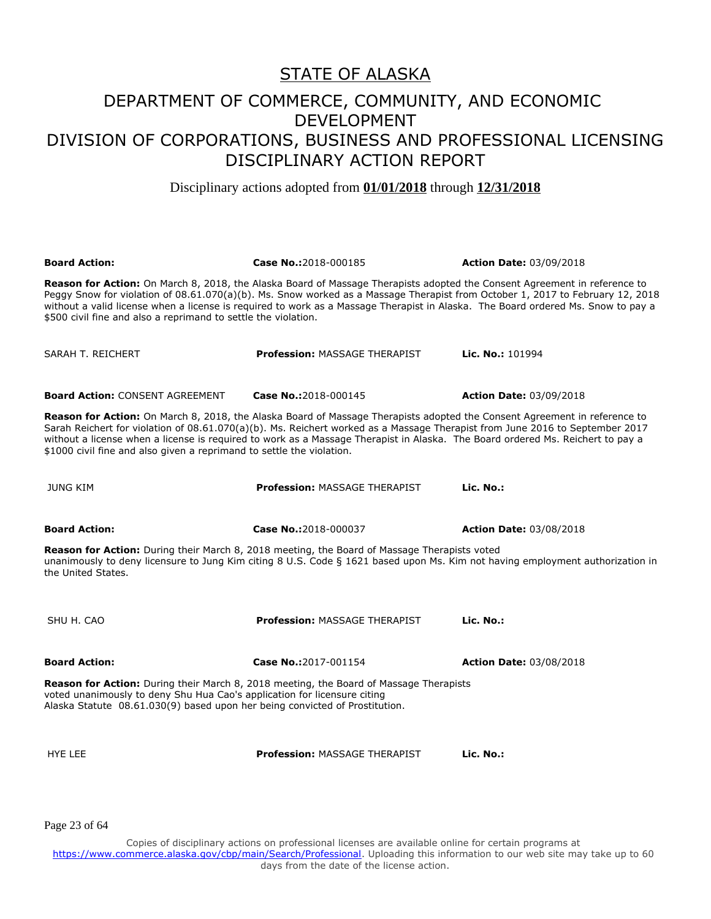Disciplinary actions adopted from **01/01/2018** through **12/31/2018**

**Board Action: Case No.:**2018-000185 **Action Date:** 03/09/2018 **Reason for Action:** On March 8, 2018, the Alaska Board of Massage Therapists adopted the Consent Agreement in reference to Peggy Snow for violation of 08.61.070(a)(b). Ms. Snow worked as a Massage Therapist from October 1, 2017 to February 12, 2018 without a valid license when a license is required to work as a Massage Therapist in Alaska. The Board ordered Ms. Snow to pay a \$500 civil fine and also a reprimand to settle the violation. SARAH T. REICHERT **Profession:** MASSAGE THERAPIST **Lic. No.:** 101994 **Board Action:** CONSENT AGREEMENT **Case No.:**2018-000145 **Action Date:** 03/09/2018 **Reason for Action:** On March 8, 2018, the Alaska Board of Massage Therapists adopted the Consent Agreement in reference to Sarah Reichert for violation of 08.61.070(a)(b). Ms. Reichert worked as a Massage Therapist from June 2016 to September 2017 without a license when a license is required to work as a Massage Therapist in Alaska. The Board ordered Ms. Reichert to pay a \$1000 civil fine and also given a reprimand to settle the violation. JUNG KIM **Profession:** MASSAGE THERAPIST **Lic. No.: Board Action: Case No.:**2018-000037 **Action Date:** 03/08/2018 **Reason for Action:** During their March 8, 2018 meeting, the Board of Massage Therapists voted unanimously to deny licensure to Jung Kim citing 8 U.S. Code § 1621 based upon Ms. Kim not having employment authorization in the United States. SHU H. CAO **Profession:** MASSAGE THERAPIST **Lic. No.: Board Action: Case No.:**2017-001154 **Action Date:** 03/08/2018 **Reason for Action:** During their March 8, 2018 meeting, the Board of Massage Therapists voted unanimously to deny Shu Hua Cao's application for licensure citing Alaska Statute 08.61.030(9) based upon her being convicted of Prostitution. HYE LEE **Profession:** MASSAGE THERAPIST **Lic. No.:** 

Page 23 of 64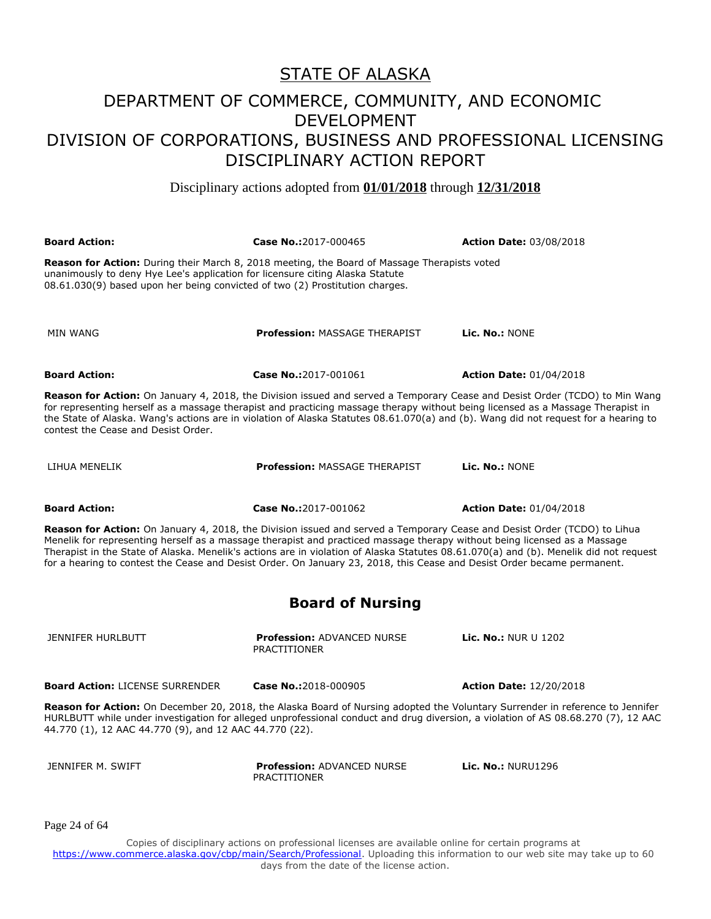Disciplinary actions adopted from **01/01/2018** through **12/31/2018**

**Board Action: Case No.:**2017-000465 **Action Date:** 03/08/2018 **Reason for Action:** During their March 8, 2018 meeting, the Board of Massage Therapists voted unanimously to deny Hye Lee's application for licensure citing Alaska Statute 08.61.030(9) based upon her being convicted of two (2) Prostitution charges. MIN WANG **Profession:** MASSAGE THERAPIST **Lic. No.:** NONE **Board Action: Case No.:**2017-001061 **Action Date:** 01/04/2018 **Reason for Action:** On January 4, 2018, the Division issued and served a Temporary Cease and Desist Order (TCDO) to Min Wang for representing herself as a massage therapist and practicing massage therapy without being licensed as a Massage Therapist in the State of Alaska. Wang's actions are in violation of Alaska Statutes 08.61.070(a) and (b). Wang did not request for a hearing to contest the Cease and Desist Order. LIHUA MENELIK **Profession:** MASSAGE THERAPIST **Lic. No.:** NONE **Board Action: Case No.:**2017-001062 **Action Date:** 01/04/2018 **Reason for Action:** On January 4, 2018, the Division issued and served a Temporary Cease and Desist Order (TCDO) to Lihua Menelik for representing herself as a massage therapist and practiced massage therapy without being licensed as a Massage Therapist in the State of Alaska. Menelik's actions are in violation of Alaska Statutes 08.61.070(a) and (b). Menelik did not request for a hearing to contest the Cease and Desist Order. On January 23, 2018, this Cease and Desist Order became permanent. **Board of Nursing** JENNIFER HURLBUTT **Profession:** ADVANCED NURSE PRACTITIONER **Lic. No.:** NUR U 1202 **Board Action:** LICENSE SURRENDER **Case No.:**2018-000905 **Action Date:** 12/20/2018 **Reason for Action:** On December 20, 2018, the Alaska Board of Nursing adopted the Voluntary Surrender in reference to Jennifer HURLBUTT while under investigation for alleged unprofessional conduct and drug diversion, a violation of AS 08.68.270 (7), 12 AAC 44.770 (1), 12 AAC 44.770 (9), and 12 AAC 44.770 (22).

JENNIFER M. SWIFT **Profession:** ADVANCED NURSE **PRACTITIONER** 

**Lic. No.:** NURU1296

Page 24 of 64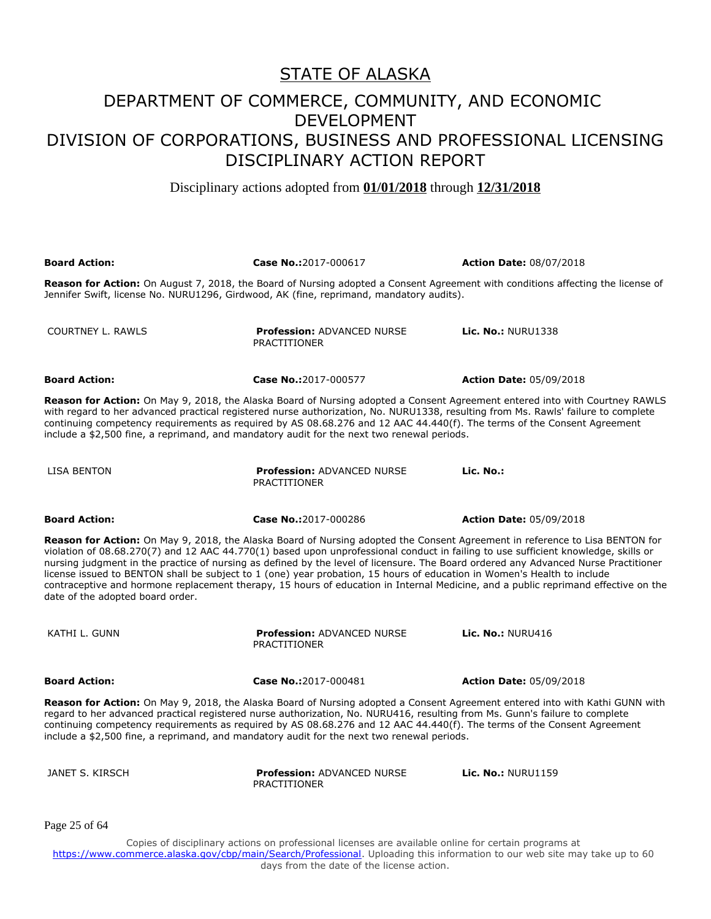Disciplinary actions adopted from **01/01/2018** through **12/31/2018**

| <b>Board Action:</b>             | Case No.:2017-000617                                                                                                                                                                                                                                                                                                                                       | <b>Action Date: 08/07/2018</b>                                                                                                                                                                                                                                                                                                                                                                            |
|----------------------------------|------------------------------------------------------------------------------------------------------------------------------------------------------------------------------------------------------------------------------------------------------------------------------------------------------------------------------------------------------------|-----------------------------------------------------------------------------------------------------------------------------------------------------------------------------------------------------------------------------------------------------------------------------------------------------------------------------------------------------------------------------------------------------------|
|                                  | Jennifer Swift, license No. NURU1296, Girdwood, AK (fine, reprimand, mandatory audits).                                                                                                                                                                                                                                                                    | <b>Reason for Action:</b> On August 7, 2018, the Board of Nursing adopted a Consent Agreement with conditions affecting the license of                                                                                                                                                                                                                                                                    |
| <b>COURTNEY L. RAWLS</b>         | <b>Profession: ADVANCED NURSE</b><br><b>PRACTITIONER</b>                                                                                                                                                                                                                                                                                                   | <b>Lic. No.: NURU1338</b>                                                                                                                                                                                                                                                                                                                                                                                 |
| <b>Board Action:</b>             | Case No.:2017-000577                                                                                                                                                                                                                                                                                                                                       | <b>Action Date: 05/09/2018</b>                                                                                                                                                                                                                                                                                                                                                                            |
|                                  | with regard to her advanced practical registered nurse authorization, No. NURU1338, resulting from Ms. Rawls' failure to complete<br>continuing competency requirements as required by AS 08.68.276 and 12 AAC 44.440(f). The terms of the Consent Agreement<br>include a \$2,500 fine, a reprimand, and mandatory audit for the next two renewal periods. | Reason for Action: On May 9, 2018, the Alaska Board of Nursing adopted a Consent Agreement entered into with Courtney RAWLS                                                                                                                                                                                                                                                                               |
| LISA BENTON                      | <b>Profession: ADVANCED NURSE</b><br>PRACTITIONER                                                                                                                                                                                                                                                                                                          | Lic. No.:                                                                                                                                                                                                                                                                                                                                                                                                 |
| <b>Board Action:</b>             | Case No.:2017-000286                                                                                                                                                                                                                                                                                                                                       | <b>Action Date: 05/09/2018</b>                                                                                                                                                                                                                                                                                                                                                                            |
| date of the adopted board order. | violation of 08.68.270(7) and 12 AAC 44.770(1) based upon unprofessional conduct in failing to use sufficient knowledge, skills or<br>license issued to BENTON shall be subject to 1 (one) year probation, 15 hours of education in Women's Health to include                                                                                              | Reason for Action: On May 9, 2018, the Alaska Board of Nursing adopted the Consent Agreement in reference to Lisa BENTON for<br>nursing judgment in the practice of nursing as defined by the level of licensure. The Board ordered any Advanced Nurse Practitioner<br>contraceptive and hormone replacement therapy, 15 hours of education in Internal Medicine, and a public reprimand effective on the |
| KATHI L. GUNN                    | <b>Profession: ADVANCED NURSE</b><br><b>PRACTITIONER</b>                                                                                                                                                                                                                                                                                                   | Lic. No.: NURU416                                                                                                                                                                                                                                                                                                                                                                                         |
| <b>Board Action:</b>             | Case No.:2017-000481                                                                                                                                                                                                                                                                                                                                       | <b>Action Date: 05/09/2018</b>                                                                                                                                                                                                                                                                                                                                                                            |
|                                  | regard to her advanced practical registered nurse authorization, No. NURU416, resulting from Ms. Gunn's failure to complete<br>continuing competency requirements as required by AS 08.68.276 and 12 AAC 44.440(f). The terms of the Consent Agreement<br>include a \$2,500 fine, a reprimand, and mandatory audit for the next two renewal periods.       | <b>Reason for Action:</b> On May 9, 2018, the Alaska Board of Nursing adopted a Consent Agreement entered into with Kathi GUNN with                                                                                                                                                                                                                                                                       |
| JANET S. KIRSCH                  | Profession: ADVANCED NURSE<br><b>PRACTITIONER</b>                                                                                                                                                                                                                                                                                                          | <b>Lic. No.: NURU1159</b>                                                                                                                                                                                                                                                                                                                                                                                 |
| Page 25 of 64                    |                                                                                                                                                                                                                                                                                                                                                            |                                                                                                                                                                                                                                                                                                                                                                                                           |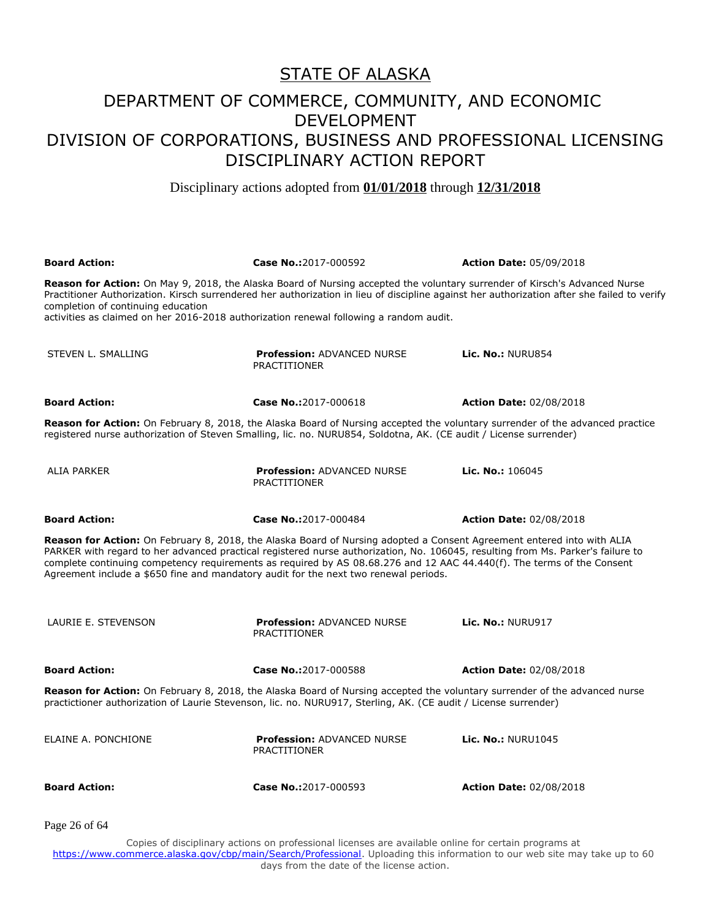#### DEPARTMENT OF COMMERCE, COMMUNITY, AND ECONOMIC DEVELOPMENT DIVISION OF CORPORATIONS, BUSINESS AND PROFESSIONAL LICENSING DISCIPLINARY ACTION REPORT

Disciplinary actions adopted from **01/01/2018** through **12/31/2018**

| <b>Board Action:</b>                                                                                                                                                                                                                                                                                                                                                                                                                                                        | Case No.:2017-000592                                     | <b>Action Date: 05/09/2018</b> |  |
|-----------------------------------------------------------------------------------------------------------------------------------------------------------------------------------------------------------------------------------------------------------------------------------------------------------------------------------------------------------------------------------------------------------------------------------------------------------------------------|----------------------------------------------------------|--------------------------------|--|
| Reason for Action: On May 9, 2018, the Alaska Board of Nursing accepted the voluntary surrender of Kirsch's Advanced Nurse<br>Practitioner Authorization. Kirsch surrendered her authorization in lieu of discipline against her authorization after she failed to verify<br>completion of continuing education<br>activities as claimed on her 2016-2018 authorization renewal following a random audit.                                                                   |                                                          |                                |  |
| STEVEN L. SMALLING                                                                                                                                                                                                                                                                                                                                                                                                                                                          | <b>Profession: ADVANCED NURSE</b><br><b>PRACTITIONER</b> | Lic. No.: NURU854              |  |
| <b>Board Action:</b>                                                                                                                                                                                                                                                                                                                                                                                                                                                        | Case No.:2017-000618                                     | <b>Action Date: 02/08/2018</b> |  |
| <b>Reason for Action:</b> On February 8, 2018, the Alaska Board of Nursing accepted the voluntary surrender of the advanced practice<br>registered nurse authorization of Steven Smalling, lic. no. NURU854, Soldotna, AK. (CE audit / License surrender)                                                                                                                                                                                                                   |                                                          |                                |  |
| ALIA PARKER                                                                                                                                                                                                                                                                                                                                                                                                                                                                 | <b>Profession: ADVANCED NURSE</b><br><b>PRACTITIONER</b> | Lic. No.: 106045               |  |
| <b>Board Action:</b>                                                                                                                                                                                                                                                                                                                                                                                                                                                        | Case No.:2017-000484                                     | <b>Action Date: 02/08/2018</b> |  |
| Reason for Action: On February 8, 2018, the Alaska Board of Nursing adopted a Consent Agreement entered into with ALIA<br>PARKER with regard to her advanced practical registered nurse authorization, No. 106045, resulting from Ms. Parker's failure to<br>complete continuing competency requirements as required by AS 08.68.276 and 12 AAC 44.440(f). The terms of the Consent<br>Agreement include a \$650 fine and mandatory audit for the next two renewal periods. |                                                          |                                |  |
| LAURIE E. STEVENSON                                                                                                                                                                                                                                                                                                                                                                                                                                                         | <b>Profession: ADVANCED NURSE</b><br><b>PRACTITIONER</b> | Lic. No.: NURU917              |  |
| <b>Board Action:</b>                                                                                                                                                                                                                                                                                                                                                                                                                                                        | Case No.:2017-000588                                     | <b>Action Date: 02/08/2018</b> |  |
| <b>Reason for Action:</b> On February 8, 2018, the Alaska Board of Nursing accepted the voluntary surrender of the advanced nurse<br>practictioner authorization of Laurie Stevenson, lic. no. NURU917, Sterling, AK. (CE audit / License surrender)                                                                                                                                                                                                                        |                                                          |                                |  |
| ELAINE A. PONCHIONE                                                                                                                                                                                                                                                                                                                                                                                                                                                         | <b>Profession: ADVANCED NURSE</b><br><b>PRACTITIONER</b> | <b>Lic. No.: NURU1045</b>      |  |
| <b>Board Action:</b>                                                                                                                                                                                                                                                                                                                                                                                                                                                        | Case No.:2017-000593                                     | <b>Action Date: 02/08/2018</b> |  |
| Page 26 of 64                                                                                                                                                                                                                                                                                                                                                                                                                                                               |                                                          |                                |  |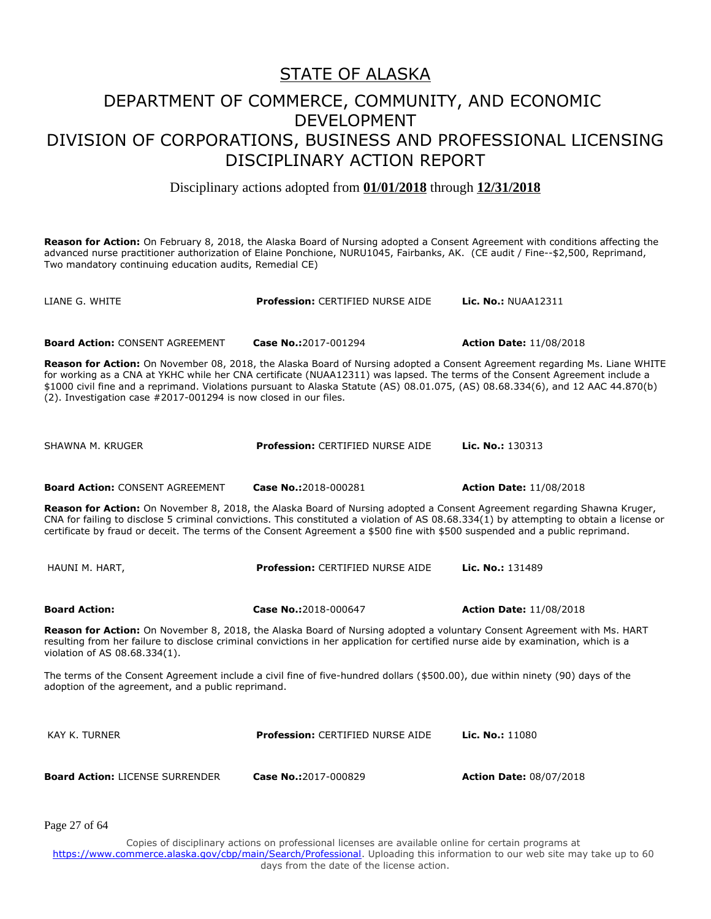Disciplinary actions adopted from **01/01/2018** through **12/31/2018**

**Reason for Action:** On February 8, 2018, the Alaska Board of Nursing adopted a Consent Agreement with conditions affecting the advanced nurse practitioner authorization of Elaine Ponchione, NURU1045, Fairbanks, AK. (CE audit / Fine--\$2,500, Reprimand, Two mandatory continuing education audits, Remedial CE)

| LIANE G. WHITE                                                                                                                                                                                                                                                                                                                                                                                       | Profession: CERTIFIED NURSE AIDE        | <b>Lic. No.: NUAA12311</b>                                                                                                 |  |
|------------------------------------------------------------------------------------------------------------------------------------------------------------------------------------------------------------------------------------------------------------------------------------------------------------------------------------------------------------------------------------------------------|-----------------------------------------|----------------------------------------------------------------------------------------------------------------------------|--|
| <b>Board Action: CONSENT AGREEMENT</b>                                                                                                                                                                                                                                                                                                                                                               | Case No.:2017-001294                    | <b>Action Date: 11/08/2018</b>                                                                                             |  |
| for working as a CNA at YKHC while her CNA certificate (NUAA12311) was lapsed. The terms of the Consent Agreement include a<br>\$1000 civil fine and a reprimand. Violations pursuant to Alaska Statute (AS) 08.01.075, (AS) 08.68.334(6), and 12 AAC 44.870(b)<br>(2). Investigation case #2017-001294 is now closed in our files.                                                                  |                                         | Reason for Action: On November 08, 2018, the Alaska Board of Nursing adopted a Consent Agreement regarding Ms. Liane WHITE |  |
| SHAWNA M. KRUGER                                                                                                                                                                                                                                                                                                                                                                                     | <b>Profession: CERTIFIED NURSE AIDE</b> | Lic. No.: $130313$                                                                                                         |  |
| <b>Board Action: CONSENT AGREEMENT</b>                                                                                                                                                                                                                                                                                                                                                               | Case No.:2018-000281                    | <b>Action Date: 11/08/2018</b>                                                                                             |  |
| Reason for Action: On November 8, 2018, the Alaska Board of Nursing adopted a Consent Agreement regarding Shawna Kruger,<br>CNA for failing to disclose 5 criminal convictions. This constituted a violation of AS 08.68.334(1) by attempting to obtain a license or<br>certificate by fraud or deceit. The terms of the Consent Agreement a \$500 fine with \$500 suspended and a public reprimand. |                                         |                                                                                                                            |  |
| HAUNI M. HART,                                                                                                                                                                                                                                                                                                                                                                                       | <b>Profession: CERTIFIED NURSE AIDE</b> | Lic. No.: 131489                                                                                                           |  |
| <b>Board Action:</b>                                                                                                                                                                                                                                                                                                                                                                                 | Case No.:2018-000647                    | <b>Action Date: 11/08/2018</b>                                                                                             |  |
| Reason for Action: On November 8, 2018, the Alaska Board of Nursing adopted a voluntary Consent Agreement with Ms. HART<br>resulting from her failure to disclose criminal convictions in her application for certified nurse aide by examination, which is a<br>violation of AS 08.68.334(1).                                                                                                       |                                         |                                                                                                                            |  |
| The terms of the Consent Agreement include a civil fine of five-hundred dollars (\$500.00), due within ninety (90) days of the<br>adoption of the agreement, and a public reprimand.                                                                                                                                                                                                                 |                                         |                                                                                                                            |  |
| <b>KAY K. TURNER</b>                                                                                                                                                                                                                                                                                                                                                                                 | <b>Profession: CERTIFIED NURSE AIDE</b> | Lic. No.: 11080                                                                                                            |  |
| <b>Board Action: LICENSE SURRENDER</b>                                                                                                                                                                                                                                                                                                                                                               | Case No.:2017-000829                    | <b>Action Date: 08/07/2018</b>                                                                                             |  |
|                                                                                                                                                                                                                                                                                                                                                                                                      |                                         |                                                                                                                            |  |

Page 27 of 64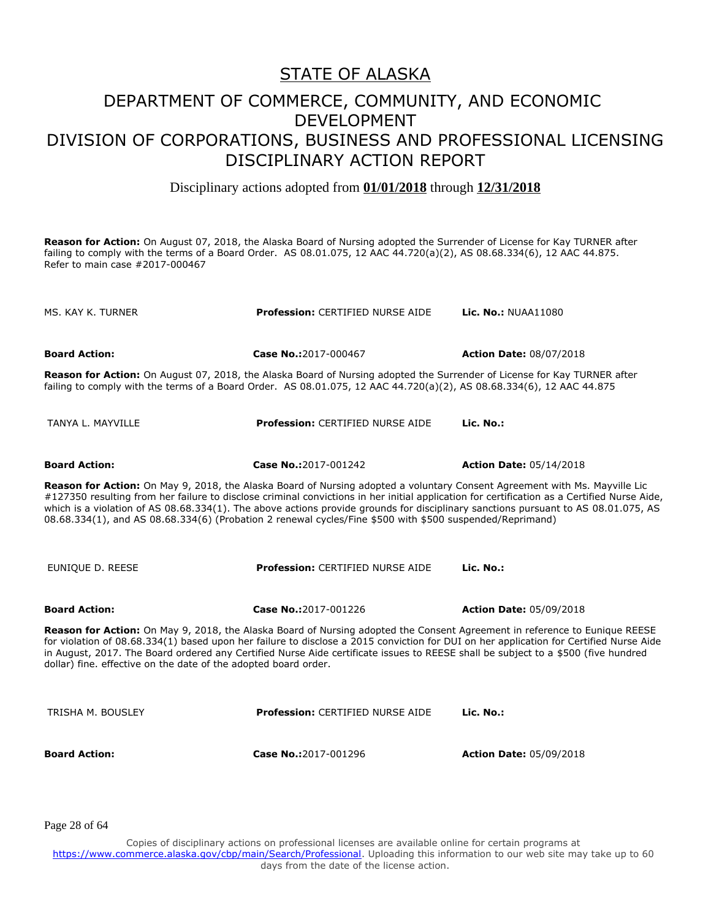Disciplinary actions adopted from **01/01/2018** through **12/31/2018**

**Reason for Action:** On August 07, 2018, the Alaska Board of Nursing adopted the Surrender of License for Kay TURNER after failing to comply with the terms of a Board Order. AS 08.01.075, 12 AAC 44.720(a)(2), AS 08.68.334(6), 12 AAC 44.875. Refer to main case #2017-000467

| Profession: CERTIFIED NURSE AIDE                                                                                                                                                                                                                                                                                                                                                                                                                                                                                            | Lic. No.: NUAA11080            |  |
|-----------------------------------------------------------------------------------------------------------------------------------------------------------------------------------------------------------------------------------------------------------------------------------------------------------------------------------------------------------------------------------------------------------------------------------------------------------------------------------------------------------------------------|--------------------------------|--|
| Case No.:2017-000467                                                                                                                                                                                                                                                                                                                                                                                                                                                                                                        | <b>Action Date: 08/07/2018</b> |  |
| Reason for Action: On August 07, 2018, the Alaska Board of Nursing adopted the Surrender of License for Kay TURNER after<br>failing to comply with the terms of a Board Order. AS 08.01.075, 12 AAC 44.720(a)(2), AS 08.68.334(6), 12 AAC 44.875                                                                                                                                                                                                                                                                            |                                |  |
| <b>Profession: CERTIFIED NURSE AIDE</b>                                                                                                                                                                                                                                                                                                                                                                                                                                                                                     | Lic. No.:                      |  |
| Case No.:2017-001242                                                                                                                                                                                                                                                                                                                                                                                                                                                                                                        | <b>Action Date: 05/14/2018</b> |  |
| Reason for Action: On May 9, 2018, the Alaska Board of Nursing adopted a voluntary Consent Agreement with Ms. Mayville Lic<br>#127350 resulting from her failure to disclose criminal convictions in her initial application for certification as a Certified Nurse Aide,<br>which is a violation of AS 08.68.334(1). The above actions provide grounds for disciplinary sanctions pursuant to AS 08.01.075, AS<br>08.68.334(1), and AS 08.68.334(6) (Probation 2 renewal cycles/Fine \$500 with \$500 suspended/Reprimand) |                                |  |
| Profession: CERTIFIED NURSE AIDE                                                                                                                                                                                                                                                                                                                                                                                                                                                                                            | Lic. No.:                      |  |
| Case No.:2017-001226                                                                                                                                                                                                                                                                                                                                                                                                                                                                                                        | <b>Action Date: 05/09/2018</b> |  |
| Reason for Action: On May 9, 2018, the Alaska Board of Nursing adopted the Consent Agreement in reference to Eunique REESE<br>for violation of 08.68.334(1) based upon her failure to disclose a 2015 conviction for DUI on her application for Certified Nurse Aide<br>in August, 2017. The Board ordered any Certified Nurse Aide certificate issues to REESE shall be subject to a \$500 (five hundred<br>dollar) fine. effective on the date of the adopted board order.                                                |                                |  |
| <b>Profession: CERTIFIED NURSE AIDE</b>                                                                                                                                                                                                                                                                                                                                                                                                                                                                                     | Lic. No.:                      |  |
| Case No.:2017-001296                                                                                                                                                                                                                                                                                                                                                                                                                                                                                                        | <b>Action Date: 05/09/2018</b> |  |
|                                                                                                                                                                                                                                                                                                                                                                                                                                                                                                                             |                                |  |

Page 28 of 64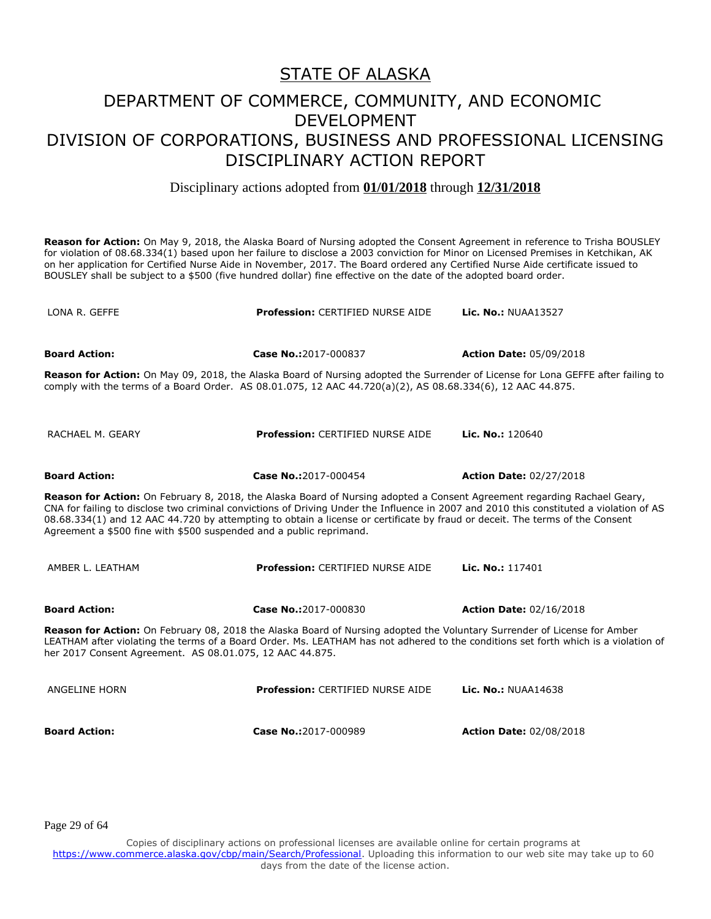Disciplinary actions adopted from **01/01/2018** through **12/31/2018**

**Reason for Action:** On May 9, 2018, the Alaska Board of Nursing adopted the Consent Agreement in reference to Trisha BOUSLEY for violation of 08.68.334(1) based upon her failure to disclose a 2003 conviction for Minor on Licensed Premises in Ketchikan, AK on her application for Certified Nurse Aide in November, 2017. The Board ordered any Certified Nurse Aide certificate issued to BOUSLEY shall be subject to a \$500 (five hundred dollar) fine effective on the date of the adopted board order.

LONA R. GEFFE **Profession:** CERTIFIED NURSE AIDE **Lic. No.:** NUAA13527 **Board Action: Case No.:**2017-000837 **Action Date:** 05/09/2018 **Reason for Action:** On May 09, 2018, the Alaska Board of Nursing adopted the Surrender of License for Lona GEFFE after failing to comply with the terms of a Board Order. AS 08.01.075, 12 AAC 44.720(a)(2), AS 08.68.334(6), 12 AAC 44.875. RACHAEL M. GEARY **Profession:** CERTIFIED NURSE AIDE **Lic. No.:** 120640 **Board Action: Case No.:**2017-000454 **Action Date:** 02/27/2018 **Reason for Action:** On February 8, 2018, the Alaska Board of Nursing adopted a Consent Agreement regarding Rachael Geary, CNA for failing to disclose two criminal convictions of Driving Under the Influence in 2007 and 2010 this constituted a violation of AS 08.68.334(1) and 12 AAC 44.720 by attempting to obtain a license or certificate by fraud or deceit. The terms of the Consent Agreement a \$500 fine with \$500 suspended and a public reprimand. AMBER L. LEATHAM **Profession:** CERTIFIED NURSE AIDE **Lic. No.:** 117401 **Board Action: Case No.:**2017-000830 **Action Date:** 02/16/2018 **Reason for Action:** On February 08, 2018 the Alaska Board of Nursing adopted the Voluntary Surrender of License for Amber LEATHAM after violating the terms of a Board Order. Ms. LEATHAM has not adhered to the conditions set forth which is a violation of her 2017 Consent Agreement. AS 08.01.075, 12 AAC 44.875. ANGELINE HORN **Profession:** CERTIFIED NURSE AIDE **Lic. No.:** NUAA14638 **Board Action: Case No.:**2017-000989 **Action Date:** 02/08/2018

Page 29 of 64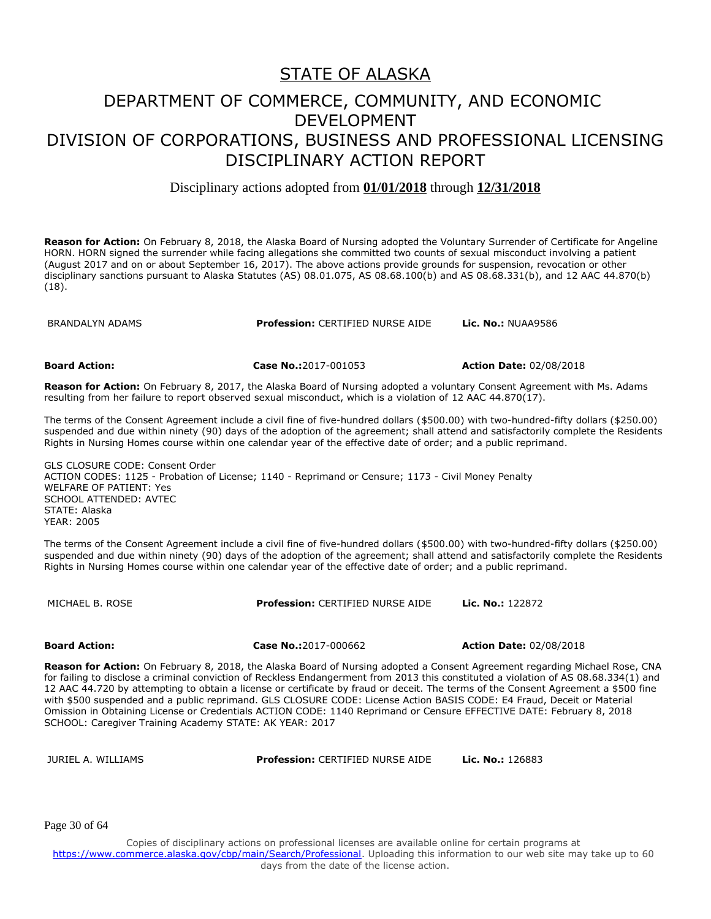#### DEPARTMENT OF COMMERCE, COMMUNITY, AND ECONOMIC DEVELOPMENT DIVISION OF CORPORATIONS, BUSINESS AND PROFESSIONAL LICENSING DISCIPLINARY ACTION REPORT

Disciplinary actions adopted from **01/01/2018** through **12/31/2018**

**Reason for Action:** On February 8, 2018, the Alaska Board of Nursing adopted the Voluntary Surrender of Certificate for Angeline HORN. HORN signed the surrender while facing allegations she committed two counts of sexual misconduct involving a patient (August 2017 and on or about September 16, 2017). The above actions provide grounds for suspension, revocation or other disciplinary sanctions pursuant to Alaska Statutes (AS) 08.01.075, AS 08.68.100(b) and AS 08.68.331(b), and 12 AAC 44.870(b) (18).

BRANDALYN ADAMS **Profession:** CERTIFIED NURSE AIDE **Lic. No.:** NUAA9586

**Board Action: Case No.:**2017-001053 **Action Date:** 02/08/2018

**Reason for Action:** On February 8, 2017, the Alaska Board of Nursing adopted a voluntary Consent Agreement with Ms. Adams resulting from her failure to report observed sexual misconduct, which is a violation of 12 AAC 44.870(17).

The terms of the Consent Agreement include a civil fine of five-hundred dollars (\$500.00) with two-hundred-fifty dollars (\$250.00) suspended and due within ninety (90) days of the adoption of the agreement; shall attend and satisfactorily complete the Residents Rights in Nursing Homes course within one calendar year of the effective date of order; and a public reprimand.

GLS CLOSURE CODE: Consent Order ACTION CODES: 1125 - Probation of License; 1140 - Reprimand or Censure; 1173 - Civil Money Penalty WELFARE OF PATIENT: Yes SCHOOL ATTENDED: AVTEC STATE: Alaska YEAR: 2005

The terms of the Consent Agreement include a civil fine of five-hundred dollars (\$500.00) with two-hundred-fifty dollars (\$250.00) suspended and due within ninety (90) days of the adoption of the agreement; shall attend and satisfactorily complete the Residents Rights in Nursing Homes course within one calendar year of the effective date of order; and a public reprimand.

MICHAEL B. ROSE **Profession:** CERTIFIED NURSE AIDE **Lic. No.:** 122872

**Board Action: Case No.:**2017-000662 **Action Date:** 02/08/2018

**Reason for Action:** On February 8, 2018, the Alaska Board of Nursing adopted a Consent Agreement regarding Michael Rose, CNA for failing to disclose a criminal conviction of Reckless Endangerment from 2013 this constituted a violation of AS 08.68.334(1) and 12 AAC 44.720 by attempting to obtain a license or certificate by fraud or deceit. The terms of the Consent Agreement a \$500 fine with \$500 suspended and a public reprimand. GLS CLOSURE CODE: License Action BASIS CODE: E4 Fraud, Deceit or Material Omission in Obtaining License or Credentials ACTION CODE: 1140 Reprimand or Censure EFFECTIVE DATE: February 8, 2018 SCHOOL: Caregiver Training Academy STATE: AK YEAR: 2017

JURIEL A. WILLIAMS **Profession:** CERTIFIED NURSE AIDE **Lic. No.:** 126883

Page 30 of 64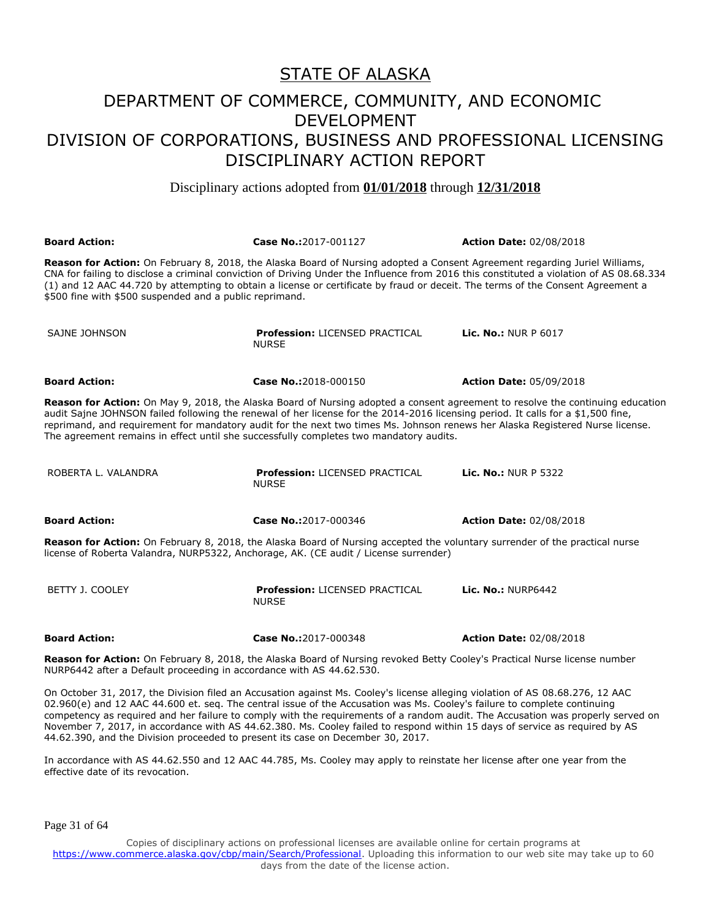Disciplinary actions adopted from **01/01/2018** through **12/31/2018**

| <b>Board Action:</b>                                                                                                                                                                                                                                                                                                                                                                                                                                                                          | Case No.:2017-001127                                                                                                     | <b>Action Date: 02/08/2018</b> |  |
|-----------------------------------------------------------------------------------------------------------------------------------------------------------------------------------------------------------------------------------------------------------------------------------------------------------------------------------------------------------------------------------------------------------------------------------------------------------------------------------------------|--------------------------------------------------------------------------------------------------------------------------|--------------------------------|--|
| Reason for Action: On February 8, 2018, the Alaska Board of Nursing adopted a Consent Agreement regarding Juriel Williams,<br>CNA for failing to disclose a criminal conviction of Driving Under the Influence from 2016 this constituted a violation of AS 08.68.334<br>(1) and 12 AAC 44.720 by attempting to obtain a license or certificate by fraud or deceit. The terms of the Consent Agreement a<br>\$500 fine with \$500 suspended and a public reprimand.                           |                                                                                                                          |                                |  |
| SAJNE JOHNSON                                                                                                                                                                                                                                                                                                                                                                                                                                                                                 | <b>Profession: LICENSED PRACTICAL</b><br><b>NURSE</b>                                                                    | <b>Lic. No.: NUR P 6017</b>    |  |
| <b>Board Action:</b>                                                                                                                                                                                                                                                                                                                                                                                                                                                                          | Case No.:2018-000150                                                                                                     | <b>Action Date: 05/09/2018</b> |  |
| Reason for Action: On May 9, 2018, the Alaska Board of Nursing adopted a consent agreement to resolve the continuing education<br>audit Sajne JOHNSON failed following the renewal of her license for the 2014-2016 licensing period. It calls for a \$1,500 fine,<br>reprimand, and requirement for mandatory audit for the next two times Ms. Johnson renews her Alaska Registered Nurse license.<br>The agreement remains in effect until she successfully completes two mandatory audits. |                                                                                                                          |                                |  |
| ROBERTA L. VALANDRA                                                                                                                                                                                                                                                                                                                                                                                                                                                                           | <b>Profession: LICENSED PRACTICAL</b><br><b>NURSE</b>                                                                    | <b>Lic. No.: NUR P 5322</b>    |  |
| <b>Board Action:</b>                                                                                                                                                                                                                                                                                                                                                                                                                                                                          | Case No.:2017-000346                                                                                                     | <b>Action Date: 02/08/2018</b> |  |
| Reason for Action: On February 8, 2018, the Alaska Board of Nursing accepted the voluntary surrender of the practical nurse<br>license of Roberta Valandra, NURP5322, Anchorage, AK. (CE audit / License surrender)                                                                                                                                                                                                                                                                           |                                                                                                                          |                                |  |
| BETTY J. COOLEY                                                                                                                                                                                                                                                                                                                                                                                                                                                                               | <b>Profession: LICENSED PRACTICAL</b><br><b>NURSE</b>                                                                    | <b>Lic. No.: NURP6442</b>      |  |
| <b>Board Action:</b>                                                                                                                                                                                                                                                                                                                                                                                                                                                                          | Case No.:2017-000348                                                                                                     | <b>Action Date: 02/08/2018</b> |  |
|                                                                                                                                                                                                                                                                                                                                                                                                                                                                                               | rean fau Aetian: On February 0, 2010, the Alaelia Deaud of Numeine revolved Detty Caelevia Drastical Nume liegues number |                                |  |

**Reason for Action:** On February 8, 2018, the Alaska Board of Nursing revoked Betty Cooley's Practical Nurse license number NURP6442 after a Default proceeding in accordance with AS 44.62.530.

On October 31, 2017, the Division filed an Accusation against Ms. Cooley's license alleging violation of AS 08.68.276, 12 AAC 02.960(e) and 12 AAC 44.600 et. seq. The central issue of the Accusation was Ms. Cooley's failure to complete continuing competency as required and her failure to comply with the requirements of a random audit. The Accusation was properly served on November 7, 2017, in accordance with AS 44.62.380. Ms. Cooley failed to respond within 15 days of service as required by AS 44.62.390, and the Division proceeded to present its case on December 30, 2017.

In accordance with AS 44.62.550 and 12 AAC 44.785, Ms. Cooley may apply to reinstate her license after one year from the effective date of its revocation.

Page 31 of 64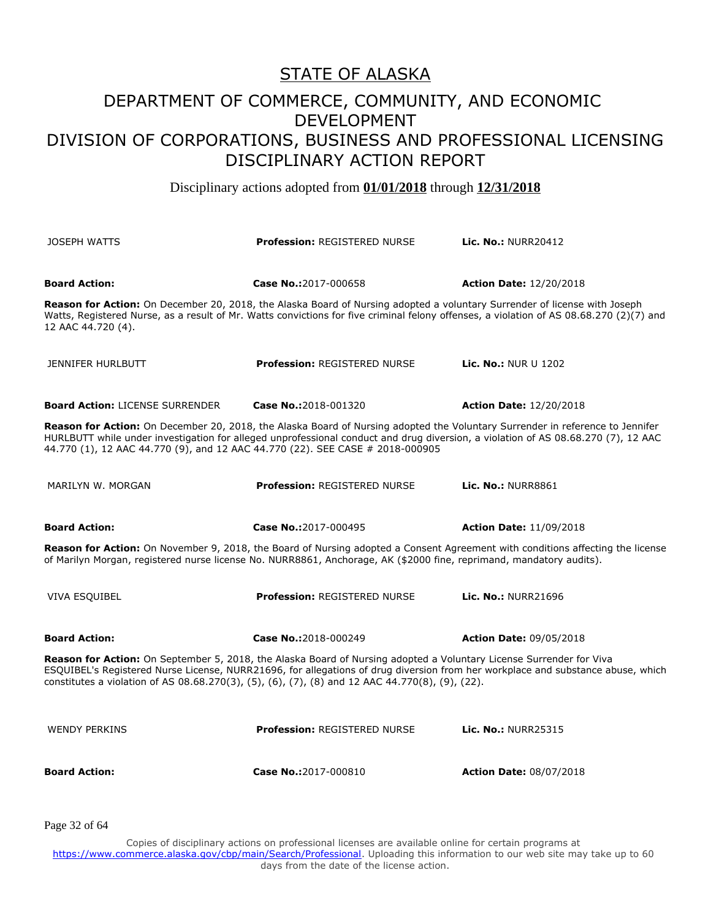Disciplinary actions adopted from **01/01/2018** through **12/31/2018**

| <b>JOSEPH WATTS</b>                                                                                                                                                                                                                                                                                                                                       | <b>Profession: REGISTERED NURSE</b>                                                                                           | Lic. No.: NURR20412                                                                                                                     |  |
|-----------------------------------------------------------------------------------------------------------------------------------------------------------------------------------------------------------------------------------------------------------------------------------------------------------------------------------------------------------|-------------------------------------------------------------------------------------------------------------------------------|-----------------------------------------------------------------------------------------------------------------------------------------|--|
| <b>Board Action:</b>                                                                                                                                                                                                                                                                                                                                      | Case No.:2017-000658                                                                                                          | <b>Action Date: 12/20/2018</b>                                                                                                          |  |
| 12 AAC 44.720 (4).                                                                                                                                                                                                                                                                                                                                        | Reason for Action: On December 20, 2018, the Alaska Board of Nursing adopted a voluntary Surrender of license with Joseph     | Watts, Registered Nurse, as a result of Mr. Watts convictions for five criminal felony offenses, a violation of AS 08.68.270 (2)(7) and |  |
| <b>JENNIFER HURLBUTT</b>                                                                                                                                                                                                                                                                                                                                  | <b>Profession: REGISTERED NURSE</b>                                                                                           | <b>Lic. No.: NUR U 1202</b>                                                                                                             |  |
| <b>Board Action: LICENSE SURRENDER</b>                                                                                                                                                                                                                                                                                                                    | Case No.:2018-001320                                                                                                          | <b>Action Date: 12/20/2018</b>                                                                                                          |  |
| HURLBUTT while under investigation for alleged unprofessional conduct and drug diversion, a violation of AS 08.68.270 (7), 12 AAC<br>44.770 (1), 12 AAC 44.770 (9), and 12 AAC 44.770 (22). SEE CASE # 2018-000905                                                                                                                                        | Reason for Action: On December 20, 2018, the Alaska Board of Nursing adopted the Voluntary Surrender in reference to Jennifer |                                                                                                                                         |  |
| MARILYN W. MORGAN                                                                                                                                                                                                                                                                                                                                         | <b>Profession: REGISTERED NURSE</b>                                                                                           | <b>Lic. No.: NURR8861</b>                                                                                                               |  |
| <b>Board Action:</b>                                                                                                                                                                                                                                                                                                                                      | Case No.:2017-000495                                                                                                          | <b>Action Date: 11/09/2018</b>                                                                                                          |  |
| of Marilyn Morgan, registered nurse license No. NURR8861, Anchorage, AK (\$2000 fine, reprimand, mandatory audits).                                                                                                                                                                                                                                       |                                                                                                                               | Reason for Action: On November 9, 2018, the Board of Nursing adopted a Consent Agreement with conditions affecting the license          |  |
| <b>VIVA ESQUIBEL</b>                                                                                                                                                                                                                                                                                                                                      | <b>Profession: REGISTERED NURSE</b>                                                                                           | <b>Lic. No.: NURR21696</b>                                                                                                              |  |
| <b>Board Action:</b>                                                                                                                                                                                                                                                                                                                                      | Case No.:2018-000249                                                                                                          | <b>Action Date: 09/05/2018</b>                                                                                                          |  |
| Reason for Action: On September 5, 2018, the Alaska Board of Nursing adopted a Voluntary License Surrender for Viva<br>ESQUIBEL's Registered Nurse License, NURR21696, for allegations of drug diversion from her workplace and substance abuse, which<br>constitutes a violation of AS 08.68.270(3), (5), (6), (7), (8) and 12 AAC 44.770(8), (9), (22). |                                                                                                                               |                                                                                                                                         |  |
| <b>WENDY PERKINS</b>                                                                                                                                                                                                                                                                                                                                      | <b>Profession: REGISTERED NURSE</b>                                                                                           | <b>Lic. No.: NURR25315</b>                                                                                                              |  |
| <b>Board Action:</b>                                                                                                                                                                                                                                                                                                                                      | Case No.:2017-000810                                                                                                          | <b>Action Date: 08/07/2018</b>                                                                                                          |  |

Page 32 of 64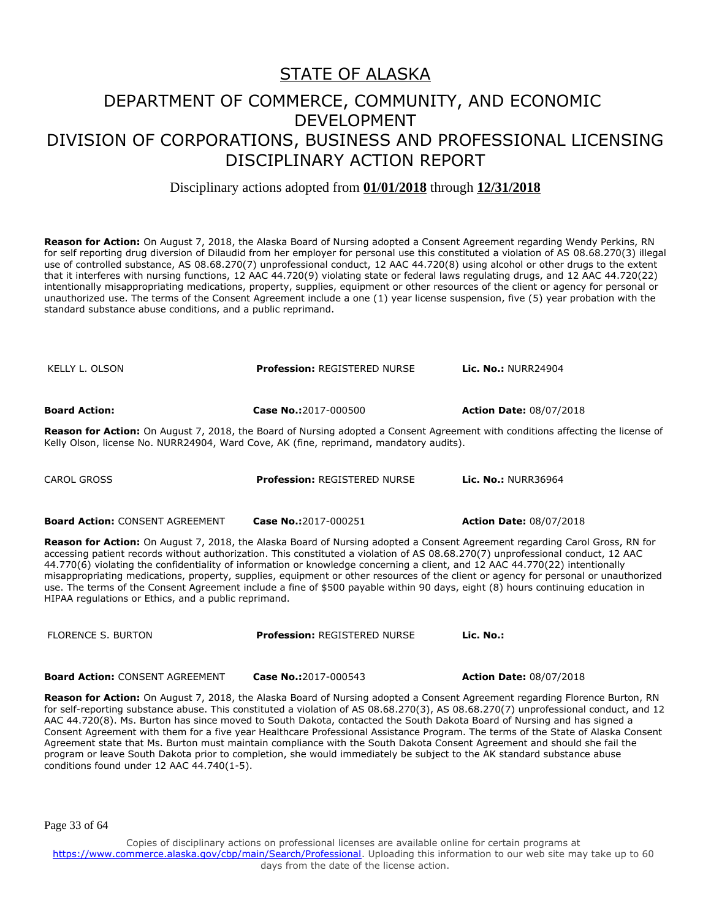#### Disciplinary actions adopted from **01/01/2018** through **12/31/2018**

**Reason for Action:** On August 7, 2018, the Alaska Board of Nursing adopted a Consent Agreement regarding Wendy Perkins, RN for self reporting drug diversion of Dilaudid from her employer for personal use this constituted a violation of AS 08.68.270(3) illegal use of controlled substance, AS 08.68.270(7) unprofessional conduct, 12 AAC 44.720(8) using alcohol or other drugs to the extent that it interferes with nursing functions, 12 AAC 44.720(9) violating state or federal laws regulating drugs, and 12 AAC 44.720(22) intentionally misappropriating medications, property, supplies, equipment or other resources of the client or agency for personal or unauthorized use. The terms of the Consent Agreement include a one (1) year license suspension, five (5) year probation with the standard substance abuse conditions, and a public reprimand.

KELLY L. OLSON **Profession:** REGISTERED NURSE **Lic. No.:** NURR24904

**Board Action: Case No.:**2017-000500 **Action Date:** 08/07/2018

**Reason for Action:** On August 7, 2018, the Board of Nursing adopted a Consent Agreement with conditions affecting the license of Kelly Olson, license No. NURR24904, Ward Cove, AK (fine, reprimand, mandatory audits).

CAROL GROSS **Profession:** REGISTERED NURSE **Lic. No.:** NURR36964

**Board Action:** CONSENT AGREEMENT **Case No.:**2017-000251 **Action Date:** 08/07/2018

**Reason for Action:** On August 7, 2018, the Alaska Board of Nursing adopted a Consent Agreement regarding Carol Gross, RN for accessing patient records without authorization. This constituted a violation of AS 08.68.270(7) unprofessional conduct, 12 AAC 44.770(6) violating the confidentiality of information or knowledge concerning a client, and 12 AAC 44.770(22) intentionally misappropriating medications, property, supplies, equipment or other resources of the client or agency for personal or unauthorized use. The terms of the Consent Agreement include a fine of \$500 payable within 90 days, eight (8) hours continuing education in HIPAA regulations or Ethics, and a public reprimand.

**Board Action:** CONSENT AGREEMENT **Case No.:**2017-000543 **Action Date:** 08/07/2018

**Reason for Action:** On August 7, 2018, the Alaska Board of Nursing adopted a Consent Agreement regarding Florence Burton, RN for self-reporting substance abuse. This constituted a violation of AS 08.68.270(3), AS 08.68.270(7) unprofessional conduct, and 12 AAC 44.720(8). Ms. Burton has since moved to South Dakota, contacted the South Dakota Board of Nursing and has signed a Consent Agreement with them for a five year Healthcare Professional Assistance Program. The terms of the State of Alaska Consent Agreement state that Ms. Burton must maintain compliance with the South Dakota Consent Agreement and should she fail the program or leave South Dakota prior to completion, she would immediately be subject to the AK standard substance abuse conditions found under 12 AAC 44.740(1-5).

Page 33 of 64

Copies of disciplinary actions on professional licenses are available online for certain programs at https://www.commerce.alaska.gov/cbp/main/Search/Professional</u>. Uploading this information to our web site may take up to 60 days from the date of the license action.

FLORENCE S. BURTON **Profession:** REGISTERED NURSE **Lic. No.:**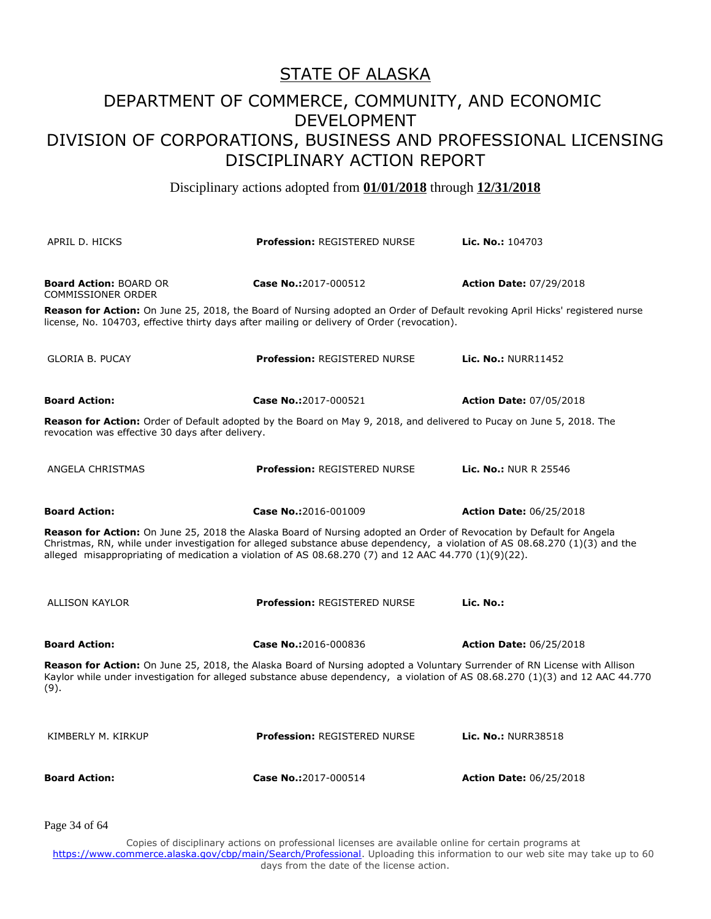Disciplinary actions adopted from **01/01/2018** through **12/31/2018**

| APRIL D. HICKS                                                                                                                                                                                                                                                                                                                                              | <b>Profession: REGISTERED NURSE</b>                                                                                       | <b>Lic. No.: 104703</b>        |
|-------------------------------------------------------------------------------------------------------------------------------------------------------------------------------------------------------------------------------------------------------------------------------------------------------------------------------------------------------------|---------------------------------------------------------------------------------------------------------------------------|--------------------------------|
| <b>Board Action: BOARD OR</b><br><b>COMMISSIONER ORDER</b>                                                                                                                                                                                                                                                                                                  | Case No.:2017-000512                                                                                                      | <b>Action Date: 07/29/2018</b> |
| Reason for Action: On June 25, 2018, the Board of Nursing adopted an Order of Default revoking April Hicks' registered nurse<br>license, No. 104703, effective thirty days after mailing or delivery of Order (revocation).                                                                                                                                 |                                                                                                                           |                                |
| <b>GLORIA B. PUCAY</b>                                                                                                                                                                                                                                                                                                                                      | <b>Profession: REGISTERED NURSE</b>                                                                                       | <b>Lic. No.: NURR11452</b>     |
| <b>Board Action:</b>                                                                                                                                                                                                                                                                                                                                        | Case No.:2017-000521                                                                                                      | <b>Action Date: 07/05/2018</b> |
| Reason for Action: Order of Default adopted by the Board on May 9, 2018, and delivered to Pucay on June 5, 2018. The<br>revocation was effective 30 days after delivery.                                                                                                                                                                                    |                                                                                                                           |                                |
| ANGELA CHRISTMAS                                                                                                                                                                                                                                                                                                                                            | <b>Profession: REGISTERED NURSE</b>                                                                                       | <b>Lic. No.: NUR R 25546</b>   |
| <b>Board Action:</b>                                                                                                                                                                                                                                                                                                                                        | Case No.:2016-001009                                                                                                      | <b>Action Date: 06/25/2018</b> |
| Reason for Action: On June 25, 2018 the Alaska Board of Nursing adopted an Order of Revocation by Default for Angela<br>Christmas, RN, while under investigation for alleged substance abuse dependency, a violation of AS 08.68.270 (1)(3) and the<br>alleged misappropriating of medication a violation of AS 08.68.270 (7) and 12 AAC 44.770 (1)(9)(22). |                                                                                                                           |                                |
| <b>ALLISON KAYLOR</b>                                                                                                                                                                                                                                                                                                                                       | <b>Profession: REGISTERED NURSE</b>                                                                                       | Lic. No.:                      |
| <b>Board Action:</b>                                                                                                                                                                                                                                                                                                                                        | Case No.:2016-000836                                                                                                      | <b>Action Date: 06/25/2018</b> |
| Kaylor while under investigation for alleged substance abuse dependency, a violation of AS 08.68.270 (1)(3) and 12 AAC 44.770<br>(9).                                                                                                                                                                                                                       | Reason for Action: On June 25, 2018, the Alaska Board of Nursing adopted a Voluntary Surrender of RN License with Allison |                                |
| KIMBERLY M. KIRKUP                                                                                                                                                                                                                                                                                                                                          | <b>Profession: REGISTERED NURSE</b>                                                                                       | Lic. No.: NURR38518            |
| <b>Board Action:</b>                                                                                                                                                                                                                                                                                                                                        | Case No.:2017-000514                                                                                                      | <b>Action Date: 06/25/2018</b> |

Page 34 of 64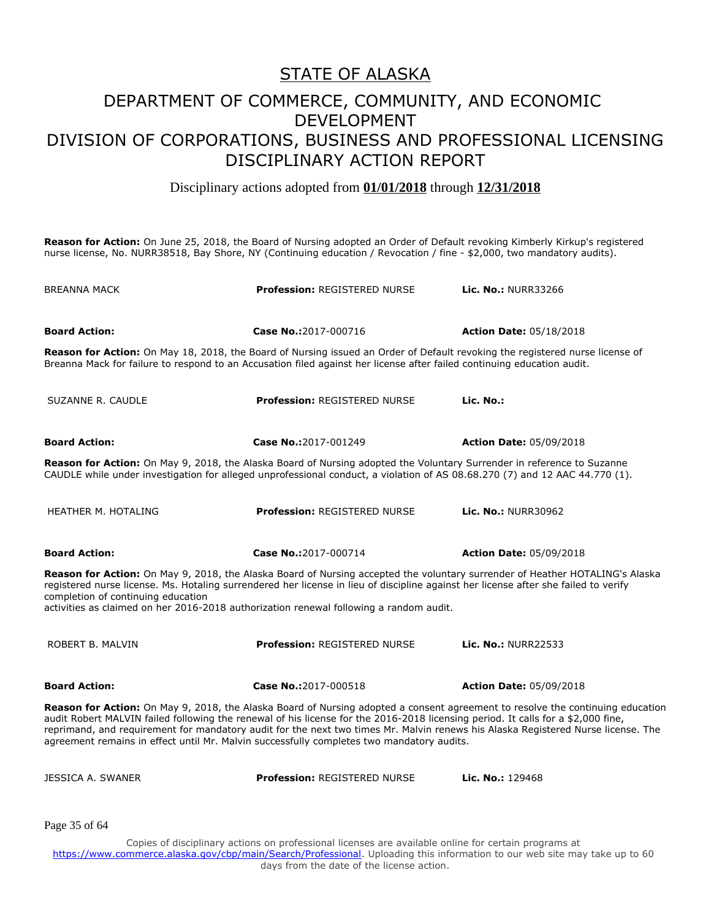Disciplinary actions adopted from **01/01/2018** through **12/31/2018**

**Reason for Action:** On June 25, 2018, the Board of Nursing adopted an Order of Default revoking Kimberly Kirkup's registered nurse license, No. NURR38518, Bay Shore, NY (Continuing education / Revocation / fine - \$2,000, two mandatory audits).

| <b>BREANNA MACK</b>                                                                                                                                                                                                                                                                                                                                                                                                                                                                                 | <b>Profession: REGISTERED NURSE</b>                                                                                                                                                                                                                            | <b>Lic. No.: NURR33266</b>     |  |
|-----------------------------------------------------------------------------------------------------------------------------------------------------------------------------------------------------------------------------------------------------------------------------------------------------------------------------------------------------------------------------------------------------------------------------------------------------------------------------------------------------|----------------------------------------------------------------------------------------------------------------------------------------------------------------------------------------------------------------------------------------------------------------|--------------------------------|--|
| <b>Board Action:</b>                                                                                                                                                                                                                                                                                                                                                                                                                                                                                | Case No.:2017-000716                                                                                                                                                                                                                                           | <b>Action Date: 05/18/2018</b> |  |
|                                                                                                                                                                                                                                                                                                                                                                                                                                                                                                     | <b>Reason for Action:</b> On May 18, 2018, the Board of Nursing issued an Order of Default revoking the registered nurse license of<br>Breanna Mack for failure to respond to an Accusation filed against her license after failed continuing education audit. |                                |  |
| SUZANNE R. CAUDLE                                                                                                                                                                                                                                                                                                                                                                                                                                                                                   | <b>Profession: REGISTERED NURSE</b>                                                                                                                                                                                                                            | Lic. No.:                      |  |
| <b>Board Action:</b>                                                                                                                                                                                                                                                                                                                                                                                                                                                                                | Case No.:2017-001249                                                                                                                                                                                                                                           | <b>Action Date: 05/09/2018</b> |  |
|                                                                                                                                                                                                                                                                                                                                                                                                                                                                                                     | Reason for Action: On May 9, 2018, the Alaska Board of Nursing adopted the Voluntary Surrender in reference to Suzanne<br>CAUDLE while under investigation for alleged unprofessional conduct, a violation of AS 08.68.270 (7) and 12 AAC 44.770 (1).          |                                |  |
| <b>HEATHER M. HOTALING</b>                                                                                                                                                                                                                                                                                                                                                                                                                                                                          | <b>Profession: REGISTERED NURSE</b>                                                                                                                                                                                                                            | <b>Lic. No.: NURR30962</b>     |  |
| <b>Board Action:</b>                                                                                                                                                                                                                                                                                                                                                                                                                                                                                | Case No.:2017-000714                                                                                                                                                                                                                                           | <b>Action Date: 05/09/2018</b> |  |
| Reason for Action: On May 9, 2018, the Alaska Board of Nursing accepted the voluntary surrender of Heather HOTALING's Alaska<br>registered nurse license. Ms. Hotaling surrendered her license in lieu of discipline against her license after she failed to verify<br>completion of continuing education<br>activities as claimed on her 2016-2018 authorization renewal following a random audit.                                                                                                 |                                                                                                                                                                                                                                                                |                                |  |
| ROBERT B. MALVIN                                                                                                                                                                                                                                                                                                                                                                                                                                                                                    | <b>Profession: REGISTERED NURSE</b>                                                                                                                                                                                                                            | Lic. No.: NURR22533            |  |
| <b>Board Action:</b>                                                                                                                                                                                                                                                                                                                                                                                                                                                                                | Case No.:2017-000518                                                                                                                                                                                                                                           | <b>Action Date: 05/09/2018</b> |  |
| Reason for Action: On May 9, 2018, the Alaska Board of Nursing adopted a consent agreement to resolve the continuing education<br>audit Robert MALVIN failed following the renewal of his license for the 2016-2018 licensing period. It calls for a \$2,000 fine,<br>reprimand, and requirement for mandatory audit for the next two times Mr. Malvin renews his Alaska Registered Nurse license. The<br>agreement remains in effect until Mr. Malvin successfully completes two mandatory audits. |                                                                                                                                                                                                                                                                |                                |  |
| JESSICA A. SWANER                                                                                                                                                                                                                                                                                                                                                                                                                                                                                   | <b>Profession: REGISTERED NURSE</b>                                                                                                                                                                                                                            | Lic. No.: 129468               |  |
| Page 35 of 64                                                                                                                                                                                                                                                                                                                                                                                                                                                                                       |                                                                                                                                                                                                                                                                |                                |  |
|                                                                                                                                                                                                                                                                                                                                                                                                                                                                                                     | Copies of disciplinary actions on professional licenses are available online for certain programs at                                                                                                                                                           |                                |  |

https://www.commerce.alaska.gov/cbp/main/Search/Professional</u>. Uploading this information to our web site may take up to 60 days from the date of the license action.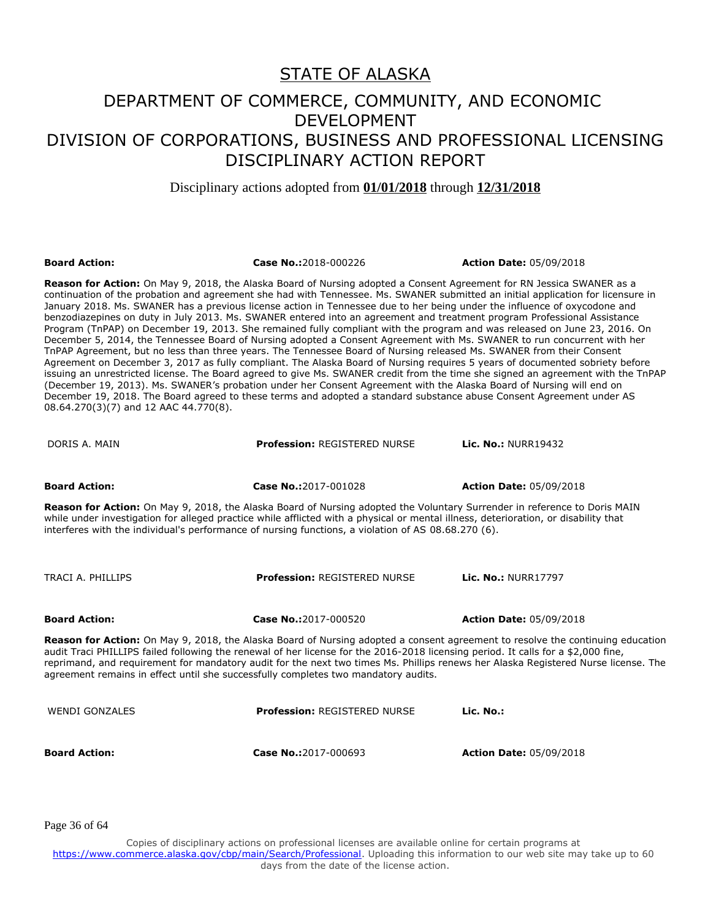Disciplinary actions adopted from **01/01/2018** through **12/31/2018**

| <b>Board Action:</b>                                                                                                                                                                                                                                                                                                                                                                                                                                                                                                                                                                                                                                                                                                                                                                                                                                                                                                                                                                                                                                                                                                                                                                                                                                                                                                                                                                                                                                            | Case No.:2018-000226                                                                                                                                                                                                                                                                                                                                                    | <b>Action Date: 05/09/2018</b> |  |
|-----------------------------------------------------------------------------------------------------------------------------------------------------------------------------------------------------------------------------------------------------------------------------------------------------------------------------------------------------------------------------------------------------------------------------------------------------------------------------------------------------------------------------------------------------------------------------------------------------------------------------------------------------------------------------------------------------------------------------------------------------------------------------------------------------------------------------------------------------------------------------------------------------------------------------------------------------------------------------------------------------------------------------------------------------------------------------------------------------------------------------------------------------------------------------------------------------------------------------------------------------------------------------------------------------------------------------------------------------------------------------------------------------------------------------------------------------------------|-------------------------------------------------------------------------------------------------------------------------------------------------------------------------------------------------------------------------------------------------------------------------------------------------------------------------------------------------------------------------|--------------------------------|--|
| Reason for Action: On May 9, 2018, the Alaska Board of Nursing adopted a Consent Agreement for RN Jessica SWANER as a<br>continuation of the probation and agreement she had with Tennessee. Ms. SWANER submitted an initial application for licensure in<br>January 2018. Ms. SWANER has a previous license action in Tennessee due to her being under the influence of oxycodone and<br>benzodiazepines on duty in July 2013. Ms. SWANER entered into an agreement and treatment program Professional Assistance<br>Program (TnPAP) on December 19, 2013. She remained fully compliant with the program and was released on June 23, 2016. On<br>December 5, 2014, the Tennessee Board of Nursing adopted a Consent Agreement with Ms. SWANER to run concurrent with her<br>TnPAP Agreement, but no less than three years. The Tennessee Board of Nursing released Ms. SWANER from their Consent<br>Agreement on December 3, 2017 as fully compliant. The Alaska Board of Nursing requires 5 years of documented sobriety before<br>issuing an unrestricted license. The Board agreed to give Ms. SWANER credit from the time she signed an agreement with the TnPAP<br>(December 19, 2013). Ms. SWANER's probation under her Consent Agreement with the Alaska Board of Nursing will end on<br>December 19, 2018. The Board agreed to these terms and adopted a standard substance abuse Consent Agreement under AS<br>08.64.270(3)(7) and 12 AAC 44.770(8). |                                                                                                                                                                                                                                                                                                                                                                         |                                |  |
| DORIS A. MAIN                                                                                                                                                                                                                                                                                                                                                                                                                                                                                                                                                                                                                                                                                                                                                                                                                                                                                                                                                                                                                                                                                                                                                                                                                                                                                                                                                                                                                                                   | <b>Profession: REGISTERED NURSE</b>                                                                                                                                                                                                                                                                                                                                     | <b>Lic. No.: NURR19432</b>     |  |
| <b>Board Action:</b>                                                                                                                                                                                                                                                                                                                                                                                                                                                                                                                                                                                                                                                                                                                                                                                                                                                                                                                                                                                                                                                                                                                                                                                                                                                                                                                                                                                                                                            | Case No.:2017-001028                                                                                                                                                                                                                                                                                                                                                    | <b>Action Date: 05/09/2018</b> |  |
|                                                                                                                                                                                                                                                                                                                                                                                                                                                                                                                                                                                                                                                                                                                                                                                                                                                                                                                                                                                                                                                                                                                                                                                                                                                                                                                                                                                                                                                                 | Reason for Action: On May 9, 2018, the Alaska Board of Nursing adopted the Voluntary Surrender in reference to Doris MAIN<br>while under investigation for alleged practice while afflicted with a physical or mental illness, deterioration, or disability that<br>interferes with the individual's performance of nursing functions, a violation of AS 08.68.270 (6). |                                |  |
| TRACI A. PHILLIPS                                                                                                                                                                                                                                                                                                                                                                                                                                                                                                                                                                                                                                                                                                                                                                                                                                                                                                                                                                                                                                                                                                                                                                                                                                                                                                                                                                                                                                               | <b>Profession: REGISTERED NURSE</b>                                                                                                                                                                                                                                                                                                                                     | <b>Lic. No.: NURR17797</b>     |  |
| <b>Board Action:</b>                                                                                                                                                                                                                                                                                                                                                                                                                                                                                                                                                                                                                                                                                                                                                                                                                                                                                                                                                                                                                                                                                                                                                                                                                                                                                                                                                                                                                                            | Case No.:2017-000520                                                                                                                                                                                                                                                                                                                                                    | <b>Action Date: 05/09/2018</b> |  |
| Reason for Action: On May 9, 2018, the Alaska Board of Nursing adopted a consent agreement to resolve the continuing education<br>audit Traci PHILLIPS failed following the renewal of her license for the 2016-2018 licensing period. It calls for a \$2,000 fine,<br>reprimand, and requirement for mandatory audit for the next two times Ms. Phillips renews her Alaska Registered Nurse license. The<br>agreement remains in effect until she successfully completes two mandatory audits.                                                                                                                                                                                                                                                                                                                                                                                                                                                                                                                                                                                                                                                                                                                                                                                                                                                                                                                                                                 |                                                                                                                                                                                                                                                                                                                                                                         |                                |  |
| <b>WENDI GONZALES</b>                                                                                                                                                                                                                                                                                                                                                                                                                                                                                                                                                                                                                                                                                                                                                                                                                                                                                                                                                                                                                                                                                                                                                                                                                                                                                                                                                                                                                                           | <b>Profession: REGISTERED NURSE</b>                                                                                                                                                                                                                                                                                                                                     | Lic. No.:                      |  |
| <b>Board Action:</b>                                                                                                                                                                                                                                                                                                                                                                                                                                                                                                                                                                                                                                                                                                                                                                                                                                                                                                                                                                                                                                                                                                                                                                                                                                                                                                                                                                                                                                            | Case No.:2017-000693                                                                                                                                                                                                                                                                                                                                                    | <b>Action Date: 05/09/2018</b> |  |

Page 36 of 64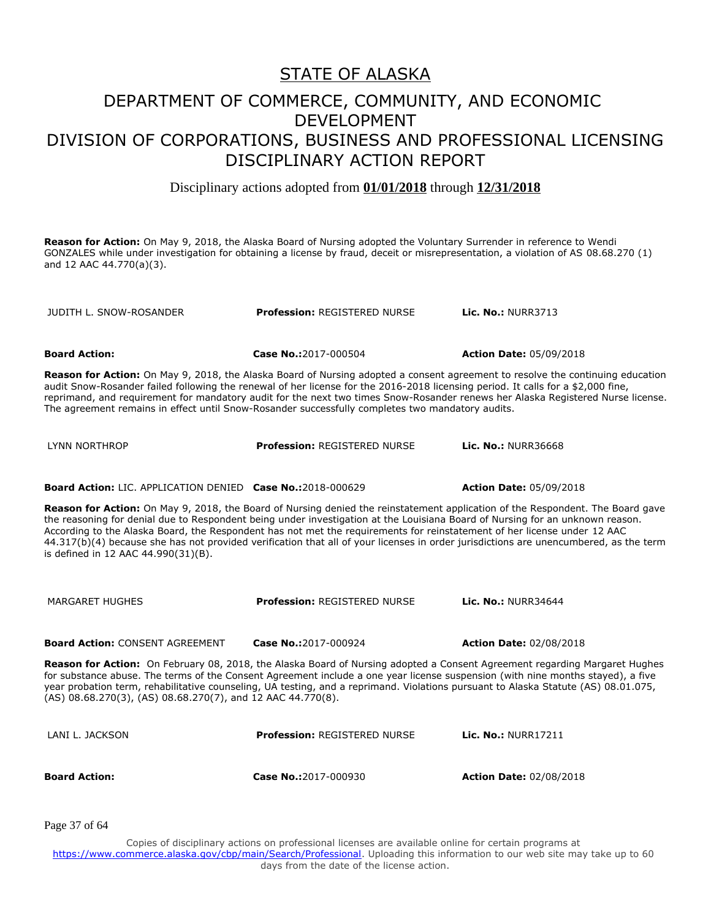Disciplinary actions adopted from **01/01/2018** through **12/31/2018**

**Reason for Action:** On May 9, 2018, the Alaska Board of Nursing adopted the Voluntary Surrender in reference to Wendi GONZALES while under investigation for obtaining a license by fraud, deceit or misrepresentation, a violation of AS 08.68.270 (1) and 12 AAC 44.770(a)(3).

JUDITH L. SNOW-ROSANDER **Profession:** REGISTERED NURSE **Lic. No.:** NURR3713

**Board Action: Case No.:**2017-000504 **Action Date:** 05/09/2018

**Reason for Action:** On May 9, 2018, the Alaska Board of Nursing adopted a consent agreement to resolve the continuing education audit Snow-Rosander failed following the renewal of her license for the 2016-2018 licensing period. It calls for a \$2,000 fine, reprimand, and requirement for mandatory audit for the next two times Snow-Rosander renews her Alaska Registered Nurse license. The agreement remains in effect until Snow-Rosander successfully completes two mandatory audits.

| LYNN NORTHROP | <b>Profession: REGISTERED NURSE</b> | <b>Lic. No.: NURR36668</b> |
|---------------|-------------------------------------|----------------------------|
|               |                                     |                            |

**Board Action:** LIC. APPLICATION DENIED **Case No.:**2018-000629 **Action Date:** 05/09/2018

**Reason for Action:** On May 9, 2018, the Board of Nursing denied the reinstatement application of the Respondent. The Board gave the reasoning for denial due to Respondent being under investigation at the Louisiana Board of Nursing for an unknown reason. According to the Alaska Board, the Respondent has not met the requirements for reinstatement of her license under 12 AAC 44.317(b)(4) because she has not provided verification that all of your licenses in order jurisdictions are unencumbered, as the term is defined in 12 AAC 44.990(31)(B).

| MARGARET HUGHES                                                                                                                                                                                                                                                                                                                                                                                                                                                      | <b>Profession: REGISTERED NURSE</b> | Lic. No.: NURR34644            |
|----------------------------------------------------------------------------------------------------------------------------------------------------------------------------------------------------------------------------------------------------------------------------------------------------------------------------------------------------------------------------------------------------------------------------------------------------------------------|-------------------------------------|--------------------------------|
| <b>Board Action: CONSENT AGREEMENT</b>                                                                                                                                                                                                                                                                                                                                                                                                                               | Case No.:2017-000924                | <b>Action Date: 02/08/2018</b> |
| Reason for Action: On February 08, 2018, the Alaska Board of Nursing adopted a Consent Agreement regarding Margaret Hughes<br>for substance abuse. The terms of the Consent Agreement include a one year license suspension (with nine months stayed), a five<br>year probation term, rehabilitative counseling, UA testing, and a reprimand. Violations pursuant to Alaska Statute (AS) 08.01.075,<br>$(AS)$ 08.68.270(3), (AS) 08.68.270(7), and 12 AAC 44.770(8). |                                     |                                |
| LANI L. JACKSON                                                                                                                                                                                                                                                                                                                                                                                                                                                      | <b>Profession: REGISTERED NURSE</b> | <b>Lic. No.: NURR17211</b>     |
| <b>Board Action:</b>                                                                                                                                                                                                                                                                                                                                                                                                                                                 | Case No.:2017-000930                | <b>Action Date: 02/08/2018</b> |

Page 37 of 64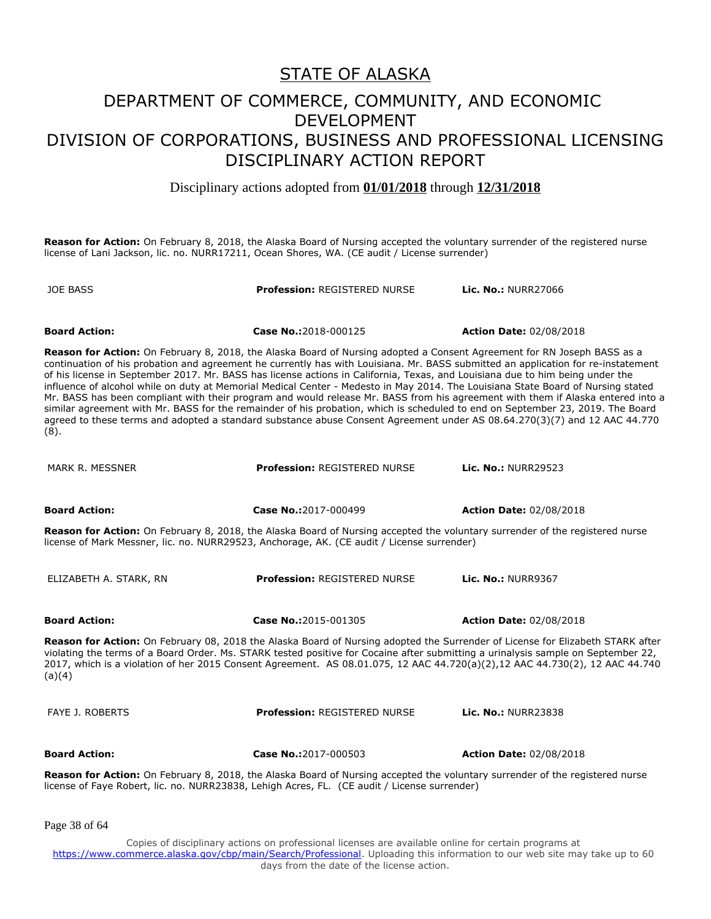Disciplinary actions adopted from **01/01/2018** through **12/31/2018**

**Reason for Action:** On February 8, 2018, the Alaska Board of Nursing accepted the voluntary surrender of the registered nurse license of Lani Jackson, lic. no. NURR17211, Ocean Shores, WA. (CE audit / License surrender)

JOE BASS **Profession:** REGISTERED NURSE **Lic. No.:** NURR27066 **Board Action: Case No.:**2018-000125 **Action Date:** 02/08/2018 **Reason for Action:** On February 8, 2018, the Alaska Board of Nursing adopted a Consent Agreement for RN Joseph BASS as a continuation of his probation and agreement he currently has with Louisiana. Mr. BASS submitted an application for re-instatement of his license in September 2017. Mr. BASS has license actions in California, Texas, and Louisiana due to him being under the influence of alcohol while on duty at Memorial Medical Center - Medesto in May 2014. The Louisiana State Board of Nursing stated Mr. BASS has been compliant with their program and would release Mr. BASS from his agreement with them if Alaska entered into a similar agreement with Mr. BASS for the remainder of his probation, which is scheduled to end on September 23, 2019. The Board agreed to these terms and adopted a standard substance abuse Consent Agreement under AS 08.64.270(3)(7) and 12 AAC 44.770 (8). MARK R. MESSNER **Profession:** REGISTERED NURSE **Lic. No.:** NURR29523 **Board Action: Case No.:**2017-000499 **Action Date:** 02/08/2018 **Reason for Action:** On February 8, 2018, the Alaska Board of Nursing accepted the voluntary surrender of the registered nurse license of Mark Messner, lic. no. NURR29523, Anchorage, AK. (CE audit / License surrender) ELIZABETH A. STARK, RN **Profession:** REGISTERED NURSE **Lic. No.:** NURR9367 **Board Action: Case No.:**2015-001305 **Action Date:** 02/08/2018 **Reason for Action:** On February 08, 2018 the Alaska Board of Nursing adopted the Surrender of License for Elizabeth STARK after violating the terms of a Board Order. Ms. STARK tested positive for Cocaine after submitting a urinalysis sample on September 22, 2017, which is a violation of her 2015 Consent Agreement. AS 08.01.075, 12 AAC 44.720(a)(2),12 AAC 44.730(2), 12 AAC 44.740  $(a)(4)$ FAYE J. ROBERTS **Profession:** REGISTERED NURSE **Lic. No.:** NURR23838 **Board Action: Case No.:**2017-000503 **Action Date:** 02/08/2018 **Reason for Action:** On February 8, 2018, the Alaska Board of Nursing accepted the voluntary surrender of the registered nurse license of Faye Robert, lic. no. NURR23838, Lehigh Acres, FL. (CE audit / License surrender)

Page 38 of 64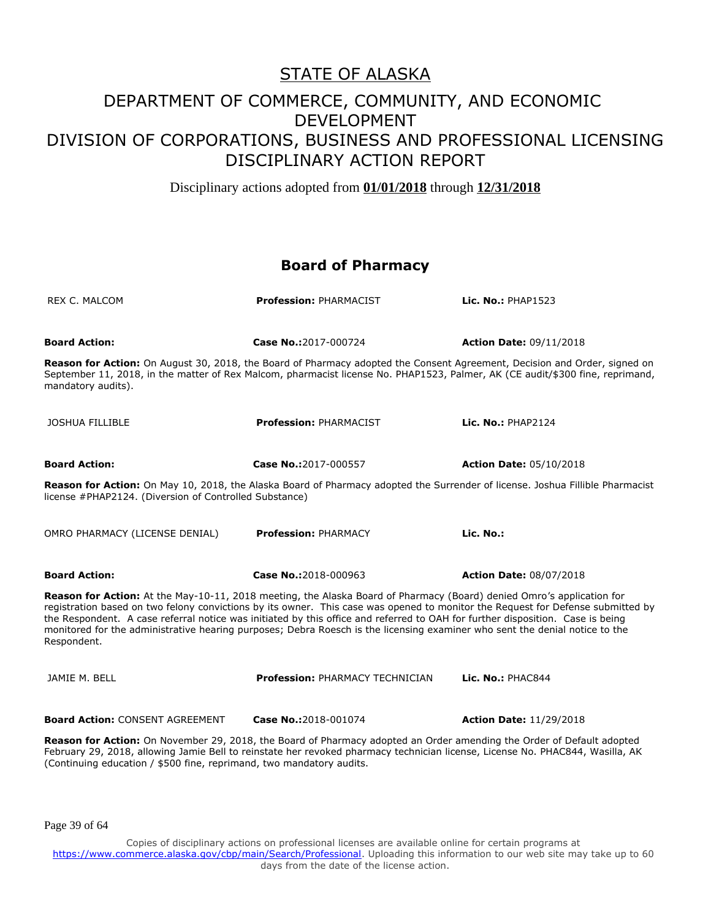Disciplinary actions adopted from **01/01/2018** through **12/31/2018**

#### **Board of Pharmacy**

| <b>REX C. MALCOM</b>                                                                                                                                                                                                                                                                                                                                                                                                                                                                                                                     | <b>Profession: PHARMACIST</b>          | Lic. No.: PHAP1523             |  |
|------------------------------------------------------------------------------------------------------------------------------------------------------------------------------------------------------------------------------------------------------------------------------------------------------------------------------------------------------------------------------------------------------------------------------------------------------------------------------------------------------------------------------------------|----------------------------------------|--------------------------------|--|
|                                                                                                                                                                                                                                                                                                                                                                                                                                                                                                                                          |                                        |                                |  |
| <b>Board Action:</b>                                                                                                                                                                                                                                                                                                                                                                                                                                                                                                                     | Case No.:2017-000724                   | <b>Action Date: 09/11/2018</b> |  |
| Reason for Action: On August 30, 2018, the Board of Pharmacy adopted the Consent Agreement, Decision and Order, signed on<br>September 11, 2018, in the matter of Rex Malcom, pharmacist license No. PHAP1523, Palmer, AK (CE audit/\$300 fine, reprimand,<br>mandatory audits).                                                                                                                                                                                                                                                         |                                        |                                |  |
| <b>JOSHUA FILLIBLE</b>                                                                                                                                                                                                                                                                                                                                                                                                                                                                                                                   | Profession: PHARMACIST                 | Lic. $No.:$ PHAP2124           |  |
| <b>Board Action:</b>                                                                                                                                                                                                                                                                                                                                                                                                                                                                                                                     | Case No.:2017-000557                   | <b>Action Date: 05/10/2018</b> |  |
| Reason for Action: On May 10, 2018, the Alaska Board of Pharmacy adopted the Surrender of license. Joshua Fillible Pharmacist<br>license #PHAP2124. (Diversion of Controlled Substance)                                                                                                                                                                                                                                                                                                                                                  |                                        |                                |  |
| OMRO PHARMACY (LICENSE DENIAL)                                                                                                                                                                                                                                                                                                                                                                                                                                                                                                           | <b>Profession: PHARMACY</b>            | Lic. No.:                      |  |
| <b>Board Action:</b>                                                                                                                                                                                                                                                                                                                                                                                                                                                                                                                     | Case No.:2018-000963                   | <b>Action Date: 08/07/2018</b> |  |
| Reason for Action: At the May-10-11, 2018 meeting, the Alaska Board of Pharmacy (Board) denied Omro's application for<br>registration based on two felony convictions by its owner. This case was opened to monitor the Request for Defense submitted by<br>the Respondent. A case referral notice was initiated by this office and referred to OAH for further disposition. Case is being<br>monitored for the administrative hearing purposes; Debra Roesch is the licensing examiner who sent the denial notice to the<br>Respondent. |                                        |                                |  |
| JAMIE M. BELL                                                                                                                                                                                                                                                                                                                                                                                                                                                                                                                            | <b>Profession: PHARMACY TECHNICIAN</b> | Lic. No.: PHAC844              |  |
| <b>Board Action: CONSENT AGREEMENT</b>                                                                                                                                                                                                                                                                                                                                                                                                                                                                                                   | Case No.:2018-001074                   | <b>Action Date: 11/29/2018</b> |  |
| Reason for Action: On November 29, 2018, the Board of Pharmacy adopted an Order amending the Order of Default adopted<br>February 29, 2018, allowing Jamie Bell to reinstate her revoked pharmacy technician license, License No. PHAC844, Wasilla, AK<br>(Continuing education / \$500 fine, reprimand, two mandatory audits.                                                                                                                                                                                                           |                                        |                                |  |

Page 39 of 64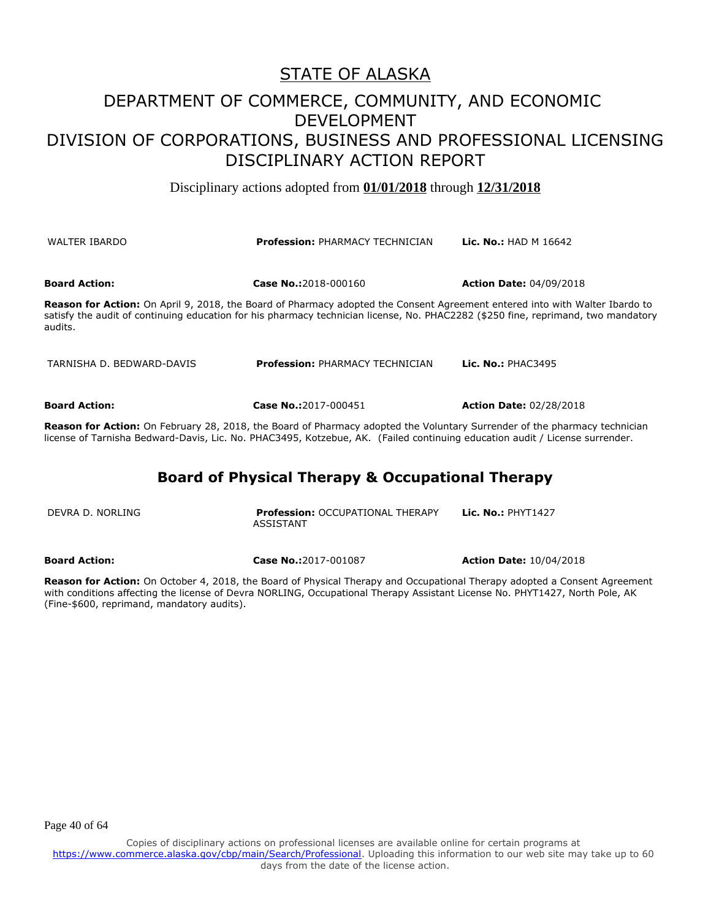#### DEPARTMENT OF COMMERCE, COMMUNITY, AND ECONOMIC DEVELOPMENT DIVISION OF CORPORATIONS, BUSINESS AND PROFESSIONAL LICENSING DISCIPLINARY ACTION REPORT

Disciplinary actions adopted from **01/01/2018** through **12/31/2018**

| <b>WALTER IBARDO</b>      | <b>Profession: PHARMACY TECHNICIAN</b>                                                                                                                                                                                                                                  | <b>Lic. No.:</b> HAD M $16642$ |
|---------------------------|-------------------------------------------------------------------------------------------------------------------------------------------------------------------------------------------------------------------------------------------------------------------------|--------------------------------|
| <b>Board Action:</b>      | Case No.:2018-000160                                                                                                                                                                                                                                                    | <b>Action Date: 04/09/2018</b> |
| audits.                   | <b>Reason for Action:</b> On April 9, 2018, the Board of Pharmacy adopted the Consent Agreement entered into with Walter Ibardo to<br>satisfy the audit of continuing education for his pharmacy technician license, No. PHAC2282 (\$250 fine, reprimand, two mandatory |                                |
| TARNISHA D. BEDWARD-DAVIS | <b>Profession: PHARMACY TECHNICIAN</b>                                                                                                                                                                                                                                  | Lic. No.: $PHAC3495$           |

**Board Action: Case No.:**2017-000451 **Action Date:** 02/28/2018

**Reason for Action:** On February 28, 2018, the Board of Pharmacy adopted the Voluntary Surrender of the pharmacy technician license of Tarnisha Bedward-Davis, Lic. No. PHAC3495, Kotzebue, AK. (Failed continuing education audit / License surrender.

#### **Board of Physical Therapy & Occupational Therapy**

| DEVRA D. NORLING | <b>Profession: OCCUPATIONAL THERAPY</b> | Lic. No.: $PHYT1427$ |
|------------------|-----------------------------------------|----------------------|
|                  | ASSISTANT                               |                      |
|                  |                                         |                      |

**Board Action: Case No.:**2017-001087 **Action Date:** 10/04/2018

**Reason for Action:** On October 4, 2018, the Board of Physical Therapy and Occupational Therapy adopted a Consent Agreement with conditions affecting the license of Devra NORLING, Occupational Therapy Assistant License No. PHYT1427, North Pole, AK (Fine-\$600, reprimand, mandatory audits).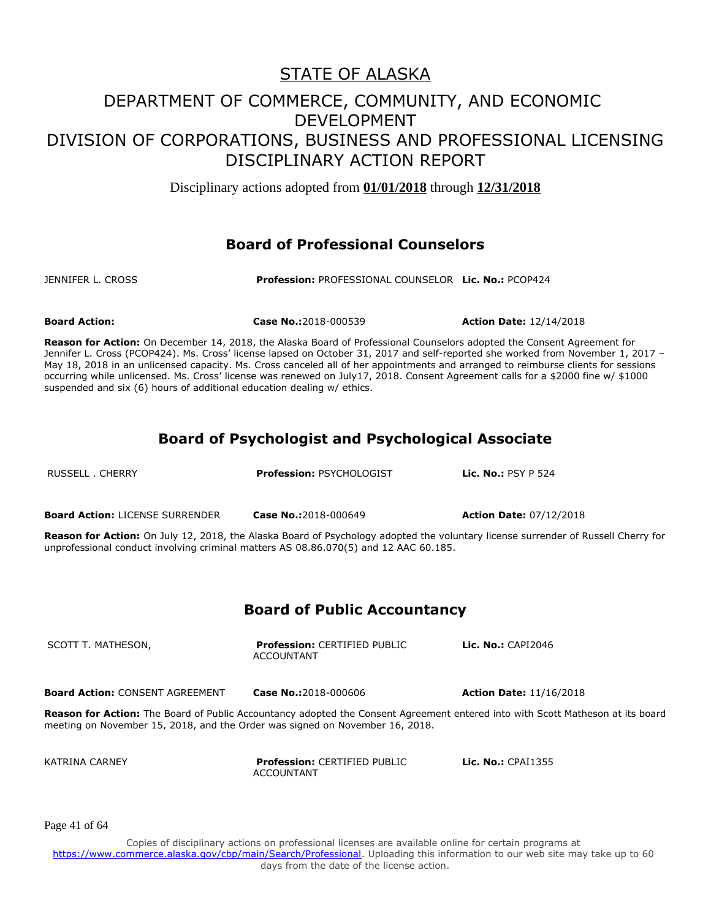Disciplinary actions adopted from **01/01/2018** through **12/31/2018**

#### **Board of Professional Counselors**

JENNIFER L. CROSS **Profession:** PROFESSIONAL COUNSELOR **Lic. No.:** PCOP424

suspended and six (6) hours of additional education dealing w/ ethics.

KATRINA CARNEY **Profession:** CERTIFIED PUBLIC

ACCOUNTANT

**Board Action: Case No.:**2018-000539 **Action Date:** 12/14/2018

**Reason for Action:** On December 14, 2018, the Alaska Board of Professional Counselors adopted the Consent Agreement for Jennifer L. Cross (PCOP424). Ms. Cross' license lapsed on October 31, 2017 and self-reported she worked from November 1, 2017 -May 18, 2018 in an unlicensed capacity. Ms. Cross canceled all of her appointments and arranged to reimburse clients for sessions occurring while unlicensed. Ms. Cross' license was renewed on July17, 2018. Consent Agreement calls for a \$2000 fine w/ \$1000

**Board of Psychologist and Psychological Associate**

| RUSSELL . CHERRY                                                                                                       | <b>Profession: PSYCHOLOGIST</b>                                                                              | Lic. No.: $PSY P 524$                                                                                                                                                      |
|------------------------------------------------------------------------------------------------------------------------|--------------------------------------------------------------------------------------------------------------|----------------------------------------------------------------------------------------------------------------------------------------------------------------------------|
| <b>Board Action: LICENSE SURRENDER</b>                                                                                 | Case No.:2018-000649<br>unprofessional conduct involving criminal matters AS 08.86.070(5) and 12 AAC 60.185. | <b>Action Date: 07/12/2018</b><br><b>Reason for Action:</b> On July 12, 2018, the Alaska Board of Psychology adopted the voluntary license surrender of Russell Cherry for |
|                                                                                                                        | <b>Board of Public Accountancy</b>                                                                           |                                                                                                                                                                            |
| SCOTT T. MATHESON,                                                                                                     | <b>Profession: CERTIFIED PUBLIC</b><br><b>ACCOUNTANT</b>                                                     | Lic. $No.:$ CAPI2046                                                                                                                                                       |
| <b>Board Action: CONSENT AGREEMENT</b><br>meeting on November 15, 2018, and the Order was signed on November 16, 2018. | Case No.: 2018-000606                                                                                        | <b>Action Date: 11/16/2018</b><br><b>Reason for Action:</b> The Board of Public Accountancy adopted the Consent Agreement entered into with Scott Matheson at its board    |

Page 41 of 64

Copies of disciplinary actions on professional licenses are available online for certain programs at https://www.commerce.alaska.gov/cbp/main/Search/Professional</u>. Uploading this information to our web site may take up to 60 days from the date of the license action.

**Lic. No.:** CPAI1355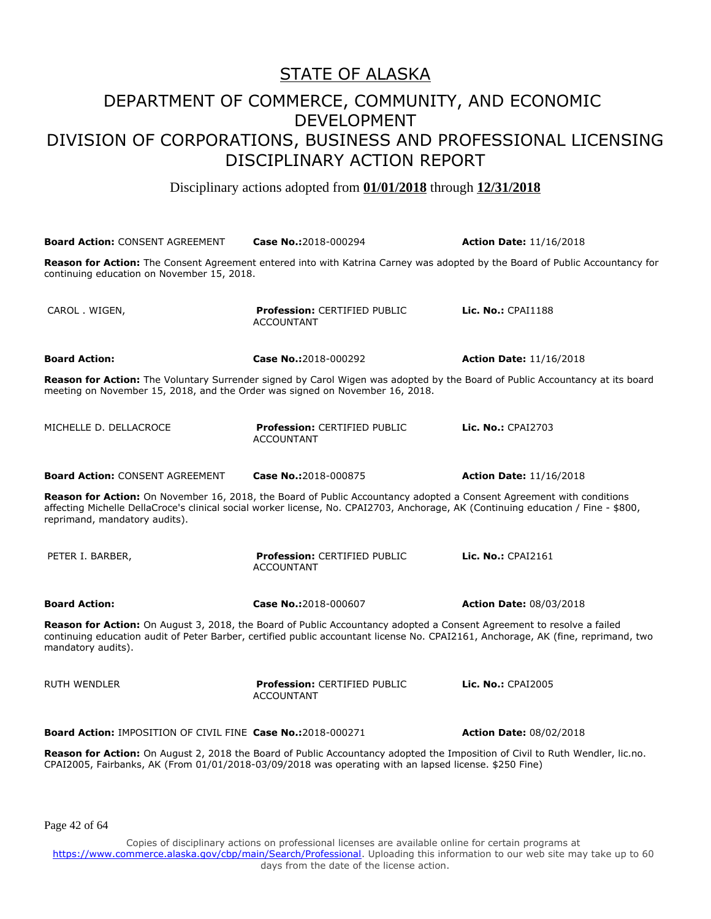Disciplinary actions adopted from **01/01/2018** through **12/31/2018**

**Board Action:** CONSENT AGREEMENT **Case No.:**2018-000294 **Action Date:** 11/16/2018 **Reason for Action:** The Consent Agreement entered into with Katrina Carney was adopted by the Board of Public Accountancy for continuing education on November 15, 2018. CAROL . WIGEN, **Profession:** CERTIFIED PUBLIC ACCOUNTANT **Lic. No.:** CPAI1188 **Board Action: Case No.:**2018-000292 **Action Date:** 11/16/2018 **Reason for Action:** The Voluntary Surrender signed by Carol Wigen was adopted by the Board of Public Accountancy at its board meeting on November 15, 2018, and the Order was signed on November 16, 2018. MICHELLE D. DELLACROCE **Profession:** CERTIFIED PUBLIC ACCOUNTANT **Lic. No.:** CPAI2703 **Board Action:** CONSENT AGREEMENT **Case No.:**2018-000875 **Action Date:** 11/16/2018 **Reason for Action:** On November 16, 2018, the Board of Public Accountancy adopted a Consent Agreement with conditions affecting Michelle DellaCroce's clinical social worker license, No. CPAI2703, Anchorage, AK (Continuing education / Fine - \$800, reprimand, mandatory audits). PETER I. BARBER, **Profession:** CERTIFIED PUBLIC ACCOUNTANT **Lic. No.:** CPAI2161 **Board Action: Case No.:**2018-000607 **Action Date:** 08/03/2018 **Reason for Action:** On August 3, 2018, the Board of Public Accountancy adopted a Consent Agreement to resolve a failed continuing education audit of Peter Barber, certified public accountant license No. CPAI2161, Anchorage, AK (fine, reprimand, two mandatory audits). RUTH WENDLER **Profession:** CERTIFIED PUBLIC ACCOUNTANT **Lic. No.:** CPAI2005 **Board Action:** IMPOSITION OF CIVIL FINE **Case No.:**2018-000271 **Action Date:** 08/02/2018 **Reason for Action:** On August 2, 2018 the Board of Public Accountancy adopted the Imposition of Civil to Ruth Wendler, lic.no. CPAI2005, Fairbanks, AK (From 01/01/2018-03/09/2018 was operating with an lapsed license. \$250 Fine)

Page 42 of 64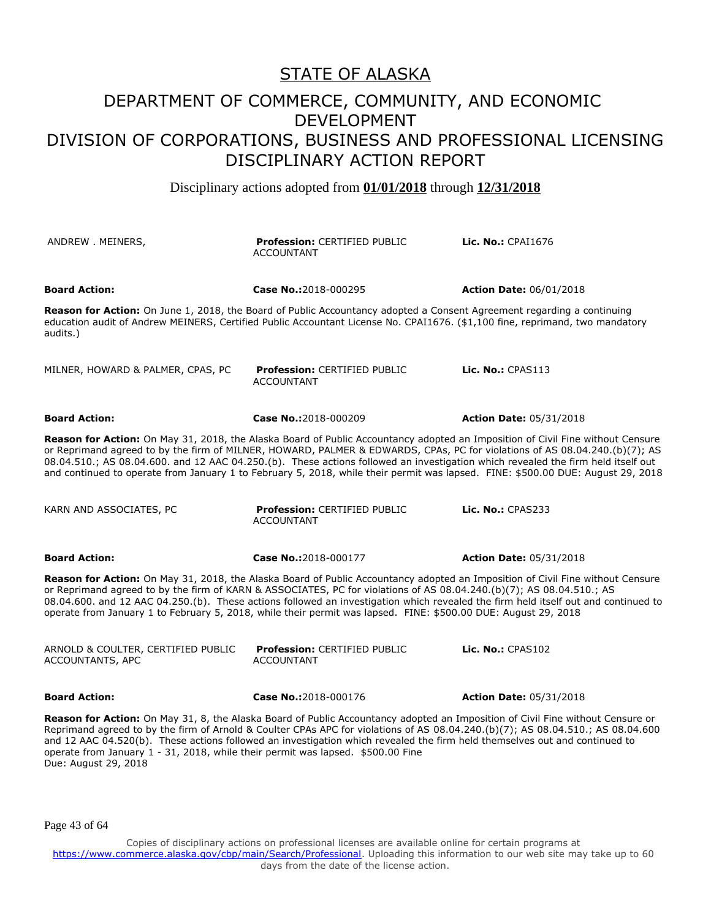Disciplinary actions adopted from **01/01/2018** through **12/31/2018**

| ANDREW MEINERS,                                                                                                                                                                                                                                                                                                                                                                                                                                                                                                                     | <b>Profession: CERTIFIED PUBLIC</b><br><b>ACCOUNTANT</b>                                                                                                                                                                                               | Lic. No.: CPAI1676             |
|-------------------------------------------------------------------------------------------------------------------------------------------------------------------------------------------------------------------------------------------------------------------------------------------------------------------------------------------------------------------------------------------------------------------------------------------------------------------------------------------------------------------------------------|--------------------------------------------------------------------------------------------------------------------------------------------------------------------------------------------------------------------------------------------------------|--------------------------------|
| <b>Board Action:</b>                                                                                                                                                                                                                                                                                                                                                                                                                                                                                                                | Case No.:2018-000295                                                                                                                                                                                                                                   | <b>Action Date: 06/01/2018</b> |
| audits.)                                                                                                                                                                                                                                                                                                                                                                                                                                                                                                                            | Reason for Action: On June 1, 2018, the Board of Public Accountancy adopted a Consent Agreement regarding a continuing<br>education audit of Andrew MEINERS, Certified Public Accountant License No. CPAI1676. (\$1,100 fine, reprimand, two mandatory |                                |
| MILNER, HOWARD & PALMER, CPAS, PC                                                                                                                                                                                                                                                                                                                                                                                                                                                                                                   | <b>Profession: CERTIFIED PUBLIC</b><br><b>ACCOUNTANT</b>                                                                                                                                                                                               | Lic. $No.:$ CPAS113            |
| <b>Board Action:</b>                                                                                                                                                                                                                                                                                                                                                                                                                                                                                                                | Case No.:2018-000209                                                                                                                                                                                                                                   | <b>Action Date: 05/31/2018</b> |
| Reason for Action: On May 31, 2018, the Alaska Board of Public Accountancy adopted an Imposition of Civil Fine without Censure<br>or Reprimand agreed to by the firm of MILNER, HOWARD, PALMER & EDWARDS, CPAs, PC for violations of AS 08.04.240.(b)(7); AS<br>08.04.510.; AS 08.04.600. and 12 AAC 04.250.(b). These actions followed an investigation which revealed the firm held itself out<br>and continued to operate from January 1 to February 5, 2018, while their permit was lapsed. FINE: \$500.00 DUE: August 29, 2018 |                                                                                                                                                                                                                                                        |                                |
| KARN AND ASSOCIATES, PC                                                                                                                                                                                                                                                                                                                                                                                                                                                                                                             | <b>Profession: CERTIFIED PUBLIC</b><br><b>ACCOUNTANT</b>                                                                                                                                                                                               | <b>Lic. No.: CPAS233</b>       |
| <b>Board Action:</b>                                                                                                                                                                                                                                                                                                                                                                                                                                                                                                                | Case No.:2018-000177                                                                                                                                                                                                                                   | <b>Action Date: 05/31/2018</b> |
| Reason for Action: On May 31, 2018, the Alaska Board of Public Accountancy adopted an Imposition of Civil Fine without Censure<br>or Reprimand agreed to by the firm of KARN & ASSOCIATES, PC for violations of AS 08.04.240.(b)(7); AS 08.04.510.; AS<br>08.04.600. and 12 AAC 04.250.(b). These actions followed an investigation which revealed the firm held itself out and continued to<br>operate from January 1 to February 5, 2018, while their permit was lapsed. FINE: \$500.00 DUE: August 29, 2018                      |                                                                                                                                                                                                                                                        |                                |
| ARNOLD & COULTER, CERTIFIED PUBLIC<br>ACCOUNTANTS, APC                                                                                                                                                                                                                                                                                                                                                                                                                                                                              | Profession: CERTIFIED PUBLIC<br><b>ACCOUNTANT</b>                                                                                                                                                                                                      | Lic. $No.:$ CPAS102            |
| <b>Board Action:</b>                                                                                                                                                                                                                                                                                                                                                                                                                                                                                                                | Case No.:2018-000176                                                                                                                                                                                                                                   | <b>Action Date: 05/31/2018</b> |
| Reason for Action: On May 31, 8, the Alaska Board of Public Accountancy adopted an Imposition of Civil Fine without Censure or<br>Reprimand agreed to by the firm of Arnold & Coulter CPAs APC for violations of AS 08.04.240.(b)(7); AS 08.04.510.; AS 08.04.600<br>and 12 AAC 04.520(b). These actions followed an investigation which revealed the firm held themselves out and continued to<br>operate from January 1 - 31, 2018, while their permit was lapsed. \$500.00 Fine                                                  |                                                                                                                                                                                                                                                        |                                |

Page 43 of 64

Due: August 29, 2018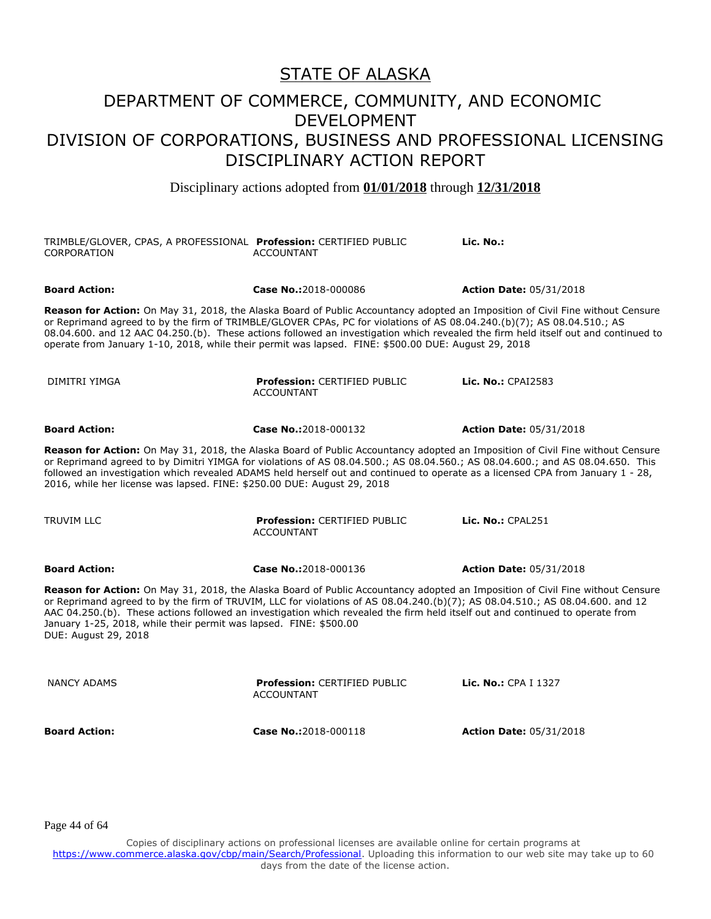Disciplinary actions adopted from **01/01/2018** through **12/31/2018**

| TRIMBLE/GLOVER, CPAS, A PROFESSIONAL Profession: CERTIFIED PUBLIC<br>CORPORATION                                                                                                                                                                                                                                                                                                                                                                                                                      | <b>ACCOUNTANT</b>                                        | Lic. No.:                      |
|-------------------------------------------------------------------------------------------------------------------------------------------------------------------------------------------------------------------------------------------------------------------------------------------------------------------------------------------------------------------------------------------------------------------------------------------------------------------------------------------------------|----------------------------------------------------------|--------------------------------|
| <b>Board Action:</b>                                                                                                                                                                                                                                                                                                                                                                                                                                                                                  | Case No.:2018-000086                                     | <b>Action Date: 05/31/2018</b> |
| Reason for Action: On May 31, 2018, the Alaska Board of Public Accountancy adopted an Imposition of Civil Fine without Censure<br>or Reprimand agreed to by the firm of TRIMBLE/GLOVER CPAs, PC for violations of AS 08.04.240.(b)(7); AS 08.04.510.; AS<br>08.04.600. and 12 AAC 04.250.(b). These actions followed an investigation which revealed the firm held itself out and continued to<br>operate from January 1-10, 2018, while their permit was lapsed. FINE: \$500.00 DUE: August 29, 2018 |                                                          |                                |
| DIMITRI YIMGA                                                                                                                                                                                                                                                                                                                                                                                                                                                                                         | <b>Profession: CERTIFIED PUBLIC</b><br><b>ACCOUNTANT</b> | Lic. No.: CPAI2583             |
| <b>Board Action:</b>                                                                                                                                                                                                                                                                                                                                                                                                                                                                                  | Case No.:2018-000132                                     | <b>Action Date: 05/31/2018</b> |
| Reason for Action: On May 31, 2018, the Alaska Board of Public Accountancy adopted an Imposition of Civil Fine without Censure<br>or Reprimand agreed to by Dimitri YIMGA for violations of AS 08.04.500.; AS 08.04.560.; AS 08.04.600.; and AS 08.04.650. This<br>followed an investigation which revealed ADAMS held herself out and continued to operate as a licensed CPA from January 1 - 28,<br>2016, while her license was lapsed. FINE: \$250.00 DUE: August 29, 2018                         |                                                          |                                |
| <b>TRUVIM LLC</b>                                                                                                                                                                                                                                                                                                                                                                                                                                                                                     | <b>Profession: CERTIFIED PUBLIC</b><br><b>ACCOUNTANT</b> | Lic. No.: CPAL251              |
| <b>Board Action:</b>                                                                                                                                                                                                                                                                                                                                                                                                                                                                                  | Case No.:2018-000136                                     | <b>Action Date: 05/31/2018</b> |
| Reason for Action: On May 31, 2018, the Alaska Board of Public Accountancy adopted an Imposition of Civil Fine without Censure<br>or Reprimand agreed to by the firm of TRUVIM, LLC for violations of AS 08.04.240.(b)(7); AS 08.04.510.; AS 08.04.600. and 12<br>AAC 04.250.(b). These actions followed an investigation which revealed the firm held itself out and continued to operate from<br>January 1-25, 2018, while their permit was lapsed. FINE: \$500.00<br>DUE: August 29, 2018          |                                                          |                                |
| <b>NANCY ADAMS</b>                                                                                                                                                                                                                                                                                                                                                                                                                                                                                    | <b>Profession: CERTIFIED PUBLIC</b><br><b>ACCOUNTANT</b> | Lic. No.: CPA I 1327           |
| <b>Board Action:</b>                                                                                                                                                                                                                                                                                                                                                                                                                                                                                  | Case No.:2018-000118                                     | <b>Action Date: 05/31/2018</b> |

Page 44 of 64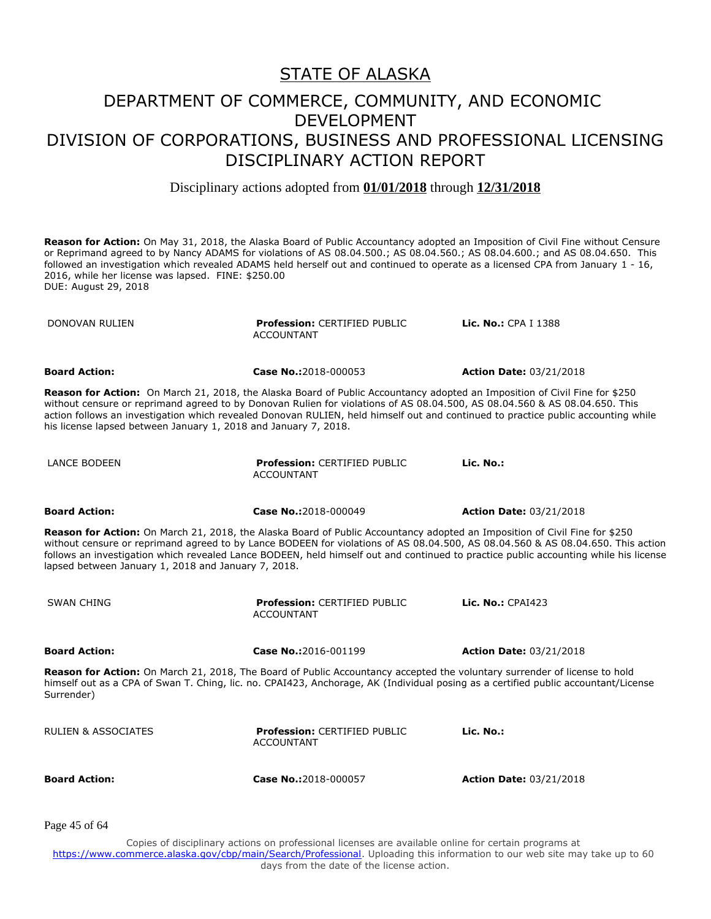Disciplinary actions adopted from **01/01/2018** through **12/31/2018**

**Reason for Action:** On May 31, 2018, the Alaska Board of Public Accountancy adopted an Imposition of Civil Fine without Censure or Reprimand agreed to by Nancy ADAMS for violations of AS 08.04.500.; AS 08.04.560.; AS 08.04.600.; and AS 08.04.650. This followed an investigation which revealed ADAMS held herself out and continued to operate as a licensed CPA from January 1 - 16, 2016, while her license was lapsed. FINE: \$250.00 DUE: August 29, 2018

DONOVAN RULIEN **Profession:** CERTIFIED PUBLIC ACCOUNTANT **Lic. No.:** CPA I 1388 **Board Action: Case No.:**2018-000053 **Action Date:** 03/21/2018 **Reason for Action:** On March 21, 2018, the Alaska Board of Public Accountancy adopted an Imposition of Civil Fine for \$250 without censure or reprimand agreed to by Donovan Rulien for violations of AS 08.04.500, AS 08.04.560 & AS 08.04.650. This action follows an investigation which revealed Donovan RULIEN, held himself out and continued to practice public accounting while his license lapsed between January 1, 2018 and January 7, 2018. LANCE BODEEN **Profession:** CERTIFIED PUBLIC ACCOUNTANT **Lic. No.: Board Action: Case No.:**2018-000049 **Action Date:** 03/21/2018 **Reason for Action:** On March 21, 2018, the Alaska Board of Public Accountancy adopted an Imposition of Civil Fine for \$250 without censure or reprimand agreed to by Lance BODEEN for violations of AS 08.04.500, AS 08.04.560 & AS 08.04.650. This action follows an investigation which revealed Lance BODEEN, held himself out and continued to practice public accounting while his license lapsed between January 1, 2018 and January 7, 2018. SWAN CHING **Profession:** CERTIFIED PUBLIC ACCOUNTANT **Lic. No.:** CPAI423 **Board Action: Case No.:**2016-001199 **Action Date:** 03/21/2018 **Reason for Action:** On March 21, 2018, The Board of Public Accountancy accepted the voluntary surrender of license to hold himself out as a CPA of Swan T. Ching, lic. no. CPAI423, Anchorage, AK (Individual posing as a certified public accountant/License Surrender) RULIEN & ASSOCIATES **Profession:** CERTIFIED PUBLIC ACCOUNTANT **Lic. No.: Board Action: Case No.:**2018-000057 **Action Date:** 03/21/2018

Page 45 of 64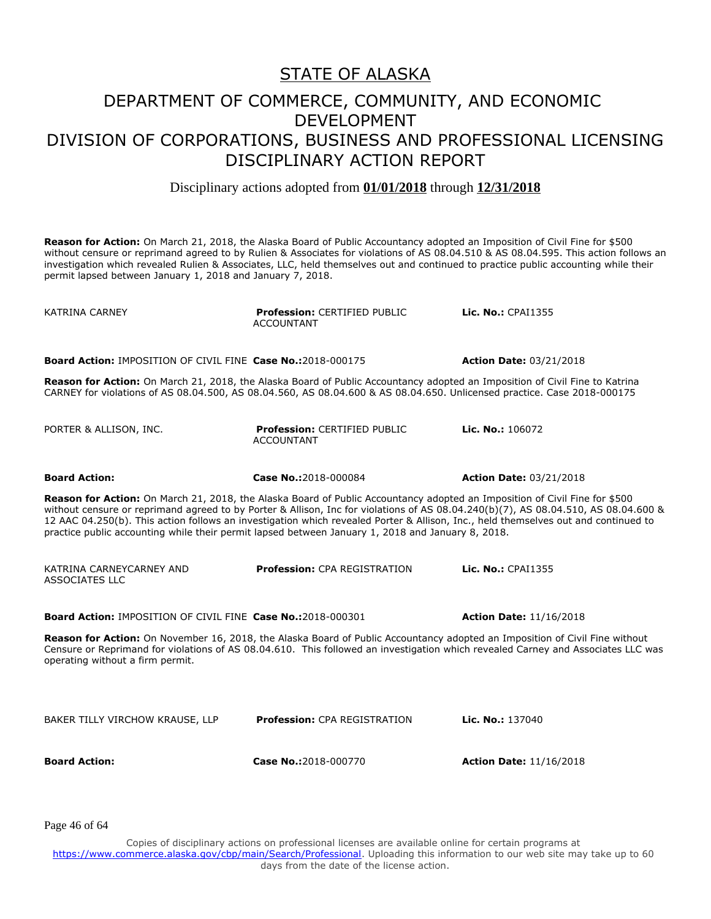Disciplinary actions adopted from **01/01/2018** through **12/31/2018**

**Reason for Action:** On March 21, 2018, the Alaska Board of Public Accountancy adopted an Imposition of Civil Fine for \$500 without censure or reprimand agreed to by Rulien & Associates for violations of AS 08.04.510 & AS 08.04.595. This action follows an investigation which revealed Rulien & Associates, LLC, held themselves out and continued to practice public accounting while their permit lapsed between January 1, 2018 and January 7, 2018.

KATRINA CARNEY **Profession:** CERTIFIED PUBLIC ACCOUNTANT **Lic. No.:** CPAI1355 **Board Action:** IMPOSITION OF CIVIL FINE **Case No.:**2018-000175 **Action Date:** 03/21/2018 **Reason for Action:** On March 21, 2018, the Alaska Board of Public Accountancy adopted an Imposition of Civil Fine to Katrina CARNEY for violations of AS 08.04.500, AS 08.04.560, AS 08.04.600 & AS 08.04.650. Unlicensed practice. Case 2018-000175 PORTER & ALLISON, INC. **Profession:** CERTIFIED PUBLIC ACCOUNTANT **Lic. No.:** 106072 **Board Action: Case No.:**2018-000084 **Action Date:** 03/21/2018 **Reason for Action:** On March 21, 2018, the Alaska Board of Public Accountancy adopted an Imposition of Civil Fine for \$500 without censure or reprimand agreed to by Porter & Allison, Inc for violations of AS 08.04.240(b)(7), AS 08.04.510, AS 08.04.600 & 12 AAC 04.250(b). This action follows an investigation which revealed Porter & Allison, Inc., held themselves out and continued to practice public accounting while their permit lapsed between January 1, 2018 and January 8, 2018. KATRINA CARNEYCARNEY AND ASSOCIATES LLC **Profession:** CPA REGISTRATION **Lic. No.:** CPAI1355 **Board Action:** IMPOSITION OF CIVIL FINE **Case No.:**2018-000301 **Action Date:** 11/16/2018 **Reason for Action:** On November 16, 2018, the Alaska Board of Public Accountancy adopted an Imposition of Civil Fine without Censure or Reprimand for violations of AS 08.04.610. This followed an investigation which revealed Carney and Associates LLC was operating without a firm permit. BAKER TILLY VIRCHOW KRAUSE, LLP **Profession:** CPA REGISTRATION **Lic. No.:** 137040 **Board Action: Case No.:**2018-000770 **Action Date:** 11/16/2018

Page 46 of 64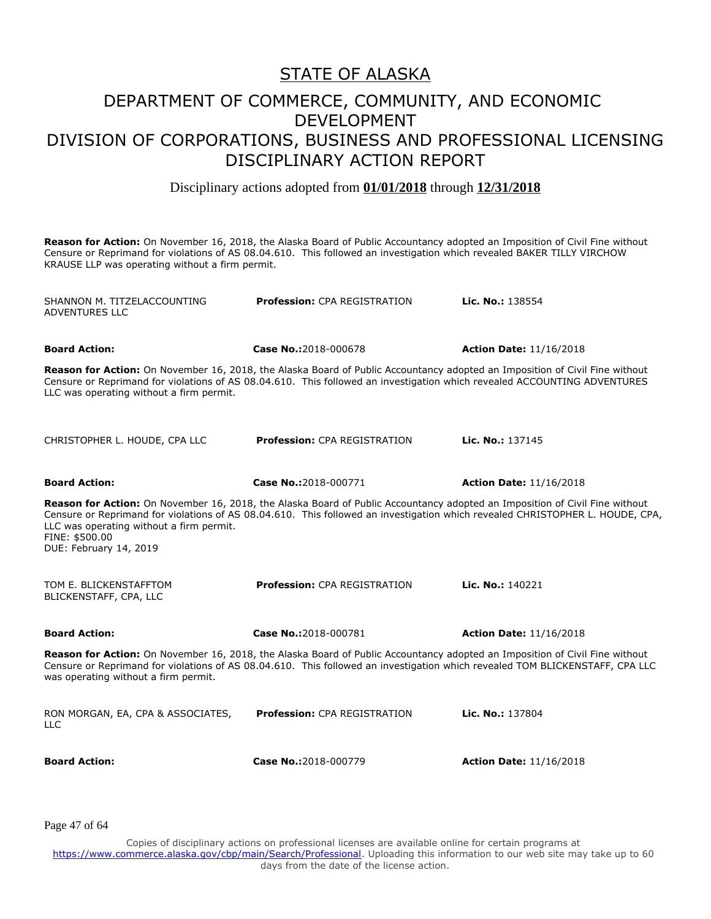Disciplinary actions adopted from **01/01/2018** through **12/31/2018**

**Reason for Action:** On November 16, 2018, the Alaska Board of Public Accountancy adopted an Imposition of Civil Fine without Censure or Reprimand for violations of AS 08.04.610. This followed an investigation which revealed BAKER TILLY VIRCHOW KRAUSE LLP was operating without a firm permit.

SHANNON M. TITZELACCOUNTING ADVENTURES LLC **Profession:** CPA REGISTRATION **Lic. No.:** 138554 **Board Action: Case No.:**2018-000678 **Action Date:** 11/16/2018 **Reason for Action:** On November 16, 2018, the Alaska Board of Public Accountancy adopted an Imposition of Civil Fine without Censure or Reprimand for violations of AS 08.04.610. This followed an investigation which revealed ACCOUNTING ADVENTURES LLC was operating without a firm permit. CHRISTOPHER L. HOUDE, CPA LLC **Profession:** CPA REGISTRATION **Lic. No.:** 137145 **Board Action: Case No.:**2018-000771 **Action Date:** 11/16/2018 **Reason for Action:** On November 16, 2018, the Alaska Board of Public Accountancy adopted an Imposition of Civil Fine without Censure or Reprimand for violations of AS 08.04.610. This followed an investigation which revealed CHRISTOPHER L. HOUDE, CPA, LLC was operating without a firm permit. FINE: \$500.00 DUE: February 14, 2019 TOM E. BLICKENSTAFFTOM BLICKENSTAFF, CPA, LLC **Profession:** CPA REGISTRATION **Lic. No.:** 140221 **Board Action: Case No.:**2018-000781 **Action Date:** 11/16/2018 **Reason for Action:** On November 16, 2018, the Alaska Board of Public Accountancy adopted an Imposition of Civil Fine without Censure or Reprimand for violations of AS 08.04.610. This followed an investigation which revealed TOM BLICKENSTAFF, CPA LLC was operating without a firm permit. RON MORGAN, EA, CPA & ASSOCIATES,  $\sqcup$  C **Profession:** CPA REGISTRATION **Lic. No.:** 137804 **Board Action: Case No.:**2018-000779 **Action Date:** 11/16/2018

Page 47 of 64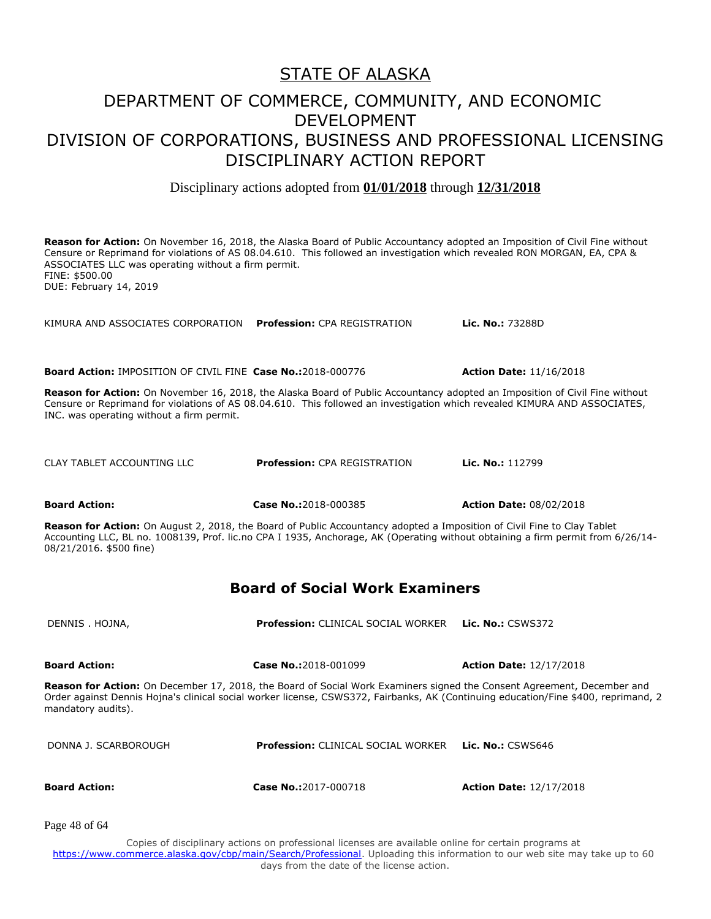Disciplinary actions adopted from **01/01/2018** through **12/31/2018**

**Reason for Action:** On November 16, 2018, the Alaska Board of Public Accountancy adopted an Imposition of Civil Fine without Censure or Reprimand for violations of AS 08.04.610. This followed an investigation which revealed RON MORGAN, EA, CPA & ASSOCIATES LLC was operating without a firm permit. FINE: \$500.00 DUE: February 14, 2019

KIMURA AND ASSOCIATES CORPORATION **Profession:** CPA REGISTRATION **Lic. No.:** 73288D

**Board Action:** IMPOSITION OF CIVIL FINE **Case No.:**2018-000776 **Action Date:** 11/16/2018

**Reason for Action:** On November 16, 2018, the Alaska Board of Public Accountancy adopted an Imposition of Civil Fine without Censure or Reprimand for violations of AS 08.04.610. This followed an investigation which revealed KIMURA AND ASSOCIATES, INC. was operating without a firm permit.

CLAY TABLET ACCOUNTING LLC **Profession:** CPA REGISTRATION **Lic. No.:** 112799

**Board Action: Case No.:**2018-000385 **Action Date:** 08/02/2018

**Reason for Action:** On August 2, 2018, the Board of Public Accountancy adopted a Imposition of Civil Fine to Clay Tablet Accounting LLC, BL no. 1008139, Prof. lic.no CPA I 1935, Anchorage, AK (Operating without obtaining a firm permit from 6/26/14- 08/21/2016. \$500 fine)

#### **Board of Social Work Examiners**

DENNIS . HOJNA, **Profession:** CLINICAL SOCIAL WORKER **Lic. No.:** CSWS372

**Board Action: Case No.:**2018-001099 **Action Date:** 12/17/2018

**Reason for Action:** On December 17, 2018, the Board of Social Work Examiners signed the Consent Agreement, December and Order against Dennis Hojna's clinical social worker license, CSWS372, Fairbanks, AK (Continuing education/Fine \$400, reprimand, 2 mandatory audits).

DONNA J. SCARBOROUGH **Profession:** CLINICAL SOCIAL WORKER **Lic. No.:** CSWS646

**Board Action: Case No.:**2017-000718 **Action Date:** 12/17/2018

Page 48 of 64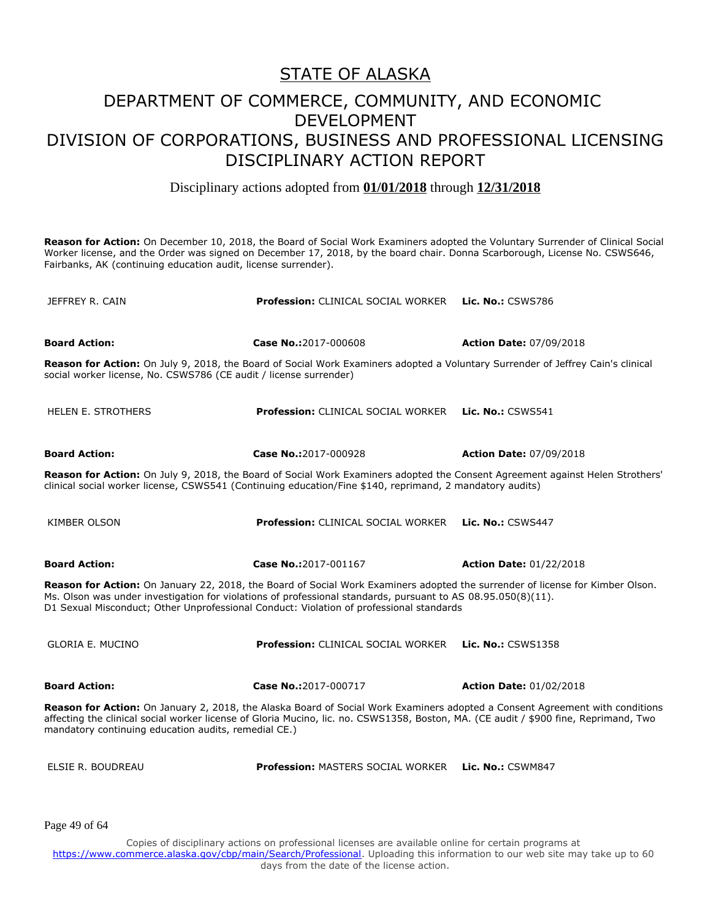Disciplinary actions adopted from **01/01/2018** through **12/31/2018**

**Reason for Action:** On December 10, 2018, the Board of Social Work Examiners adopted the Voluntary Surrender of Clinical Social Worker license, and the Order was signed on December 17, 2018, by the board chair. Donna Scarborough, License No. CSWS646, Fairbanks, AK (continuing education audit, license surrender).

| JEFFREY R. CAIN                                                   | <b>Profession: CLINICAL SOCIAL WORKER</b>                                                                                                                                                                                                                                                                                                | <b>Lic. No.: CSWS786</b>       |
|-------------------------------------------------------------------|------------------------------------------------------------------------------------------------------------------------------------------------------------------------------------------------------------------------------------------------------------------------------------------------------------------------------------------|--------------------------------|
| <b>Board Action:</b>                                              | Case No.:2017-000608                                                                                                                                                                                                                                                                                                                     | <b>Action Date: 07/09/2018</b> |
| social worker license, No. CSWS786 (CE audit / license surrender) | Reason for Action: On July 9, 2018, the Board of Social Work Examiners adopted a Voluntary Surrender of Jeffrey Cain's clinical                                                                                                                                                                                                          |                                |
| <b>HELEN E. STROTHERS</b>                                         | <b>Profession: CLINICAL SOCIAL WORKER</b>                                                                                                                                                                                                                                                                                                | <b>Lic. No.: CSWS541</b>       |
| <b>Board Action:</b>                                              | Case No.:2017-000928                                                                                                                                                                                                                                                                                                                     | <b>Action Date: 07/09/2018</b> |
|                                                                   | Reason for Action: On July 9, 2018, the Board of Social Work Examiners adopted the Consent Agreement against Helen Strothers'<br>clinical social worker license, CSWS541 (Continuing education/Fine \$140, reprimand, 2 mandatory audits)                                                                                                |                                |
| <b>KIMBER OLSON</b>                                               | <b>Profession: CLINICAL SOCIAL WORKER</b>                                                                                                                                                                                                                                                                                                | Lic. No.: CSWS447              |
| <b>Board Action:</b>                                              | Case No.:2017-001167                                                                                                                                                                                                                                                                                                                     | <b>Action Date: 01/22/2018</b> |
|                                                                   | Reason for Action: On January 22, 2018, the Board of Social Work Examiners adopted the surrender of license for Kimber Olson.<br>Ms. Olson was under investigation for violations of professional standards, pursuant to AS 08.95.050(8)(11).<br>D1 Sexual Misconduct; Other Unprofessional Conduct: Violation of professional standards |                                |
| <b>GLORIA E. MUCINO</b>                                           | <b>Profession: CLINICAL SOCIAL WORKER</b>                                                                                                                                                                                                                                                                                                | <b>Lic. No.: CSWS1358</b>      |
| <b>Board Action:</b>                                              | Case No.:2017-000717                                                                                                                                                                                                                                                                                                                     | <b>Action Date: 01/02/2018</b> |
| mandatory continuing education audits, remedial CE.)              | Reason for Action: On January 2, 2018, the Alaska Board of Social Work Examiners adopted a Consent Agreement with conditions<br>affecting the clinical social worker license of Gloria Mucino, lic. no. CSWS1358, Boston, MA. (CE audit / \$900 fine, Reprimand, Two                                                                     |                                |
| ELSIE R. BOUDREAU                                                 | <b>Profession: MASTERS SOCIAL WORKER</b>                                                                                                                                                                                                                                                                                                 | Lic. No.: CSWM847              |
|                                                                   |                                                                                                                                                                                                                                                                                                                                          |                                |

Page 49 of 64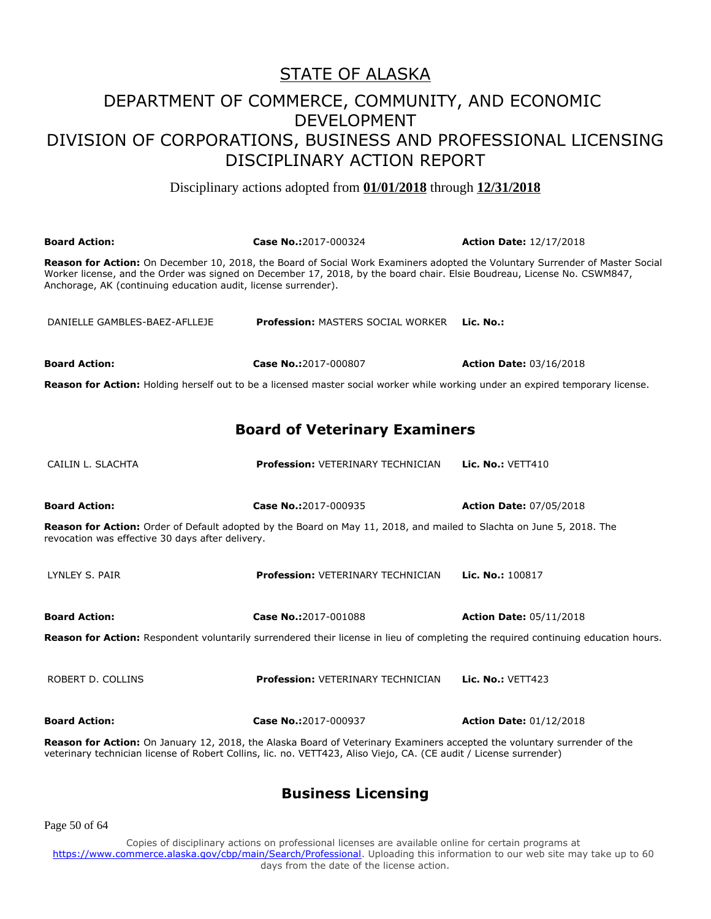Disciplinary actions adopted from **01/01/2018** through **12/31/2018**

| <b>Board Action:</b>                                                                                                                                                                                                                                  | Case No.:2017-000324                                                                                                                                                                                                                                    | <b>Action Date: 12/17/2018</b> |
|-------------------------------------------------------------------------------------------------------------------------------------------------------------------------------------------------------------------------------------------------------|---------------------------------------------------------------------------------------------------------------------------------------------------------------------------------------------------------------------------------------------------------|--------------------------------|
| Anchorage, AK (continuing education audit, license surrender).                                                                                                                                                                                        | Reason for Action: On December 10, 2018, the Board of Social Work Examiners adopted the Voluntary Surrender of Master Social<br>Worker license, and the Order was signed on December 17, 2018, by the board chair. Elsie Boudreau, License No. CSWM847, |                                |
| DANIELLE GAMBLES-BAEZ-AFLLEJE                                                                                                                                                                                                                         | <b>Profession: MASTERS SOCIAL WORKER</b>                                                                                                                                                                                                                | Lic. No.:                      |
| <b>Board Action:</b>                                                                                                                                                                                                                                  | Case No.:2017-000807                                                                                                                                                                                                                                    | <b>Action Date: 03/16/2018</b> |
|                                                                                                                                                                                                                                                       | Reason for Action: Holding herself out to be a licensed master social worker while working under an expired temporary license.                                                                                                                          |                                |
|                                                                                                                                                                                                                                                       | <b>Board of Veterinary Examiners</b>                                                                                                                                                                                                                    |                                |
| CAILIN L. SLACHTA                                                                                                                                                                                                                                     | <b>Profession: VETERINARY TECHNICIAN</b>                                                                                                                                                                                                                | <b>Lic. No.: VETT410</b>       |
| <b>Board Action:</b>                                                                                                                                                                                                                                  | Case No.:2017-000935                                                                                                                                                                                                                                    | <b>Action Date: 07/05/2018</b> |
| revocation was effective 30 days after delivery.                                                                                                                                                                                                      | Reason for Action: Order of Default adopted by the Board on May 11, 2018, and mailed to Slachta on June 5, 2018. The                                                                                                                                    |                                |
| LYNLEY S. PAIR                                                                                                                                                                                                                                        | Profession: VETERINARY TECHNICIAN                                                                                                                                                                                                                       | Lic. No.: 100817               |
| <b>Board Action:</b>                                                                                                                                                                                                                                  | Case No.:2017-001088                                                                                                                                                                                                                                    | <b>Action Date: 05/11/2018</b> |
|                                                                                                                                                                                                                                                       | Reason for Action: Respondent voluntarily surrendered their license in lieu of completing the required continuing education hours.                                                                                                                      |                                |
| ROBERT D. COLLINS                                                                                                                                                                                                                                     | <b>Profession: VETERINARY TECHNICIAN</b>                                                                                                                                                                                                                | Lic. No.: VETT423              |
| <b>Board Action:</b>                                                                                                                                                                                                                                  | Case No.:2017-000937                                                                                                                                                                                                                                    | <b>Action Date: 01/12/2018</b> |
| <b>Reason for Action:</b> On January 12, 2018, the Alaska Board of Veterinary Examiners accepted the voluntary surrender of the<br>veterinary technician license of Robert Collins, lic. no. VETT423, Aliso Viejo, CA. (CE audit / License surrender) |                                                                                                                                                                                                                                                         |                                |

#### **Business Licensing**

Page 50 of 64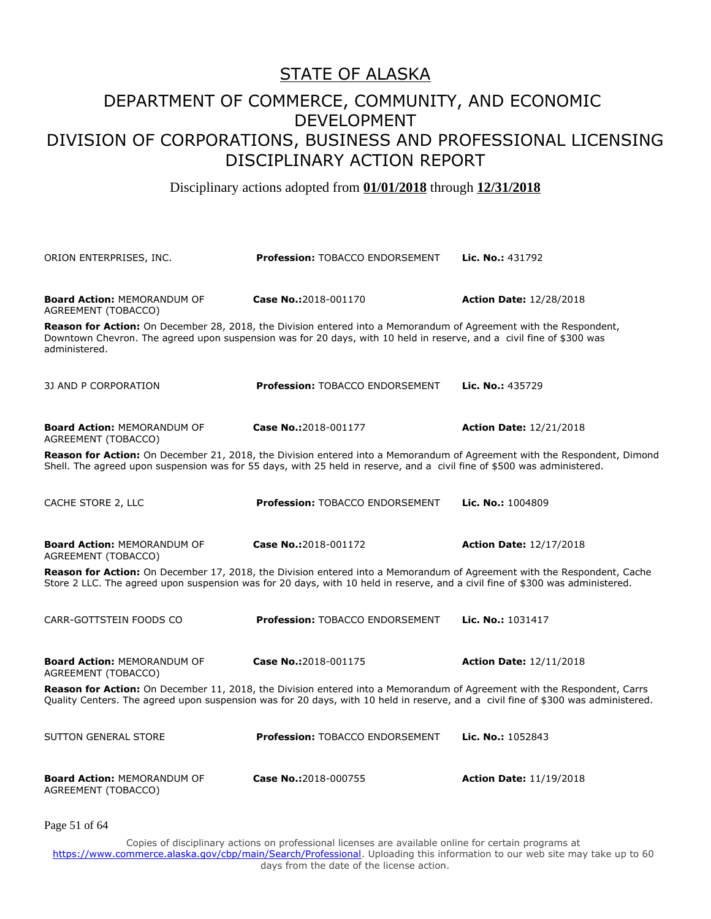#### DEPARTMENT OF COMMERCE, COMMUNITY, AND ECONOMIC DEVELOPMENT DIVISION OF CORPORATIONS, BUSINESS AND PROFESSIONAL LICENSING DISCIPLINARY ACTION REPORT

Disciplinary actions adopted from **01/01/2018** through **12/31/2018**

| ORION ENTERPRISES, INC.                                   | <b>Profession: TOBACCO ENDORSEMENT</b>                                                                                                                                                                                                                       | Lic. No.: 431792               |
|-----------------------------------------------------------|--------------------------------------------------------------------------------------------------------------------------------------------------------------------------------------------------------------------------------------------------------------|--------------------------------|
| <b>Board Action: MEMORANDUM OF</b><br>AGREEMENT (TOBACCO) | Case No.:2018-001170                                                                                                                                                                                                                                         | <b>Action Date: 12/28/2018</b> |
| administered.                                             | Reason for Action: On December 28, 2018, the Division entered into a Memorandum of Agreement with the Respondent,<br>Downtown Chevron. The agreed upon suspension was for 20 days, with 10 held in reserve, and a civil fine of \$300 was                    |                                |
| 3J AND P CORPORATION                                      | Profession: TOBACCO ENDORSEMENT                                                                                                                                                                                                                              | Lic. No.: 435729               |
| <b>Board Action: MEMORANDUM OF</b><br>AGREEMENT (TOBACCO) | Case No.:2018-001177                                                                                                                                                                                                                                         | <b>Action Date: 12/21/2018</b> |
|                                                           | Reason for Action: On December 21, 2018, the Division entered into a Memorandum of Agreement with the Respondent, Dimond<br>Shell. The agreed upon suspension was for 55 days, with 25 held in reserve, and a civil fine of \$500 was administered.          |                                |
| CACHE STORE 2, LLC                                        | Profession: TOBACCO ENDORSEMENT                                                                                                                                                                                                                              | Lic. No.: 1004809              |
| <b>Board Action: MEMORANDUM OF</b><br>AGREEMENT (TOBACCO) | Case No.:2018-001172                                                                                                                                                                                                                                         | <b>Action Date: 12/17/2018</b> |
|                                                           | Reason for Action: On December 17, 2018, the Division entered into a Memorandum of Agreement with the Respondent, Cache<br>Store 2 LLC. The agreed upon suspension was for 20 days, with 10 held in reserve, and a civil fine of \$300 was administered.     |                                |
| CARR-GOTTSTEIN FOODS CO                                   | Profession: TOBACCO ENDORSEMENT                                                                                                                                                                                                                              | Lic. No.: 1031417              |
| <b>Board Action: MEMORANDUM OF</b><br>AGREEMENT (TOBACCO) | Case No.:2018-001175                                                                                                                                                                                                                                         | <b>Action Date: 12/11/2018</b> |
|                                                           | Reason for Action: On December 11, 2018, the Division entered into a Memorandum of Agreement with the Respondent, Carrs<br>Quality Centers. The agreed upon suspension was for 20 days, with 10 held in reserve, and a civil fine of \$300 was administered. |                                |
| <b>SUTTON GENERAL STORE</b>                               | <b>Profession: TOBACCO ENDORSEMENT</b>                                                                                                                                                                                                                       | Lic. No.: 1052843              |
| <b>Board Action: MEMORANDUM OF</b><br>AGREEMENT (TOBACCO) | Case No.:2018-000755                                                                                                                                                                                                                                         | <b>Action Date: 11/19/2018</b> |
| Page 51 of 64                                             |                                                                                                                                                                                                                                                              |                                |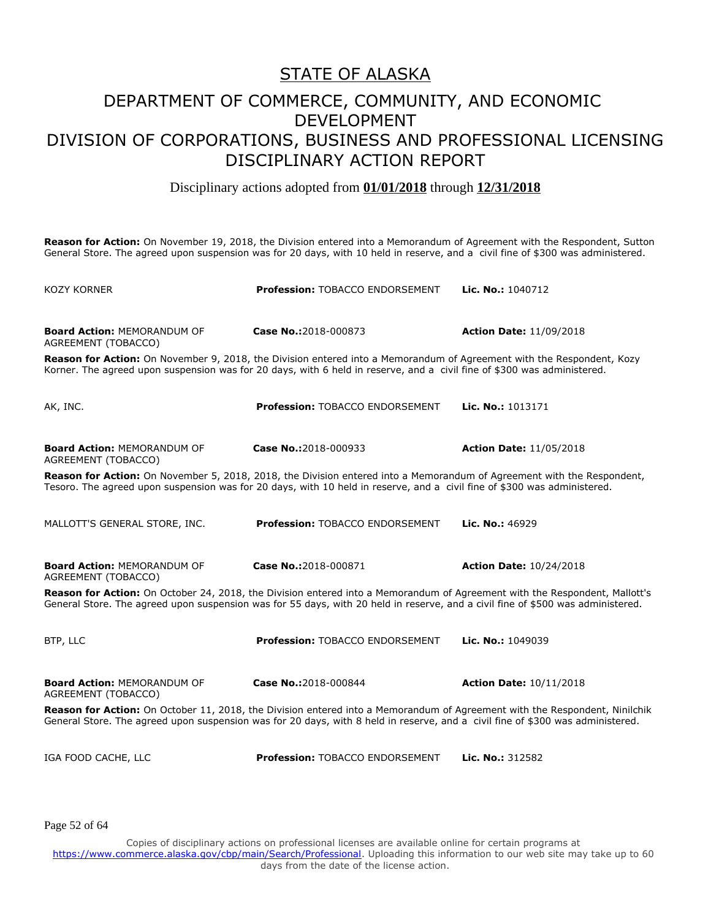#### DEPARTMENT OF COMMERCE, COMMUNITY, AND ECONOMIC DEVELOPMENT DIVISION OF CORPORATIONS, BUSINESS AND PROFESSIONAL LICENSING DISCIPLINARY ACTION REPORT

Disciplinary actions adopted from **01/01/2018** through **12/31/2018**

**Reason for Action:** On November 19, 2018, the Division entered into a Memorandum of Agreement with the Respondent, Sutton General Store. The agreed upon suspension was for 20 days, with 10 held in reserve, and a civil fine of \$300 was administered.

| <b>KOZY KORNER</b>                                                                                                                                                                                                                                            | <b>Profession: TOBACCO ENDORSEMENT</b> | <b>Lic. No.: 1040712</b>       |
|---------------------------------------------------------------------------------------------------------------------------------------------------------------------------------------------------------------------------------------------------------------|----------------------------------------|--------------------------------|
| <b>Board Action: MEMORANDUM OF</b><br>AGREEMENT (TOBACCO)                                                                                                                                                                                                     | Case No.:2018-000873                   | <b>Action Date: 11/09/2018</b> |
| Reason for Action: On November 9, 2018, the Division entered into a Memorandum of Agreement with the Respondent, Kozy<br>Korner. The agreed upon suspension was for 20 days, with 6 held in reserve, and a civil fine of \$300 was administered.              |                                        |                                |
| AK, INC.                                                                                                                                                                                                                                                      | <b>Profession: TOBACCO ENDORSEMENT</b> | Lic. No.: 1013171              |
| <b>Board Action: MEMORANDUM OF</b><br>AGREEMENT (TOBACCO)                                                                                                                                                                                                     | Case No.:2018-000933                   | <b>Action Date: 11/05/2018</b> |
| Reason for Action: On November 5, 2018, 2018, the Division entered into a Memorandum of Agreement with the Respondent,<br>Tesoro. The agreed upon suspension was for 20 days, with 10 held in reserve, and a civil fine of \$300 was administered.            |                                        |                                |
| MALLOTT'S GENERAL STORE, INC.                                                                                                                                                                                                                                 | <b>Profession: TOBACCO ENDORSEMENT</b> | <b>Lic. No.: 46929</b>         |
| <b>Board Action: MEMORANDUM OF</b><br>AGREEMENT (TOBACCO)                                                                                                                                                                                                     | Case No.:2018-000871                   | <b>Action Date: 10/24/2018</b> |
| Reason for Action: On October 24, 2018, the Division entered into a Memorandum of Agreement with the Respondent, Mallott's<br>General Store. The agreed upon suspension was for 55 days, with 20 held in reserve, and a civil fine of \$500 was administered. |                                        |                                |
| BTP, LLC                                                                                                                                                                                                                                                      | <b>Profession: TOBACCO ENDORSEMENT</b> | Lic. No.: 1049039              |
| <b>Board Action: MEMORANDUM OF</b><br>AGREEMENT (TOBACCO)                                                                                                                                                                                                     | Case No.:2018-000844                   | <b>Action Date: 10/11/2018</b> |
| Reason for Action: On October 11, 2018, the Division entered into a Memorandum of Agreement with the Respondent, Ninilchik<br>General Store. The agreed upon suspension was for 20 days, with 8 held in reserve, and a civil fine of \$300 was administered.  |                                        |                                |
| IGA FOOD CACHE, LLC                                                                                                                                                                                                                                           | Profession: TOBACCO ENDORSEMENT        | Lic. No.: 312582               |
|                                                                                                                                                                                                                                                               |                                        |                                |

Page 52 of 64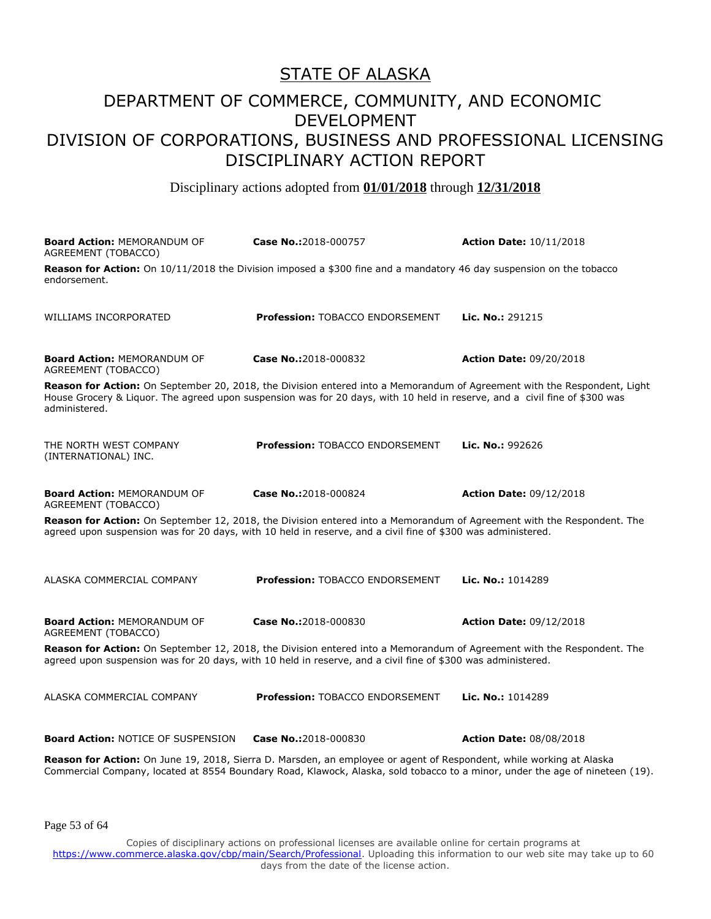#### DEPARTMENT OF COMMERCE, COMMUNITY, AND ECONOMIC DEVELOPMENT DIVISION OF CORPORATIONS, BUSINESS AND PROFESSIONAL LICENSING DISCIPLINARY ACTION REPORT

Disciplinary actions adopted from **01/01/2018** through **12/31/2018**

| <b>Board Action: MEMORANDUM OF</b><br>AGREEMENT (TOBACCO)                                                                                                                                                                                                               | Case No.:2018-000757                   | <b>Action Date: 10/11/2018</b> |
|-------------------------------------------------------------------------------------------------------------------------------------------------------------------------------------------------------------------------------------------------------------------------|----------------------------------------|--------------------------------|
| Reason for Action: On 10/11/2018 the Division imposed a \$300 fine and a mandatory 46 day suspension on the tobacco<br>endorsement.                                                                                                                                     |                                        |                                |
| WILLIAMS INCORPORATED                                                                                                                                                                                                                                                   | <b>Profession: TOBACCO ENDORSEMENT</b> | Lic. No.: 291215               |
| <b>Board Action: MEMORANDUM OF</b><br>AGREEMENT (TOBACCO)                                                                                                                                                                                                               | Case No.:2018-000832                   | <b>Action Date: 09/20/2018</b> |
| Reason for Action: On September 20, 2018, the Division entered into a Memorandum of Agreement with the Respondent, Light<br>House Grocery & Liquor. The agreed upon suspension was for 20 days, with 10 held in reserve, and a civil fine of \$300 was<br>administered. |                                        |                                |
| THE NORTH WEST COMPANY<br>(INTERNATIONAL) INC.                                                                                                                                                                                                                          | Profession: TOBACCO ENDORSEMENT        | Lic. No.: 992626               |
| <b>Board Action: MEMORANDUM OF</b><br>AGREEMENT (TOBACCO)                                                                                                                                                                                                               | Case No.:2018-000824                   | <b>Action Date: 09/12/2018</b> |
| Reason for Action: On September 12, 2018, the Division entered into a Memorandum of Agreement with the Respondent. The<br>agreed upon suspension was for 20 days, with 10 held in reserve, and a civil fine of \$300 was administered.                                  |                                        |                                |
| ALASKA COMMERCIAL COMPANY                                                                                                                                                                                                                                               | <b>Profession: TOBACCO ENDORSEMENT</b> | Lic. No.: 1014289              |
| <b>Board Action: MEMORANDUM OF</b><br>AGREEMENT (TOBACCO)                                                                                                                                                                                                               | Case No.:2018-000830                   | <b>Action Date: 09/12/2018</b> |
| Reason for Action: On September 12, 2018, the Division entered into a Memorandum of Agreement with the Respondent. The<br>agreed upon suspension was for 20 days, with 10 held in reserve, and a civil fine of \$300 was administered.                                  |                                        |                                |
| ALASKA COMMERCIAL COMPANY                                                                                                                                                                                                                                               | <b>Profession: TOBACCO ENDORSEMENT</b> | Lic. No.: 1014289              |
| <b>Board Action: NOTICE OF SUSPENSION</b>                                                                                                                                                                                                                               | Case No.:2018-000830                   | <b>Action Date: 08/08/2018</b> |
| Reason for Action: On June 19, 2018, Sierra D. Marsden, an employee or agent of Respondent, while working at Alaska<br>Commercial Company, located at 8554 Boundary Road, Klawock, Alaska, sold tobacco to a minor, under the age of nineteen (19).                     |                                        |                                |

Page 53 of 64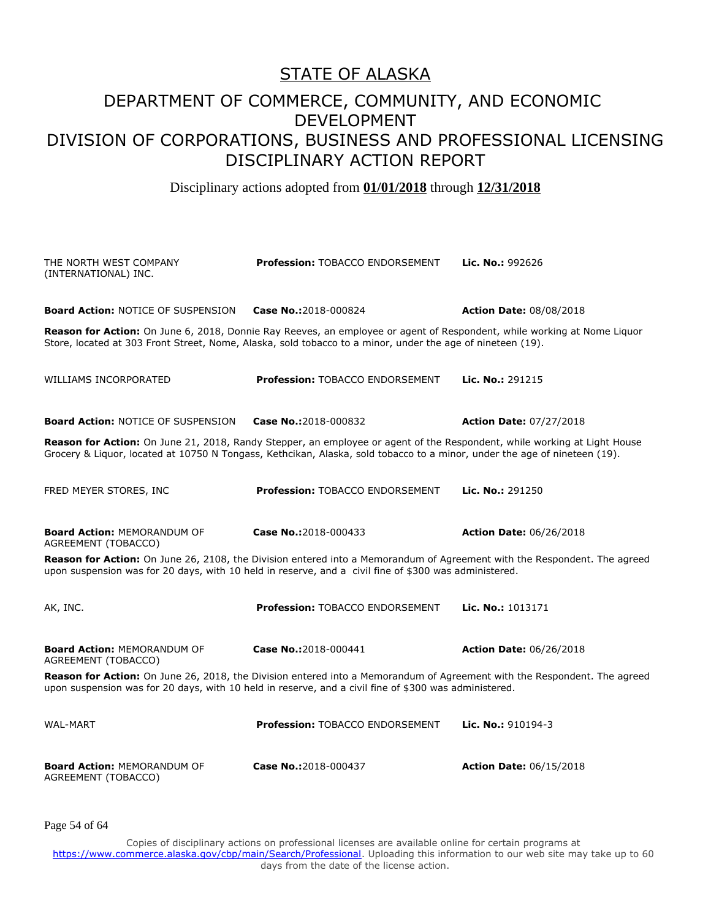#### DEPARTMENT OF COMMERCE, COMMUNITY, AND ECONOMIC DEVELOPMENT DIVISION OF CORPORATIONS, BUSINESS AND PROFESSIONAL LICENSING DISCIPLINARY ACTION REPORT

Disciplinary actions adopted from **01/01/2018** through **12/31/2018**

| THE NORTH WEST COMPANY<br>(INTERNATIONAL) INC.                                                                                                                                                                                    | <b>Profession: TOBACCO ENDORSEMENT</b>                                                                                                                                                                                                                | Lic. No.: 992626               |
|-----------------------------------------------------------------------------------------------------------------------------------------------------------------------------------------------------------------------------------|-------------------------------------------------------------------------------------------------------------------------------------------------------------------------------------------------------------------------------------------------------|--------------------------------|
| <b>Board Action: NOTICE OF SUSPENSION</b>                                                                                                                                                                                         | Case No.:2018-000824                                                                                                                                                                                                                                  | <b>Action Date: 08/08/2018</b> |
|                                                                                                                                                                                                                                   | Reason for Action: On June 6, 2018, Donnie Ray Reeves, an employee or agent of Respondent, while working at Nome Liquor<br>Store, located at 303 Front Street, Nome, Alaska, sold tobacco to a minor, under the age of nineteen (19).                 |                                |
| WILLIAMS INCORPORATED                                                                                                                                                                                                             | <b>Profession: TOBACCO ENDORSEMENT</b>                                                                                                                                                                                                                | <b>Lic. No.: 291215</b>        |
| <b>Board Action: NOTICE OF SUSPENSION</b>                                                                                                                                                                                         | Case No.:2018-000832                                                                                                                                                                                                                                  | <b>Action Date: 07/27/2018</b> |
|                                                                                                                                                                                                                                   | Reason for Action: On June 21, 2018, Randy Stepper, an employee or agent of the Respondent, while working at Light House<br>Grocery & Liquor, located at 10750 N Tongass, Kethcikan, Alaska, sold tobacco to a minor, under the age of nineteen (19). |                                |
| FRED MEYER STORES, INC.                                                                                                                                                                                                           | <b>Profession: TOBACCO ENDORSEMENT</b>                                                                                                                                                                                                                | Lic. No.: 291250               |
| <b>Board Action: MEMORANDUM OF</b><br>AGREEMENT (TOBACCO)                                                                                                                                                                         | Case No.:2018-000433                                                                                                                                                                                                                                  | <b>Action Date: 06/26/2018</b> |
|                                                                                                                                                                                                                                   | Reason for Action: On June 26, 2108, the Division entered into a Memorandum of Agreement with the Respondent. The agreed<br>upon suspension was for 20 days, with 10 held in reserve, and a civil fine of \$300 was administered.                     |                                |
| AK, INC.                                                                                                                                                                                                                          | Profession: TOBACCO ENDORSEMENT                                                                                                                                                                                                                       | Lic. No.: 1013171              |
| <b>Board Action: MEMORANDUM OF</b><br>AGREEMENT (TOBACCO)                                                                                                                                                                         | Case No.:2018-000441                                                                                                                                                                                                                                  | <b>Action Date: 06/26/2018</b> |
| Reason for Action: On June 26, 2018, the Division entered into a Memorandum of Agreement with the Respondent. The agreed<br>upon suspension was for 20 days, with 10 held in reserve, and a civil fine of \$300 was administered. |                                                                                                                                                                                                                                                       |                                |
| <b>WAL-MART</b>                                                                                                                                                                                                                   | Profession: TOBACCO ENDORSEMENT                                                                                                                                                                                                                       | Lic. No.: 910194-3             |
| <b>Board Action: MEMORANDUM OF</b><br>AGREEMENT (TOBACCO)                                                                                                                                                                         | Case No.:2018-000437                                                                                                                                                                                                                                  | <b>Action Date: 06/15/2018</b> |

Page 54 of 64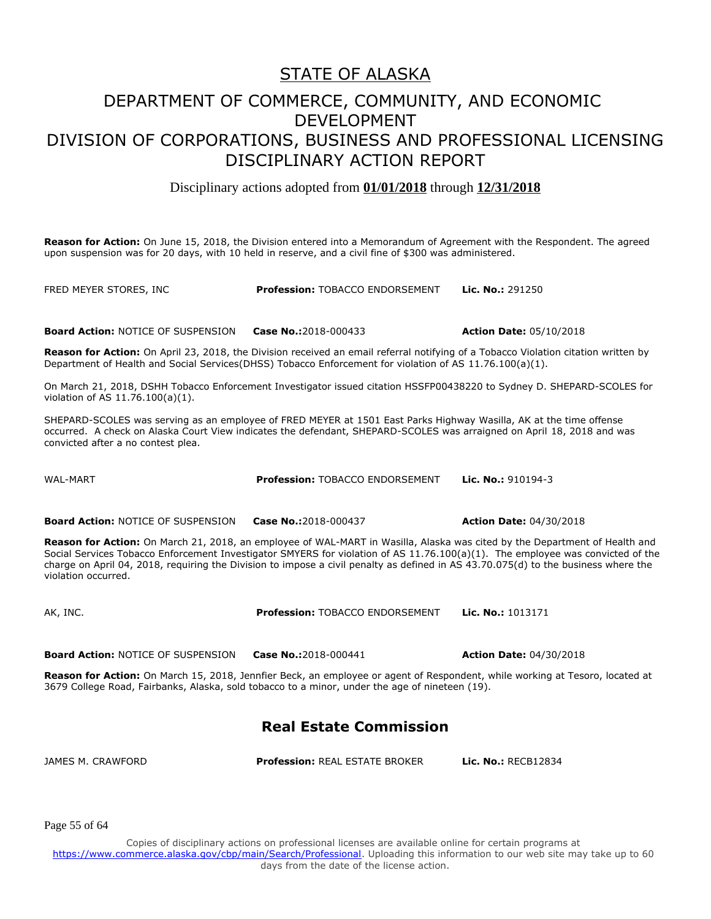#### DEPARTMENT OF COMMERCE, COMMUNITY, AND ECONOMIC DEVELOPMENT DIVISION OF CORPORATIONS, BUSINESS AND PROFESSIONAL LICENSING DISCIPLINARY ACTION REPORT

Disciplinary actions adopted from **01/01/2018** through **12/31/2018**

**Reason for Action:** On June 15, 2018, the Division entered into a Memorandum of Agreement with the Respondent. The agreed upon suspension was for 20 days, with 10 held in reserve, and a civil fine of \$300 was administered.

FRED MEYER STORES, INC **Profession:** TOBACCO ENDORSEMENT **Lic. No.:** 291250

**Board Action:** NOTICE OF SUSPENSION **Case No.:**2018-000433 **Action Date:** 05/10/2018

**Reason for Action:** On April 23, 2018, the Division received an email referral notifying of a Tobacco Violation citation written by Department of Health and Social Services(DHSS) Tobacco Enforcement for violation of AS 11.76.100(a)(1).

On March 21, 2018, DSHH Tobacco Enforcement Investigator issued citation HSSFP00438220 to Sydney D. SHEPARD-SCOLES for violation of AS 11.76.100(a)(1).

SHEPARD-SCOLES was serving as an employee of FRED MEYER at 1501 East Parks Highway Wasilla, AK at the time offense occurred. A check on Alaska Court View indicates the defendant, SHEPARD-SCOLES was arraigned on April 18, 2018 and was convicted after a no contest plea.

WAL-MART **Profession:** TOBACCO ENDORSEMENT **Lic. No.:** 910194-3

**Board Action:** NOTICE OF SUSPENSION **Case No.:**2018-000437 **Action Date:** 04/30/2018

**Reason for Action:** On March 21, 2018, an employee of WAL-MART in Wasilla, Alaska was cited by the Department of Health and Social Services Tobacco Enforcement Investigator SMYERS for violation of AS 11.76.100(a)(1). The employee was convicted of the charge on April 04, 2018, requiring the Division to impose a civil penalty as defined in AS 43.70.075(d) to the business where the violation occurred.

AK, INC. **Profession:** TOBACCO ENDORSEMENT **Lic. No.:** 1013171

**Board Action:** NOTICE OF SUSPENSION **Case No.:**2018-000441 **Action Date:** 04/30/2018

**Reason for Action:** On March 15, 2018, Jennfier Beck, an employee or agent of Respondent, while working at Tesoro, located at 3679 College Road, Fairbanks, Alaska, sold tobacco to a minor, under the age of nineteen (19).

#### **Real Estate Commission**

JAMES M. CRAWFORD **Profession:** REAL ESTATE BROKER **Lic. No.:** RECB12834

Page 55 of 64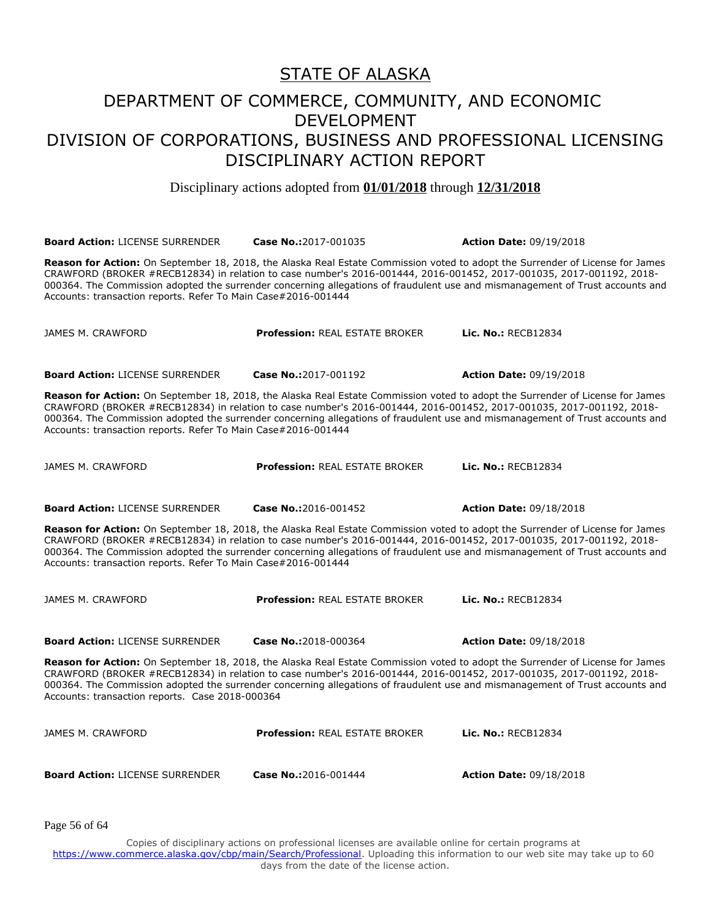Disciplinary actions adopted from **01/01/2018** through **12/31/2018**

**Board Action:** LICENSE SURRENDER **Case No.:**2017-001035 **Action Date:** 09/19/2018 **Reason for Action:** On September 18, 2018, the Alaska Real Estate Commission voted to adopt the Surrender of License for James CRAWFORD (BROKER #RECB12834) in relation to case number's 2016-001444, 2016-001452, 2017-001035, 2017-001192, 2018- 000364. The Commission adopted the surrender concerning allegations of fraudulent use and mismanagement of Trust accounts and Accounts: transaction reports. Refer To Main Case#2016-001444 JAMES M. CRAWFORD **Profession:** REAL ESTATE BROKER **Lic. No.:** RECB12834 **Board Action:** LICENSE SURRENDER **Case No.:**2017-001192 **Action Date:** 09/19/2018 **Reason for Action:** On September 18, 2018, the Alaska Real Estate Commission voted to adopt the Surrender of License for James CRAWFORD (BROKER #RECB12834) in relation to case number's 2016-001444, 2016-001452, 2017-001035, 2017-001192, 2018- 000364. The Commission adopted the surrender concerning allegations of fraudulent use and mismanagement of Trust accounts and Accounts: transaction reports. Refer To Main Case#2016-001444 JAMES M. CRAWFORD **Profession:** REAL ESTATE BROKER **Lic. No.:** RECB12834 **Board Action:** LICENSE SURRENDER **Case No.:**2016-001452 **Action Date:** 09/18/2018 **Reason for Action:** On September 18, 2018, the Alaska Real Estate Commission voted to adopt the Surrender of License for James CRAWFORD (BROKER #RECB12834) in relation to case number's 2016-001444, 2016-001452, 2017-001035, 2017-001192, 2018- 000364. The Commission adopted the surrender concerning allegations of fraudulent use and mismanagement of Trust accounts and Accounts: transaction reports. Refer To Main Case#2016-001444 JAMES M. CRAWFORD **Profession:** REAL ESTATE BROKER **Lic. No.:** RECB12834 **Board Action:** LICENSE SURRENDER **Case No.:**2018-000364 **Action Date:** 09/18/2018 **Reason for Action:** On September 18, 2018, the Alaska Real Estate Commission voted to adopt the Surrender of License for James CRAWFORD (BROKER #RECB12834) in relation to case number's 2016-001444, 2016-001452, 2017-001035, 2017-001192, 2018- 000364. The Commission adopted the surrender concerning allegations of fraudulent use and mismanagement of Trust accounts and Accounts: transaction reports. Case 2018-000364 JAMES M. CRAWFORD **Profession:** REAL ESTATE BROKER **Lic. No.:** RECB12834 **Board Action:** LICENSE SURRENDER **Case No.:**2016-001444 **Action Date:** 09/18/2018

Page 56 of 64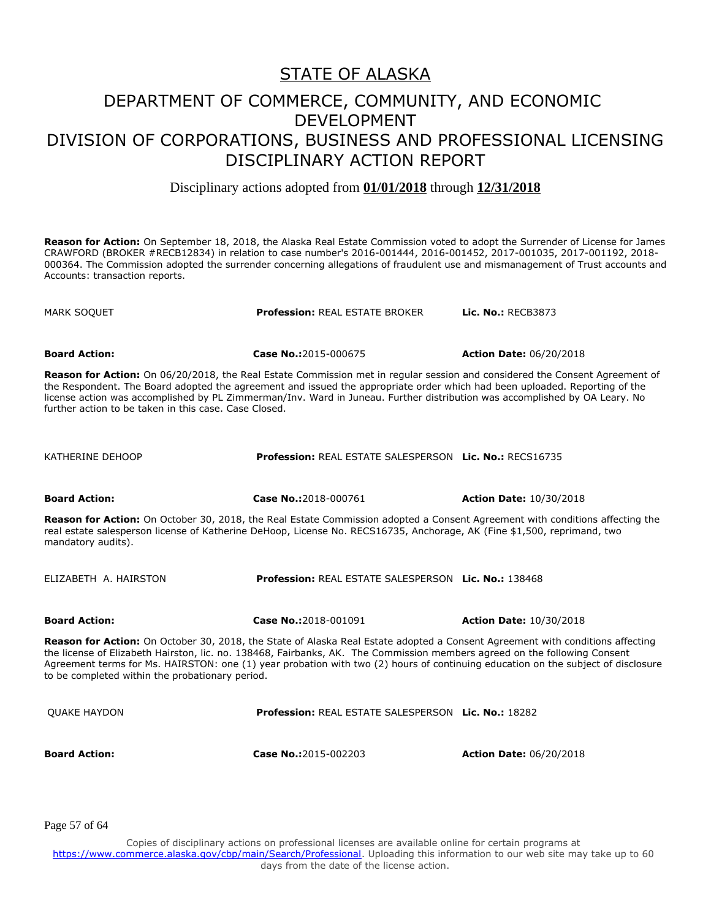Disciplinary actions adopted from **01/01/2018** through **12/31/2018**

**Reason for Action:** On September 18, 2018, the Alaska Real Estate Commission voted to adopt the Surrender of License for James CRAWFORD (BROKER #RECB12834) in relation to case number's 2016-001444, 2016-001452, 2017-001035, 2017-001192, 2018- 000364. The Commission adopted the surrender concerning allegations of fraudulent use and mismanagement of Trust accounts and Accounts: transaction reports.

**Board Action: Case No.:**2015-000675 **Action Date:** 06/20/2018 **Reason for Action:** On 06/20/2018, the Real Estate Commission met in regular session and considered the Consent Agreement of the Respondent. The Board adopted the agreement and issued the appropriate order which had been uploaded. Reporting of the license action was accomplished by PL Zimmerman/Inv. Ward in Juneau. Further distribution was accomplished by OA Leary. No further action to be taken in this case. Case Closed. KATHERINE DEHOOP **Profession:** REAL ESTATE SALESPERSON **Lic. No.:** RECS16735 **Board Action: Case No.:**2018-000761 **Action Date:** 10/30/2018 **Reason for Action:** On October 30, 2018, the Real Estate Commission adopted a Consent Agreement with conditions affecting the real estate salesperson license of Katherine DeHoop, License No. RECS16735, Anchorage, AK (Fine \$1,500, reprimand, two mandatory audits). ELIZABETH A. HAIRSTON **Profession:** REAL ESTATE SALESPERSON **Lic. No.:** 138468

**Board Action: Case No.:**2018-001091 **Action Date:** 10/30/2018

MARK SOQUET **Profession:** REAL ESTATE BROKER **Lic. No.:** RECB3873

**Reason for Action:** On October 30, 2018, the State of Alaska Real Estate adopted a Consent Agreement with conditions affecting the license of Elizabeth Hairston, lic. no. 138468, Fairbanks, AK. The Commission members agreed on the following Consent

Agreement terms for Ms. HAIRSTON: one (1) year probation with two (2) hours of continuing education on the subject of disclosure to be completed within the probationary period. QUAKE HAYDON **Profession:** REAL ESTATE SALESPERSON **Lic. No.:** 18282 **Board Action: Case No.:**2015-002203 **Action Date:** 06/20/2018

Page 57 of 64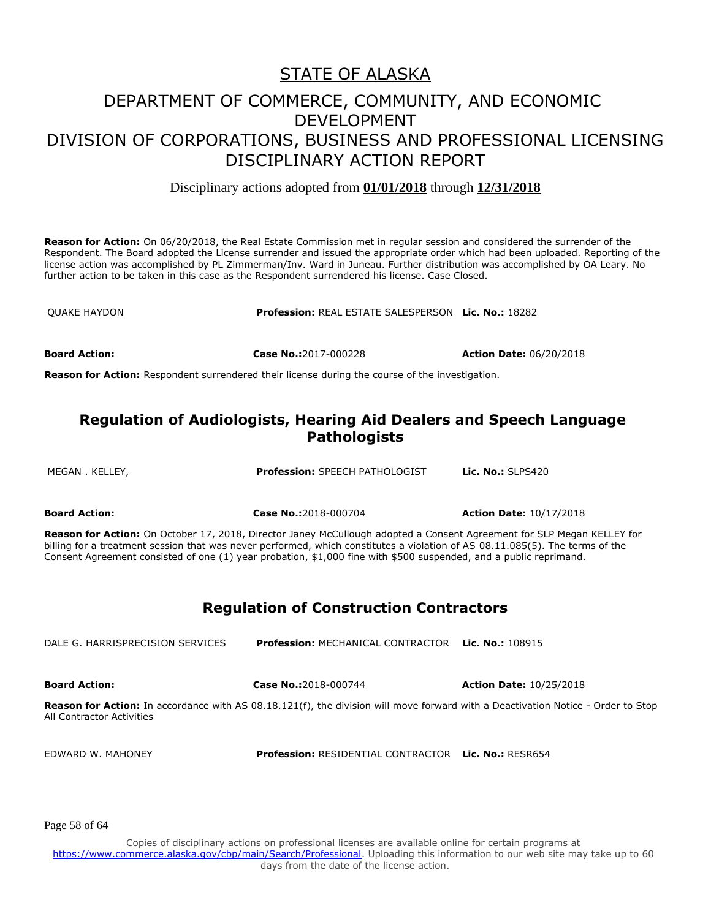Disciplinary actions adopted from **01/01/2018** through **12/31/2018**

**Reason for Action:** On 06/20/2018, the Real Estate Commission met in regular session and considered the surrender of the Respondent. The Board adopted the License surrender and issued the appropriate order which had been uploaded. Reporting of the license action was accomplished by PL Zimmerman/Inv. Ward in Juneau. Further distribution was accomplished by OA Leary. No further action to be taken in this case as the Respondent surrendered his license. Case Closed.

QUAKE HAYDON **Profession:** REAL ESTATE SALESPERSON **Lic. No.:** 18282

**Board Action: Case No.:**2017-000228 **Action Date:** 06/20/2018

**Reason for Action:** Respondent surrendered their license during the course of the investigation.

#### **Regulation of Audiologists, Hearing Aid Dealers and Speech Language Pathologists**

MEGAN . KELLEY, **Profession:** SPEECH PATHOLOGIST **Lic. No.:** SLPS420

**Board Action: Case No.:**2018-000704 **Action Date:** 10/17/2018

**Reason for Action:** On October 17, 2018, Director Janey McCullough adopted a Consent Agreement for SLP Megan KELLEY for billing for a treatment session that was never performed, which constitutes a violation of AS 08.11.085(5). The terms of the Consent Agreement consisted of one (1) year probation, \$1,000 fine with \$500 suspended, and a public reprimand.

#### **Regulation of Construction Contractors**

DALE G. HARRISPRECISION SERVICES **Profession:** MECHANICAL CONTRACTOR **Lic. No.:** 108915

**Board Action: Case No.:**2018-000744 **Action Date:** 10/25/2018

**Reason for Action:** In accordance with AS 08.18.121(f), the division will move forward with a Deactivation Notice - Order to Stop All Contractor Activities

EDWARD W. MAHONEY **Profession:** RESIDENTIAL CONTRACTOR **Lic. No.:** RESR654

Page 58 of 64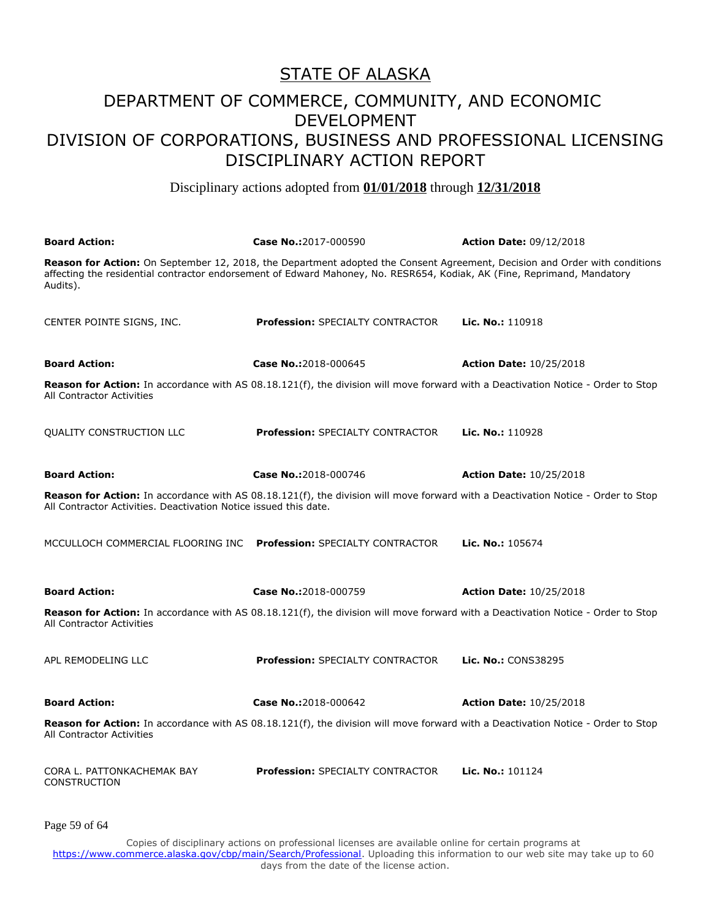#### DEPARTMENT OF COMMERCE, COMMUNITY, AND ECONOMIC DEVELOPMENT DIVISION OF CORPORATIONS, BUSINESS AND PROFESSIONAL LICENSING DISCIPLINARY ACTION REPORT

Disciplinary actions adopted from **01/01/2018** through **12/31/2018**

| <b>Board Action:</b>                                               | Case No.:2017-000590                                                                                                                                                                                                                                  | <b>Action Date: 09/12/2018</b> |
|--------------------------------------------------------------------|-------------------------------------------------------------------------------------------------------------------------------------------------------------------------------------------------------------------------------------------------------|--------------------------------|
| Audits).                                                           | Reason for Action: On September 12, 2018, the Department adopted the Consent Agreement, Decision and Order with conditions<br>affecting the residential contractor endorsement of Edward Mahoney, No. RESR654, Kodiak, AK (Fine, Reprimand, Mandatory |                                |
| CENTER POINTE SIGNS, INC.                                          | <b>Profession: SPECIALTY CONTRACTOR</b>                                                                                                                                                                                                               | Lic. No.: 110918               |
| <b>Board Action:</b>                                               | Case No.:2018-000645                                                                                                                                                                                                                                  | <b>Action Date: 10/25/2018</b> |
| All Contractor Activities                                          | <b>Reason for Action:</b> In accordance with AS 08.18.121(f), the division will move forward with a Deactivation Notice - Order to Stop                                                                                                               |                                |
| QUALITY CONSTRUCTION LLC                                           | <b>Profession: SPECIALTY CONTRACTOR</b>                                                                                                                                                                                                               | Lic. No.: 110928               |
| <b>Board Action:</b>                                               | Case No.:2018-000746                                                                                                                                                                                                                                  | <b>Action Date: 10/25/2018</b> |
| All Contractor Activities. Deactivation Notice issued this date.   | <b>Reason for Action:</b> In accordance with AS 08.18.121(f), the division will move forward with a Deactivation Notice - Order to Stop                                                                                                               |                                |
| MCCULLOCH COMMERCIAL FLOORING INC Profession: SPECIALTY CONTRACTOR |                                                                                                                                                                                                                                                       | Lic. No.: 105674               |
| <b>Board Action:</b>                                               | Case No.:2018-000759                                                                                                                                                                                                                                  | <b>Action Date: 10/25/2018</b> |
| All Contractor Activities                                          | Reason for Action: In accordance with AS 08.18.121(f), the division will move forward with a Deactivation Notice - Order to Stop                                                                                                                      |                                |
| APL REMODELING LLC                                                 | <b>Profession: SPECIALTY CONTRACTOR</b>                                                                                                                                                                                                               | Lic. No.: CONS38295            |
| <b>Board Action:</b>                                               | Case No.:2018-000642                                                                                                                                                                                                                                  | <b>Action Date: 10/25/2018</b> |
| All Contractor Activities                                          | Reason for Action: In accordance with AS 08.18.121(f), the division will move forward with a Deactivation Notice - Order to Stop                                                                                                                      |                                |
| CORA L. PATTONKACHEMAK BAY<br><b>CONSTRUCTION</b>                  | Profession: SPECIALTY CONTRACTOR                                                                                                                                                                                                                      | Lic. No.: 101124               |
| Page 59 of 64                                                      |                                                                                                                                                                                                                                                       |                                |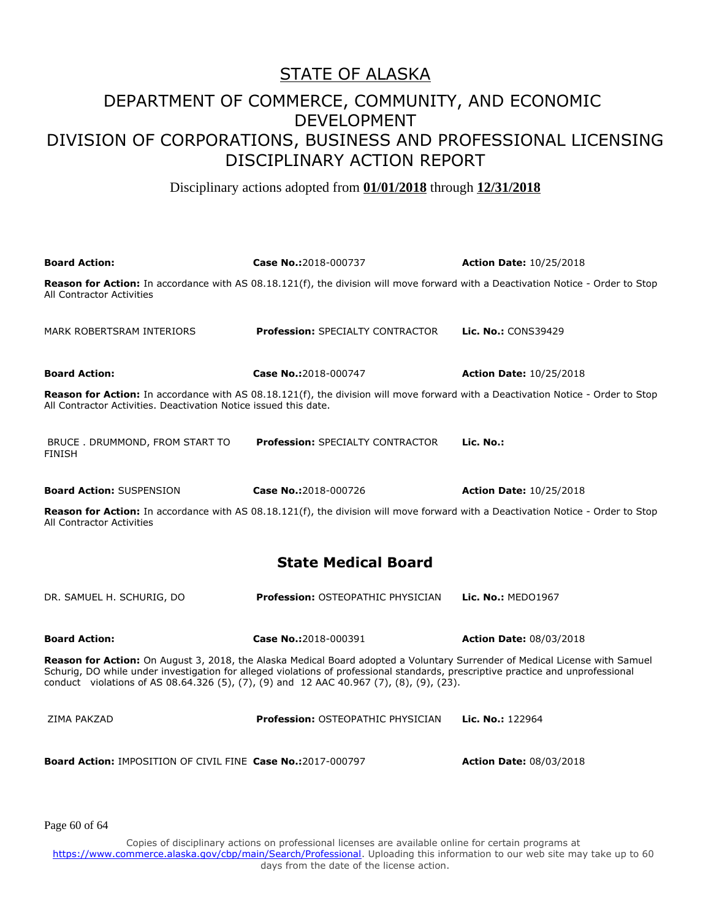Disciplinary actions adopted from **01/01/2018** through **12/31/2018**

| <b>Board Action:</b>                                                                                                                                                                                                                                                                                                                                       | Case No.:2018-000737                                                                                                             | <b>Action Date: 10/25/2018</b> |
|------------------------------------------------------------------------------------------------------------------------------------------------------------------------------------------------------------------------------------------------------------------------------------------------------------------------------------------------------------|----------------------------------------------------------------------------------------------------------------------------------|--------------------------------|
| All Contractor Activities                                                                                                                                                                                                                                                                                                                                  | Reason for Action: In accordance with AS 08.18.121(f), the division will move forward with a Deactivation Notice - Order to Stop |                                |
| MARK ROBERTSRAM INTERIORS                                                                                                                                                                                                                                                                                                                                  | <b>Profession: SPECIALTY CONTRACTOR</b>                                                                                          | Lic. No.: CONS39429            |
| <b>Board Action:</b>                                                                                                                                                                                                                                                                                                                                       | Case No.:2018-000747                                                                                                             | <b>Action Date: 10/25/2018</b> |
| All Contractor Activities. Deactivation Notice issued this date.                                                                                                                                                                                                                                                                                           | Reason for Action: In accordance with AS 08.18.121(f), the division will move forward with a Deactivation Notice - Order to Stop |                                |
| BRUCE . DRUMMOND, FROM START TO<br><b>FINISH</b>                                                                                                                                                                                                                                                                                                           | <b>Profession: SPECIALTY CONTRACTOR</b>                                                                                          | Lic. No.:                      |
| <b>Board Action: SUSPENSION</b>                                                                                                                                                                                                                                                                                                                            | Case No.:2018-000726                                                                                                             | <b>Action Date: 10/25/2018</b> |
| All Contractor Activities                                                                                                                                                                                                                                                                                                                                  | Reason for Action: In accordance with AS 08.18.121(f), the division will move forward with a Deactivation Notice - Order to Stop |                                |
|                                                                                                                                                                                                                                                                                                                                                            | <b>State Medical Board</b>                                                                                                       |                                |
| DR. SAMUEL H. SCHURIG, DO                                                                                                                                                                                                                                                                                                                                  | <b>Profession: OSTEOPATHIC PHYSICIAN</b>                                                                                         | Lic. No.: MED01967             |
| <b>Board Action:</b>                                                                                                                                                                                                                                                                                                                                       | Case No.:2018-000391                                                                                                             | <b>Action Date: 08/03/2018</b> |
| Reason for Action: On August 3, 2018, the Alaska Medical Board adopted a Voluntary Surrender of Medical License with Samuel<br>Schurig, DO while under investigation for alleged violations of professional standards, prescriptive practice and unprofessional<br>conduct violations of AS 08.64.326 (5), (7), (9) and 12 AAC 40.967 (7), (8), (9), (23). |                                                                                                                                  |                                |
| ZIMA PAKZAD                                                                                                                                                                                                                                                                                                                                                | <b>Profession: OSTEOPATHIC PHYSICIAN</b>                                                                                         | Lic. No.: 122964               |
| <b>Board Action: IMPOSITION OF CIVIL FINE Case No.:2017-000797</b>                                                                                                                                                                                                                                                                                         |                                                                                                                                  | <b>Action Date: 08/03/2018</b> |

Page 60 of 64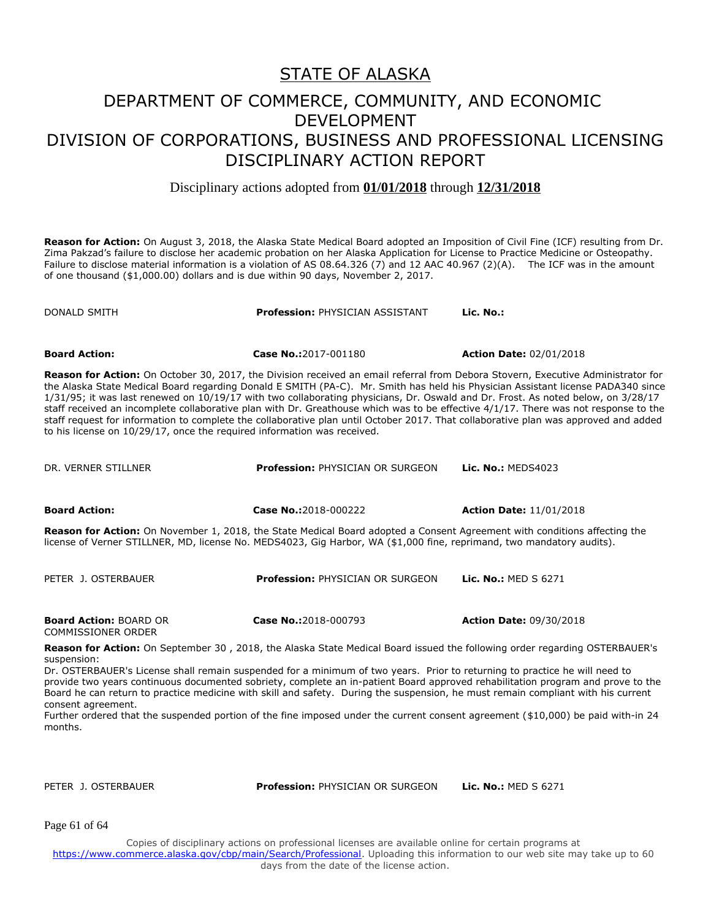Disciplinary actions adopted from **01/01/2018** through **12/31/2018**

**Reason for Action:** On August 3, 2018, the Alaska State Medical Board adopted an Imposition of Civil Fine (ICF) resulting from Dr. Zima Pakzad's failure to disclose her academic probation on her Alaska Application for License to Practice Medicine or Osteopathy. Failure to disclose material information is a violation of AS 08.64.326 (7) and 12 AAC 40.967 (2)(A). The ICF was in the amount of one thousand (\$1,000.00) dollars and is due within 90 days, November 2, 2017.

DONALD SMITH **Profession:** PHYSICIAN ASSISTANT **Lic. No.: Board Action: Case No.:**2017-001180 **Action Date:** 02/01/2018 **Reason for Action:** On October 30, 2017, the Division received an email referral from Debora Stovern, Executive Administrator for the Alaska State Medical Board regarding Donald E SMITH (PA-C). Mr. Smith has held his Physician Assistant license PADA340 since 1/31/95; it was last renewed on 10/19/17 with two collaborating physicians, Dr. Oswald and Dr. Frost. As noted below, on 3/28/17 staff received an incomplete collaborative plan with Dr. Greathouse which was to be effective 4/1/17. There was not response to the staff request for information to complete the collaborative plan until October 2017. That collaborative plan was approved and added to his license on 10/29/17, once the required information was received. DR. VERNER STILLNER **Profession:** PHYSICIAN OR SURGEON **Lic. No.:** MEDS4023 **Board Action: Case No.:**2018-000222 **Action Date:** 11/01/2018 **Reason for Action:** On November 1, 2018, the State Medical Board adopted a Consent Agreement with conditions affecting the license of Verner STILLNER, MD, license No. MEDS4023, Gig Harbor, WA (\$1,000 fine, reprimand, two mandatory audits). PETER J. OSTERBAUER **Profession:** PHYSICIAN OR SURGEON **Lic. No.:** MED S 6271 **Board Action:** BOARD OR COMMISSIONER ORDER **Case No.:**2018-000793 **Action Date:** 09/30/2018 **Reason for Action:** On September 30 , 2018, the Alaska State Medical Board issued the following order regarding OSTERBAUER's

suspension: Dr. OSTERBAUER's License shall remain suspended for a minimum of two years. Prior to returning to practice he will need to provide two years continuous documented sobriety, complete an in-patient Board approved rehabilitation program and prove to the Board he can return to practice medicine with skill and safety. During the suspension, he must remain compliant with his current consent agreement.

Further ordered that the suspended portion of the fine imposed under the current consent agreement (\$10,000) be paid with-in 24 months.

PETER J. OSTERBAUER **Profession:** PHYSICIAN OR SURGEON **Lic. No.:** MED S 6271

Page 61 of 64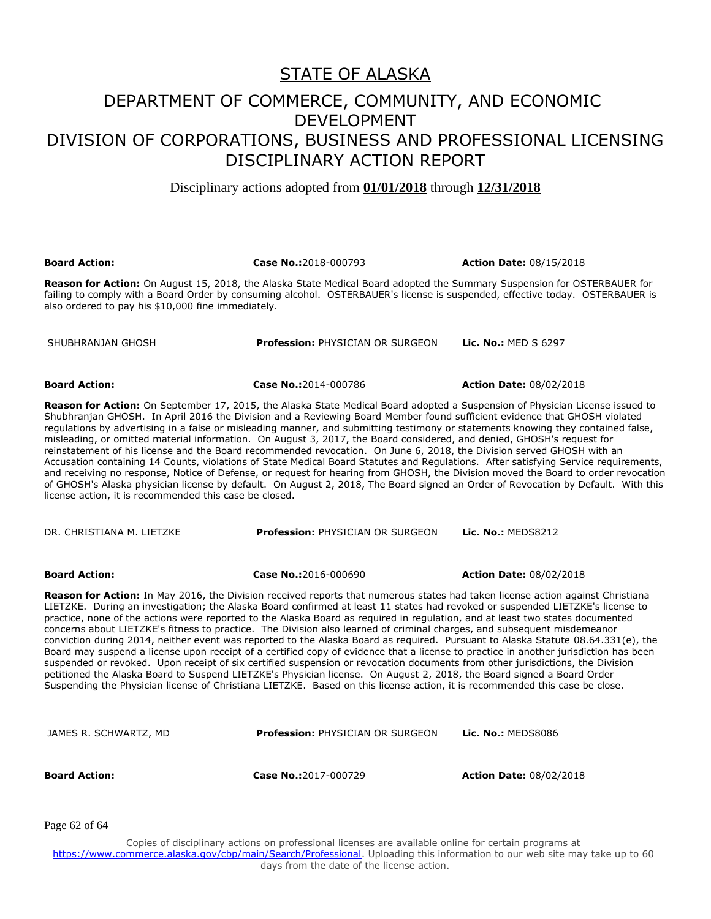Disciplinary actions adopted from **01/01/2018** through **12/31/2018**

| <b>Board Action:</b>                                                                                                                                                                                                                                                                                                                                                                                                                                                                                                                                                                                                                                                                                                                                                                                                                                                                                                                                                                                                                                                                                                                                                                                    | Case No.:2018-000793                                                                                                                                                                                                                                           | <b>Action Date: 08/15/2018</b> |  |
|---------------------------------------------------------------------------------------------------------------------------------------------------------------------------------------------------------------------------------------------------------------------------------------------------------------------------------------------------------------------------------------------------------------------------------------------------------------------------------------------------------------------------------------------------------------------------------------------------------------------------------------------------------------------------------------------------------------------------------------------------------------------------------------------------------------------------------------------------------------------------------------------------------------------------------------------------------------------------------------------------------------------------------------------------------------------------------------------------------------------------------------------------------------------------------------------------------|----------------------------------------------------------------------------------------------------------------------------------------------------------------------------------------------------------------------------------------------------------------|--------------------------------|--|
| also ordered to pay his \$10,000 fine immediately.                                                                                                                                                                                                                                                                                                                                                                                                                                                                                                                                                                                                                                                                                                                                                                                                                                                                                                                                                                                                                                                                                                                                                      | <b>Reason for Action:</b> On August 15, 2018, the Alaska State Medical Board adopted the Summary Suspension for OSTERBAUER for<br>failing to comply with a Board Order by consuming alcohol. OSTERBAUER's license is suspended, effective today. OSTERBAUER is |                                |  |
| SHUBHRANJAN GHOSH                                                                                                                                                                                                                                                                                                                                                                                                                                                                                                                                                                                                                                                                                                                                                                                                                                                                                                                                                                                                                                                                                                                                                                                       | Profession: PHYSICIAN OR SURGEON                                                                                                                                                                                                                               | <b>Lic. No.: MED S 6297</b>    |  |
| <b>Board Action:</b>                                                                                                                                                                                                                                                                                                                                                                                                                                                                                                                                                                                                                                                                                                                                                                                                                                                                                                                                                                                                                                                                                                                                                                                    | Case No.:2014-000786                                                                                                                                                                                                                                           | <b>Action Date: 08/02/2018</b> |  |
| <b>Reason for Action:</b> On September 17, 2015, the Alaska State Medical Board adopted a Suspension of Physician License issued to<br>Shubhranjan GHOSH. In April 2016 the Division and a Reviewing Board Member found sufficient evidence that GHOSH violated<br>regulations by advertising in a false or misleading manner, and submitting testimony or statements knowing they contained false,<br>misleading, or omitted material information. On August 3, 2017, the Board considered, and denied, GHOSH's request for<br>reinstatement of his license and the Board recommended revocation. On June 6, 2018, the Division served GHOSH with an<br>Accusation containing 14 Counts, violations of State Medical Board Statutes and Regulations. After satisfying Service requirements,<br>and receiving no response, Notice of Defense, or request for hearing from GHOSH, the Division moved the Board to order revocation<br>of GHOSH's Alaska physician license by default. On August 2, 2018, The Board signed an Order of Revocation by Default. With this<br>license action, it is recommended this case be closed.                                                                         |                                                                                                                                                                                                                                                                |                                |  |
| DR. CHRISTIANA M. LIETZKE                                                                                                                                                                                                                                                                                                                                                                                                                                                                                                                                                                                                                                                                                                                                                                                                                                                                                                                                                                                                                                                                                                                                                                               | <b>Profession: PHYSICIAN OR SURGEON</b>                                                                                                                                                                                                                        | Lic. No.: MEDS8212             |  |
| <b>Board Action:</b>                                                                                                                                                                                                                                                                                                                                                                                                                                                                                                                                                                                                                                                                                                                                                                                                                                                                                                                                                                                                                                                                                                                                                                                    | Case No.:2016-000690                                                                                                                                                                                                                                           | <b>Action Date: 08/02/2018</b> |  |
| <b>Reason for Action:</b> In May 2016, the Division received reports that numerous states had taken license action against Christiana<br>LIETZKE. During an investigation; the Alaska Board confirmed at least 11 states had revoked or suspended LIETZKE's license to<br>practice, none of the actions were reported to the Alaska Board as required in regulation, and at least two states documented<br>concerns about LIETZKE's fitness to practice. The Division also learned of criminal charges, and subsequent misdemeanor<br>conviction during 2014, neither event was reported to the Alaska Board as required. Pursuant to Alaska Statute 08.64.331(e), the<br>Board may suspend a license upon receipt of a certified copy of evidence that a license to practice in another jurisdiction has been<br>suspended or revoked. Upon receipt of six certified suspension or revocation documents from other jurisdictions, the Division<br>petitioned the Alaska Board to Suspend LIETZKE's Physician license. On August 2, 2018, the Board signed a Board Order<br>Suspending the Physician license of Christiana LIETZKE. Based on this license action, it is recommended this case be close. |                                                                                                                                                                                                                                                                |                                |  |
| JAMES R. SCHWARTZ, MD                                                                                                                                                                                                                                                                                                                                                                                                                                                                                                                                                                                                                                                                                                                                                                                                                                                                                                                                                                                                                                                                                                                                                                                   | Profession: PHYSICIAN OR SURGEON                                                                                                                                                                                                                               | Lic. No.: MEDS8086             |  |
| <b>Board Action:</b>                                                                                                                                                                                                                                                                                                                                                                                                                                                                                                                                                                                                                                                                                                                                                                                                                                                                                                                                                                                                                                                                                                                                                                                    | Case No.:2017-000729                                                                                                                                                                                                                                           | <b>Action Date: 08/02/2018</b> |  |
| Page 62 of 64                                                                                                                                                                                                                                                                                                                                                                                                                                                                                                                                                                                                                                                                                                                                                                                                                                                                                                                                                                                                                                                                                                                                                                                           |                                                                                                                                                                                                                                                                |                                |  |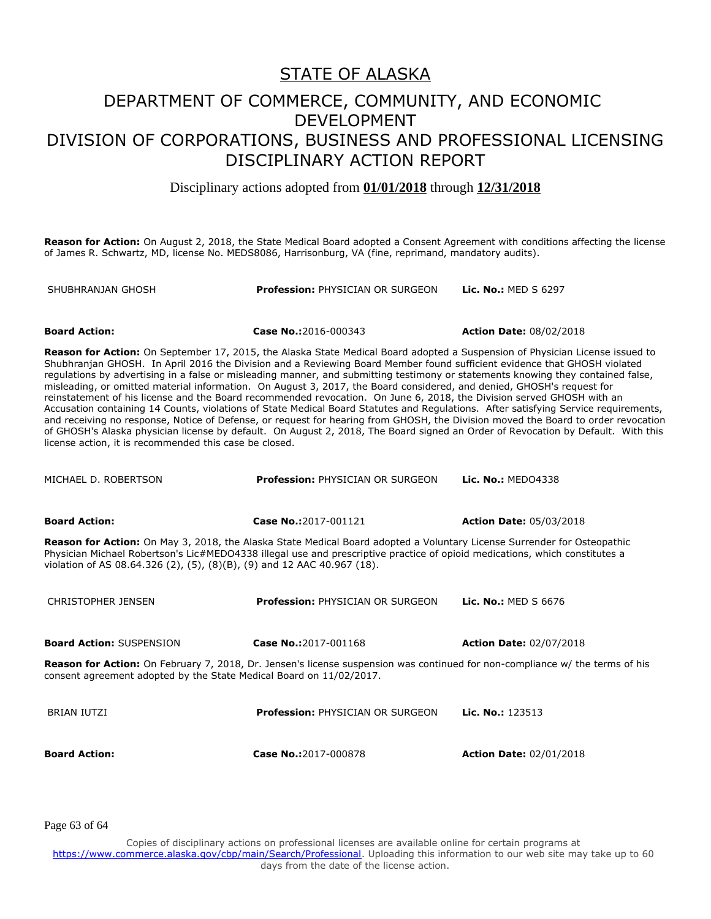#### DEPARTMENT OF COMMERCE, COMMUNITY, AND ECONOMIC DEVELOPMENT DIVISION OF CORPORATIONS, BUSINESS AND PROFESSIONAL LICENSING DISCIPLINARY ACTION REPORT

Disciplinary actions adopted from **01/01/2018** through **12/31/2018**

**Reason for Action:** On August 2, 2018, the State Medical Board adopted a Consent Agreement with conditions affecting the license of James R. Schwartz, MD, license No. MEDS8086, Harrisonburg, VA (fine, reprimand, mandatory audits).

| SHUBHRANJAN GHOSH                                                                                                                                                                                                                                                                                                                                                                                                                                                                                                                                                                                                                                                                                                                                                                                                                                                                                                                                                                                                                                                                                                        | <b>Profession: PHYSICIAN OR SURGEON</b> | <b>Lic. No.: MED S 6297</b>    |  |
|--------------------------------------------------------------------------------------------------------------------------------------------------------------------------------------------------------------------------------------------------------------------------------------------------------------------------------------------------------------------------------------------------------------------------------------------------------------------------------------------------------------------------------------------------------------------------------------------------------------------------------------------------------------------------------------------------------------------------------------------------------------------------------------------------------------------------------------------------------------------------------------------------------------------------------------------------------------------------------------------------------------------------------------------------------------------------------------------------------------------------|-----------------------------------------|--------------------------------|--|
|                                                                                                                                                                                                                                                                                                                                                                                                                                                                                                                                                                                                                                                                                                                                                                                                                                                                                                                                                                                                                                                                                                                          |                                         |                                |  |
| <b>Board Action:</b>                                                                                                                                                                                                                                                                                                                                                                                                                                                                                                                                                                                                                                                                                                                                                                                                                                                                                                                                                                                                                                                                                                     | Case No.:2016-000343                    | <b>Action Date: 08/02/2018</b> |  |
| Reason for Action: On September 17, 2015, the Alaska State Medical Board adopted a Suspension of Physician License issued to<br>Shubhranjan GHOSH. In April 2016 the Division and a Reviewing Board Member found sufficient evidence that GHOSH violated<br>regulations by advertising in a false or misleading manner, and submitting testimony or statements knowing they contained false,<br>misleading, or omitted material information. On August 3, 2017, the Board considered, and denied, GHOSH's request for<br>reinstatement of his license and the Board recommended revocation. On June 6, 2018, the Division served GHOSH with an<br>Accusation containing 14 Counts, violations of State Medical Board Statutes and Regulations. After satisfying Service requirements,<br>and receiving no response, Notice of Defense, or request for hearing from GHOSH, the Division moved the Board to order revocation<br>of GHOSH's Alaska physician license by default. On August 2, 2018, The Board signed an Order of Revocation by Default. With this<br>license action, it is recommended this case be closed. |                                         |                                |  |
| MICHAEL D. ROBERTSON                                                                                                                                                                                                                                                                                                                                                                                                                                                                                                                                                                                                                                                                                                                                                                                                                                                                                                                                                                                                                                                                                                     | <b>Profession: PHYSICIAN OR SURGEON</b> | Lic. No.: MED04338             |  |
| <b>Board Action:</b>                                                                                                                                                                                                                                                                                                                                                                                                                                                                                                                                                                                                                                                                                                                                                                                                                                                                                                                                                                                                                                                                                                     | Case No.:2017-001121                    | <b>Action Date: 05/03/2018</b> |  |
| Reason for Action: On May 3, 2018, the Alaska State Medical Board adopted a Voluntary License Surrender for Osteopathic<br>Physician Michael Robertson's Lic#MEDO4338 illegal use and prescriptive practice of opioid medications, which constitutes a<br>violation of AS 08.64.326 (2), (5), (8)(B), (9) and 12 AAC 40.967 (18).                                                                                                                                                                                                                                                                                                                                                                                                                                                                                                                                                                                                                                                                                                                                                                                        |                                         |                                |  |
| <b>CHRISTOPHER JENSEN</b>                                                                                                                                                                                                                                                                                                                                                                                                                                                                                                                                                                                                                                                                                                                                                                                                                                                                                                                                                                                                                                                                                                | Profession: PHYSICIAN OR SURGEON        | Lic. No.: MED S 6676           |  |
| <b>Board Action: SUSPENSION</b>                                                                                                                                                                                                                                                                                                                                                                                                                                                                                                                                                                                                                                                                                                                                                                                                                                                                                                                                                                                                                                                                                          | Case No.:2017-001168                    | <b>Action Date: 02/07/2018</b> |  |
| Reason for Action: On February 7, 2018, Dr. Jensen's license suspension was continued for non-compliance w/ the terms of his<br>consent agreement adopted by the State Medical Board on 11/02/2017.                                                                                                                                                                                                                                                                                                                                                                                                                                                                                                                                                                                                                                                                                                                                                                                                                                                                                                                      |                                         |                                |  |

BRIAN IUTZI **Profession:** PHYSICIAN OR SURGEON **Lic. No.:** 123513 **Board Action: Case No.:**2017-000878 **Action Date:** 02/01/2018

Page 63 of 64